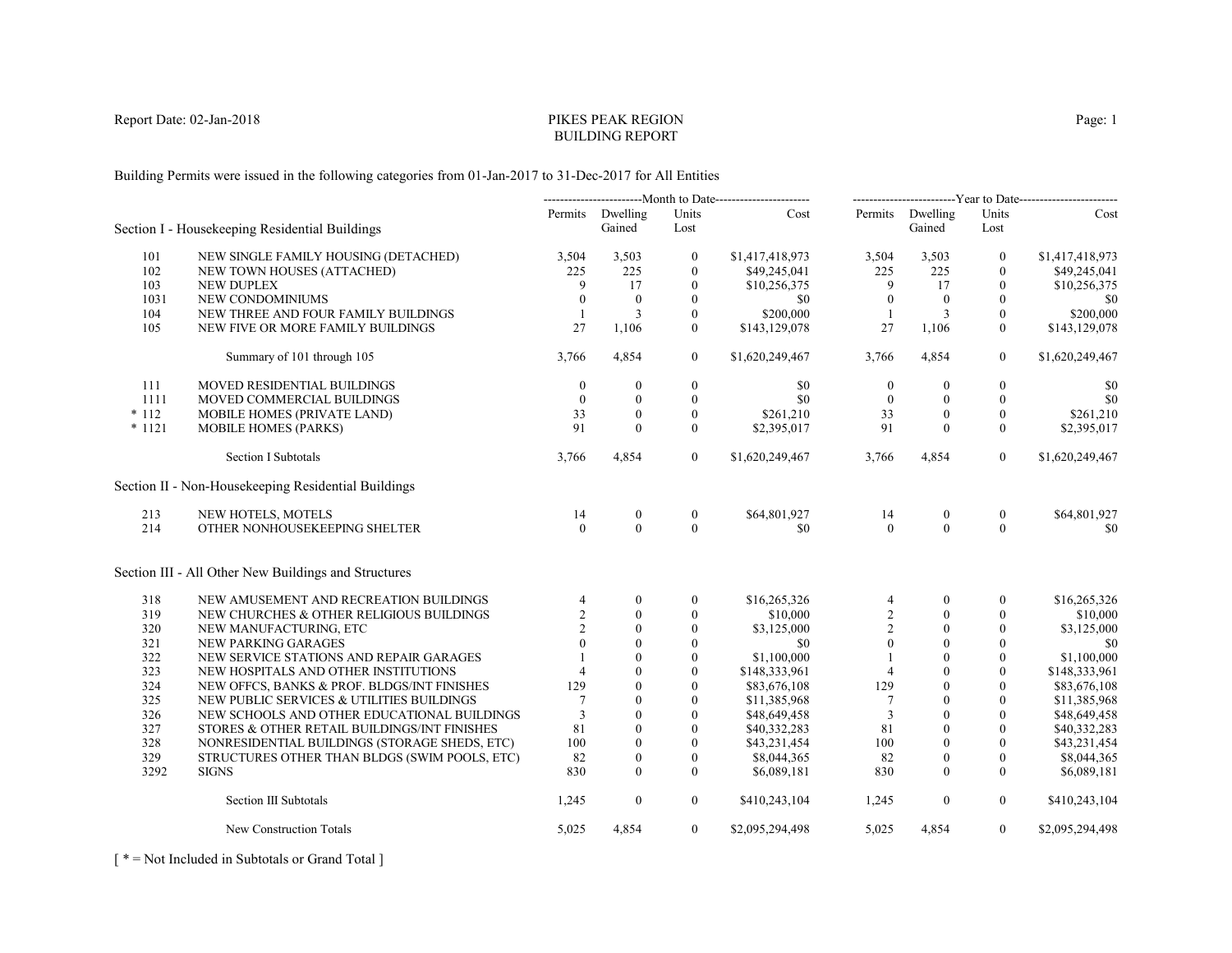# PIKES PEAK REGIONBUILDING REPORT

Building Permits were issued in the following categories from 01-Jan-2017 to 31-Dec-2017 for All Entities

|          |                                                      | -------------------------Month to Date----------------------- |                            |                  | --------------------------Year to Date------------------------- |                  |                            |                  |                 |
|----------|------------------------------------------------------|---------------------------------------------------------------|----------------------------|------------------|-----------------------------------------------------------------|------------------|----------------------------|------------------|-----------------|
|          | Section I - Housekeeping Residential Buildings       |                                                               | Permits Dwelling<br>Gained | Units<br>Lost    | Cost                                                            |                  | Permits Dwelling<br>Gained | Units<br>Lost    | Cost            |
| 101      | NEW SINGLE FAMILY HOUSING (DETACHED)                 | 3,504                                                         | 3,503                      | $\mathbf{0}$     | \$1,417,418,973                                                 | 3,504            | 3,503                      | $\mathbf{0}$     | \$1,417,418,973 |
| 102      | NEW TOWN HOUSES (ATTACHED)                           | 225                                                           | 225                        | $\mathbf{0}$     | \$49,245,041                                                    | 225              | 225                        | $\mathbf{0}$     | \$49,245,041    |
| 103      | <b>NEW DUPLEX</b>                                    | 9                                                             | 17                         | $\mathbf{0}$     | \$10,256,375                                                    | 9                | 17                         | $\mathbf{0}$     | \$10,256,375    |
| 1031     | NEW CONDOMINIUMS                                     | $\mathbf{0}$                                                  | $\overline{0}$             | $\mathbf{0}$     | \$0                                                             | $\mathbf{0}$     | $\mathbf{0}$               | $\mathbf{0}$     | \$0             |
| 104      | NEW THREE AND FOUR FAMILY BUILDINGS                  | $\mathbf{1}$                                                  | 3                          | $\mathbf{0}$     | \$200,000                                                       | $\mathbf{1}$     | 3                          | $\mathbf{0}$     | \$200,000       |
| 105      | NEW FIVE OR MORE FAMILY BUILDINGS                    | 27                                                            | 1,106                      | $\overline{0}$   | \$143,129,078                                                   | 27               | 1,106                      | $\overline{0}$   | \$143,129,078   |
|          | Summary of 101 through 105                           | 3,766                                                         | 4,854                      | $\overline{0}$   | \$1,620,249,467                                                 | 3,766            | 4,854                      | $\mathbf{0}$     | \$1,620,249,467 |
| 111      | MOVED RESIDENTIAL BUILDINGS                          | $\mathbf{0}$                                                  | $\boldsymbol{0}$           | $\boldsymbol{0}$ | \$0                                                             | $\boldsymbol{0}$ | $\mathbf{0}$               | $\boldsymbol{0}$ | \$0             |
| 1111     | MOVED COMMERCIAL BUILDINGS                           | $\theta$                                                      | $\mathbf{0}$               | $\mathbf{0}$     | \$0                                                             | $\mathbf{0}$     | $\mathbf{0}$               | $\mathbf{0}$     | \$0             |
| $*112$   | MOBILE HOMES (PRIVATE LAND)                          | 33                                                            | $\theta$                   | $\overline{0}$   | \$261,210                                                       | 33               | $\mathbf{0}$               | $\mathbf{0}$     | \$261,210       |
| $* 1121$ | <b>MOBILE HOMES (PARKS)</b>                          | 91                                                            | $\theta$                   | $\overline{0}$   | \$2,395,017                                                     | 91               | $\theta$                   | $\mathbf{0}$     | \$2,395,017     |
|          | <b>Section I Subtotals</b>                           | 3,766                                                         | 4,854                      | $\theta$         | \$1,620,249,467                                                 | 3,766            | 4,854                      | $\overline{0}$   | \$1,620,249,467 |
|          | Section II - Non-Housekeeping Residential Buildings  |                                                               |                            |                  |                                                                 |                  |                            |                  |                 |
| 213      | NEW HOTELS, MOTELS                                   | 14                                                            | $\boldsymbol{0}$           | $\boldsymbol{0}$ | \$64,801,927                                                    | 14               | $\mathbf{0}$               | $\boldsymbol{0}$ | \$64,801,927    |
| 214      | OTHER NONHOUSEKEEPING SHELTER                        | $\Omega$                                                      | $\Omega$                   | $\theta$         | \$0                                                             | $\theta$         | $\theta$                   | $\Omega$         | \$0             |
|          | Section III - All Other New Buildings and Structures |                                                               |                            |                  |                                                                 |                  |                            |                  |                 |
| 318      | NEW AMUSEMENT AND RECREATION BUILDINGS               | $\overline{4}$                                                | $\overline{0}$             | $\boldsymbol{0}$ | \$16,265,326                                                    | 4                | $\Omega$                   | $\mathbf{0}$     | \$16,265,326    |
| 319      | NEW CHURCHES & OTHER RELIGIOUS BUILDINGS             | $\overline{c}$                                                | $\Omega$                   | $\mathbf{0}$     | \$10,000                                                        | $\sqrt{2}$       | $\theta$                   | $\mathbf{0}$     | \$10,000        |
| 320      | NEW MANUFACTURING, ETC                               | $\overline{2}$                                                | $\theta$                   | $\mathbf{0}$     | \$3,125,000                                                     | $\sqrt{2}$       | $\mathbf{0}$               | $\mathbf{0}$     | \$3,125,000     |
| 321      | NEW PARKING GARAGES                                  | $\Omega$                                                      | $\theta$                   | $\mathbf{0}$     | \$0                                                             | $\theta$         | $\theta$                   | $\theta$         | \$0             |
| 322      | NEW SERVICE STATIONS AND REPAIR GARAGES              |                                                               | $\Omega$                   | $\mathbf{0}$     | \$1,100,000                                                     |                  | $\theta$                   | $\mathbf{0}$     | \$1,100,000     |
| 323      | NEW HOSPITALS AND OTHER INSTITUTIONS                 | $\overline{4}$                                                | $\theta$                   | $\theta$         | \$148,333,961                                                   | $\overline{4}$   | $\theta$                   | $\mathbf{0}$     | \$148,333,961   |
| 324      | NEW OFFCS, BANKS & PROF. BLDGS/INT FINISHES          | 129                                                           | $\theta$                   | $\theta$         | \$83,676,108                                                    | 129              | $\theta$                   | $\theta$         | \$83,676,108    |
| 325      | NEW PUBLIC SERVICES & UTILITIES BUILDINGS            |                                                               | $\Omega$                   | $\theta$         | \$11,385,968                                                    | $\tau$           | $\Omega$                   | $\theta$         | \$11,385,968    |
| 326      | NEW SCHOOLS AND OTHER EDUCATIONAL BUILDINGS          | 3                                                             | $\Omega$                   | $\mathbf{0}$     | \$48,649,458                                                    | 3                |                            | $\Omega$         | \$48,649,458    |
| 327      | STORES & OTHER RETAIL BUILDINGS/INT FINISHES         | 81                                                            | $\theta$                   | $\theta$         | \$40,332,283                                                    | 81               | $\theta$                   | $\theta$         | \$40,332,283    |
| 328      | NONRESIDENTIAL BUILDINGS (STORAGE SHEDS, ETC)        | 100                                                           | $\theta$                   | $\theta$         | \$43,231,454                                                    | 100              | $\theta$                   | $\Omega$         | \$43,231,454    |
| 329      | STRUCTURES OTHER THAN BLDGS (SWIM POOLS, ETC)        | 82                                                            | $\mathbf{0}$               | $\mathbf{0}$     | \$8,044,365                                                     | 82               | $\mathbf{0}$               | $\mathbf{0}$     | \$8,044,365     |
| 3292     | <b>SIGNS</b>                                         | 830                                                           | $\mathbf{0}$               | $\mathbf{0}$     | \$6,089,181                                                     | 830              | $\mathbf{0}$               | $\mathbf{0}$     | \$6,089,181     |
|          | Section III Subtotals                                | 1,245                                                         | $\boldsymbol{0}$           | $\overline{0}$   | \$410,243,104                                                   | 1,245            | $\boldsymbol{0}$           | $\overline{0}$   | \$410,243,104   |
|          | New Construction Totals                              | 5,025                                                         | 4,854                      | $\overline{0}$   | \$2,095,294,498                                                 | 5,025            | 4,854                      | $\overline{0}$   | \$2,095,294,498 |

[ \* = Not Included in Subtotals or Grand Total ]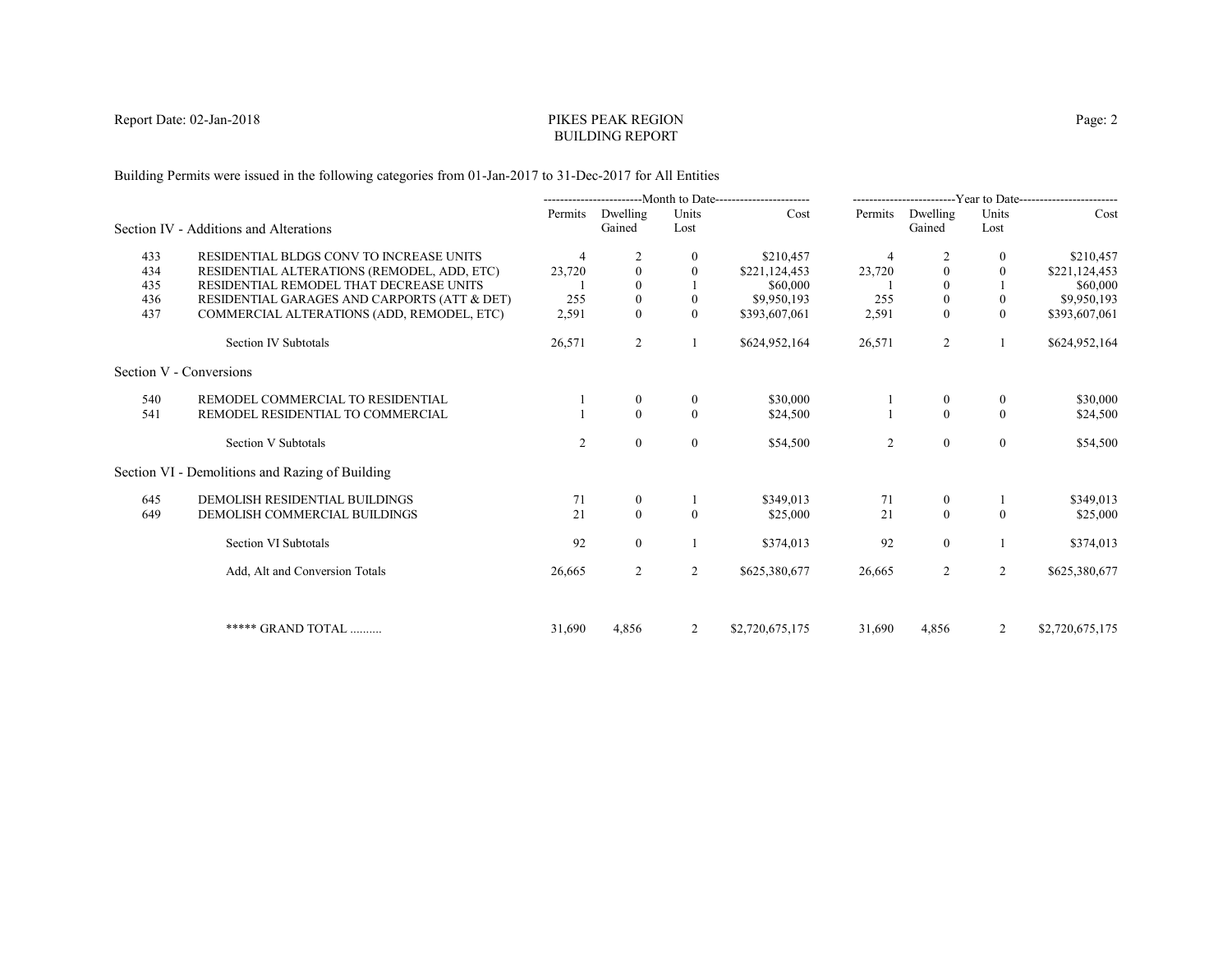# PIKES PEAK REGIONBUILDING REPORT

Building Permits were issued in the following categories from 01-Jan-2017 to 31-Dec-2017 for All Entities

|     |                                                                                        |                | ----------------------Month to Date----------------------- |               |                           | ------------------------Year to Date----------------------- |                    |                      |                           |
|-----|----------------------------------------------------------------------------------------|----------------|------------------------------------------------------------|---------------|---------------------------|-------------------------------------------------------------|--------------------|----------------------|---------------------------|
|     | Section IV - Additions and Alterations                                                 | Permits        | Dwelling<br>Gained                                         | Units<br>Lost | Cost                      | Permits                                                     | Dwelling<br>Gained | Units<br>Lost        | Cost                      |
| 433 | RESIDENTIAL BLDGS CONV TO INCREASE UNITS                                               |                |                                                            |               |                           |                                                             |                    |                      |                           |
| 434 |                                                                                        | $\overline{4}$ | $\mathbf{0}$                                               | 0<br>0        | \$210,457                 | $\overline{4}$                                              | $\theta$           | $\bf{0}$<br>$\theta$ | \$210,457                 |
| 435 | RESIDENTIAL ALTERATIONS (REMODEL, ADD, ETC)<br>RESIDENTIAL REMODEL THAT DECREASE UNITS | 23,720         | $\theta$                                                   |               | \$221,124,453<br>\$60,000 | 23,720                                                      | $\Omega$           |                      | \$221,124,453<br>\$60,000 |
| 436 | RESIDENTIAL GARAGES AND CARPORTS (ATT & DET)                                           | 255            | $\mathbf{0}$                                               | $\mathbf{0}$  | \$9,950,193               | 255                                                         | $\boldsymbol{0}$   | $\mathbf{0}$         | \$9,950,193               |
| 437 | COMMERCIAL ALTERATIONS (ADD, REMODEL, ETC)                                             | 2,591          | $\theta$                                                   | $\theta$      | \$393,607,061             | 2,591                                                       | $\theta$           | $\theta$             | \$393,607,061             |
|     | Section IV Subtotals                                                                   | 26,571         | 2                                                          |               | \$624,952,164             | 26,571                                                      | 2                  |                      | \$624,952,164             |
|     | Section V - Conversions                                                                |                |                                                            |               |                           |                                                             |                    |                      |                           |
| 540 | REMODEL COMMERCIAL TO RESIDENTIAL                                                      |                | $\theta$                                                   | $\bf{0}$      | \$30,000                  |                                                             | $\mathbf{0}$       | $\overline{0}$       | \$30,000                  |
| 541 | REMODEL RESIDENTIAL TO COMMERCIAL                                                      |                | $\Omega$                                                   | $\theta$      | \$24,500                  |                                                             | $\theta$           | $\theta$             | \$24,500                  |
|     | Section V Subtotals                                                                    | $\overline{2}$ | $\mathbf{0}$                                               | $\mathbf{0}$  | \$54,500                  | 2                                                           | $\boldsymbol{0}$   | $\overline{0}$       | \$54,500                  |
|     | Section VI - Demolitions and Razing of Building                                        |                |                                                            |               |                           |                                                             |                    |                      |                           |
| 645 | DEMOLISH RESIDENTIAL BUILDINGS                                                         | 71             | $\mathbf{0}$                                               |               | \$349,013                 | 71                                                          | $\boldsymbol{0}$   |                      | \$349,013                 |
| 649 | DEMOLISH COMMERCIAL BUILDINGS                                                          | 21             | $\mathbf{0}$                                               | $\theta$      | \$25,000                  | 21                                                          | $\mathbf{0}$       | $\theta$             | \$25,000                  |
|     | Section VI Subtotals                                                                   | 92             | $\overline{0}$                                             |               | \$374,013                 | 92                                                          | $\mathbf{0}$       |                      | \$374,013                 |
|     | Add, Alt and Conversion Totals                                                         | 26,665         | 2                                                          | 2             | \$625,380,677             | 26,665                                                      | 2                  | 2                    | \$625,380,677             |
|     |                                                                                        |                |                                                            |               |                           |                                                             |                    |                      |                           |
|     | ***** GRAND TOTAL                                                                      | 31,690         | 4,856                                                      | 2             | \$2,720,675,175           | 31,690                                                      | 4,856              | 2                    | \$2,720,675,175           |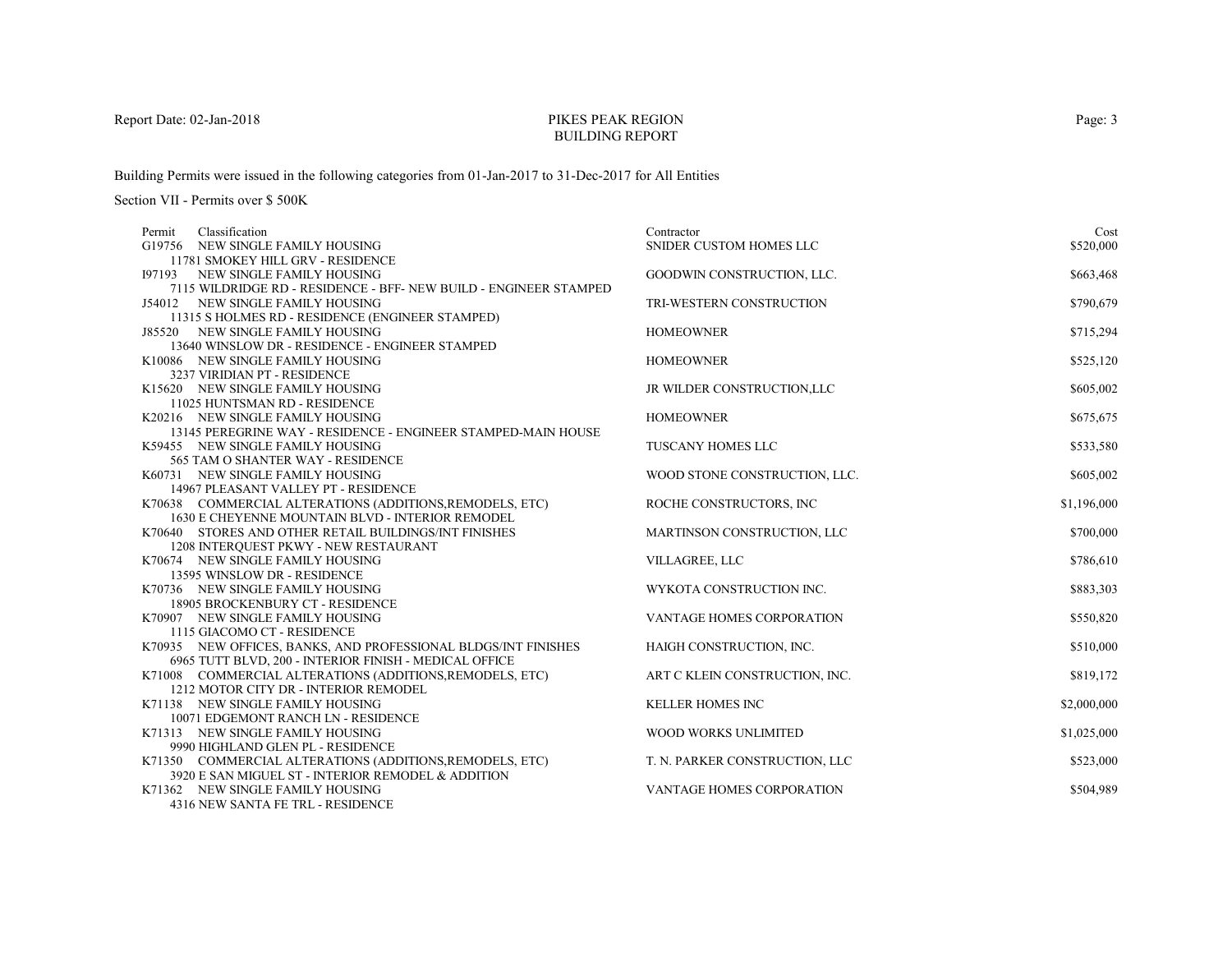# PIKES PEAK REGIONBUILDING REPORT

Building Permits were issued in the following categories from 01-Jan-2017 to 31-Dec-2017 for All Entities

Section VII - Permits over \$ 500K

| Classification<br>Permit                                                               | Contractor                       | Cost        |
|----------------------------------------------------------------------------------------|----------------------------------|-------------|
| G19756 NEW SINGLE FAMILY HOUSING                                                       | SNIDER CUSTOM HOMES LLC          | \$520,000   |
| 11781 SMOKEY HILL GRV - RESIDENCE                                                      |                                  |             |
| 197193 NEW SINGLE FAMILY HOUSING                                                       | GOODWIN CONSTRUCTION, LLC.       | \$663,468   |
| 7115 WILDRIDGE RD - RESIDENCE - BFF- NEW BUILD - ENGINEER STAMPED                      |                                  |             |
| J54012 NEW SINGLE FAMILY HOUSING                                                       | TRI-WESTERN CONSTRUCTION         | \$790,679   |
| 11315 S HOLMES RD - RESIDENCE (ENGINEER STAMPED)                                       |                                  |             |
| J85520 NEW SINGLE FAMILY HOUSING                                                       | <b>HOMEOWNER</b>                 | \$715,294   |
| 13640 WINSLOW DR - RESIDENCE - ENGINEER STAMPED                                        |                                  |             |
| K10086 NEW SINGLE FAMILY HOUSING                                                       | <b>HOMEOWNER</b>                 | \$525,120   |
| 3237 VIRIDIAN PT - RESIDENCE                                                           |                                  |             |
| K15620 NEW SINGLE FAMILY HOUSING                                                       | JR WILDER CONSTRUCTION, LLC      | \$605,002   |
| 11025 HUNTSMAN RD - RESIDENCE                                                          |                                  |             |
| K20216 NEW SINGLE FAMILY HOUSING                                                       | <b>HOMEOWNER</b>                 | \$675,675   |
| 13145 PEREGRINE WAY - RESIDENCE - ENGINEER STAMPED-MAIN HOUSE                          |                                  |             |
| K59455 NEW SINGLE FAMILY HOUSING                                                       | <b>TUSCANY HOMES LLC</b>         | \$533,580   |
| 565 TAM O SHANTER WAY - RESIDENCE                                                      |                                  |             |
| K60731 NEW SINGLE FAMILY HOUSING                                                       | WOOD STONE CONSTRUCTION, LLC.    | \$605,002   |
| 14967 PLEASANT VALLEY PT - RESIDENCE                                                   |                                  |             |
| K70638 COMMERCIAL ALTERATIONS (ADDITIONS, REMODELS, ETC)                               | ROCHE CONSTRUCTORS, INC          | \$1,196,000 |
| 1630 E CHEYENNE MOUNTAIN BLVD - INTERIOR REMODEL                                       |                                  |             |
| K70640 STORES AND OTHER RETAIL BUILDINGS/INT FINISHES                                  | MARTINSON CONSTRUCTION, LLC      | \$700,000   |
| 1208 INTERQUEST PKWY - NEW RESTAURANT                                                  |                                  |             |
| K70674 NEW SINGLE FAMILY HOUSING                                                       | VILLAGREE, LLC                   | \$786,610   |
| 13595 WINSLOW DR - RESIDENCE                                                           |                                  |             |
| K70736 NEW SINGLE FAMILY HOUSING                                                       | WYKOTA CONSTRUCTION INC.         | \$883,303   |
| 18905 BROCKENBURY CT - RESIDENCE                                                       |                                  |             |
| K70907 NEW SINGLE FAMILY HOUSING                                                       | <b>VANTAGE HOMES CORPORATION</b> | \$550,820   |
| 1115 GIACOMO CT - RESIDENCE                                                            |                                  |             |
| K70935 NEW OFFICES, BANKS, AND PROFESSIONAL BLDGS/INT FINISHES                         | HAIGH CONSTRUCTION, INC.         | \$510,000   |
| 6965 TUTT BLVD, 200 - INTERIOR FINISH - MEDICAL OFFICE                                 |                                  |             |
| K71008 COMMERCIAL ALTERATIONS (ADDITIONS, REMODELS, ETC)                               | ART C KLEIN CONSTRUCTION, INC.   | \$819,172   |
| 1212 MOTOR CITY DR - INTERIOR REMODEL                                                  |                                  |             |
| K71138 NEW SINGLE FAMILY HOUSING                                                       | <b>KELLER HOMES INC</b>          | \$2,000,000 |
| 10071 EDGEMONT RANCH LN - RESIDENCE                                                    |                                  |             |
| K71313 NEW SINGLE FAMILY HOUSING                                                       | WOOD WORKS UNLIMITED             | \$1,025,000 |
| 9990 HIGHLAND GLEN PL - RESIDENCE                                                      |                                  |             |
| K71350 COMMERCIAL ALTERATIONS (ADDITIONS, REMODELS, ETC)                               | T. N. PARKER CONSTRUCTION, LLC   | \$523,000   |
| 3920 E SAN MIGUEL ST - INTERIOR REMODEL & ADDITION<br>K71362 NEW SINGLE FAMILY HOUSING | VANTAGE HOMES CORPORATION        | \$504,989   |
| <b>A217 MEW CANTA EE TDI DECIDEMON</b>                                                 |                                  |             |

4316 NEW SANTA FE TRL - RESIDENCE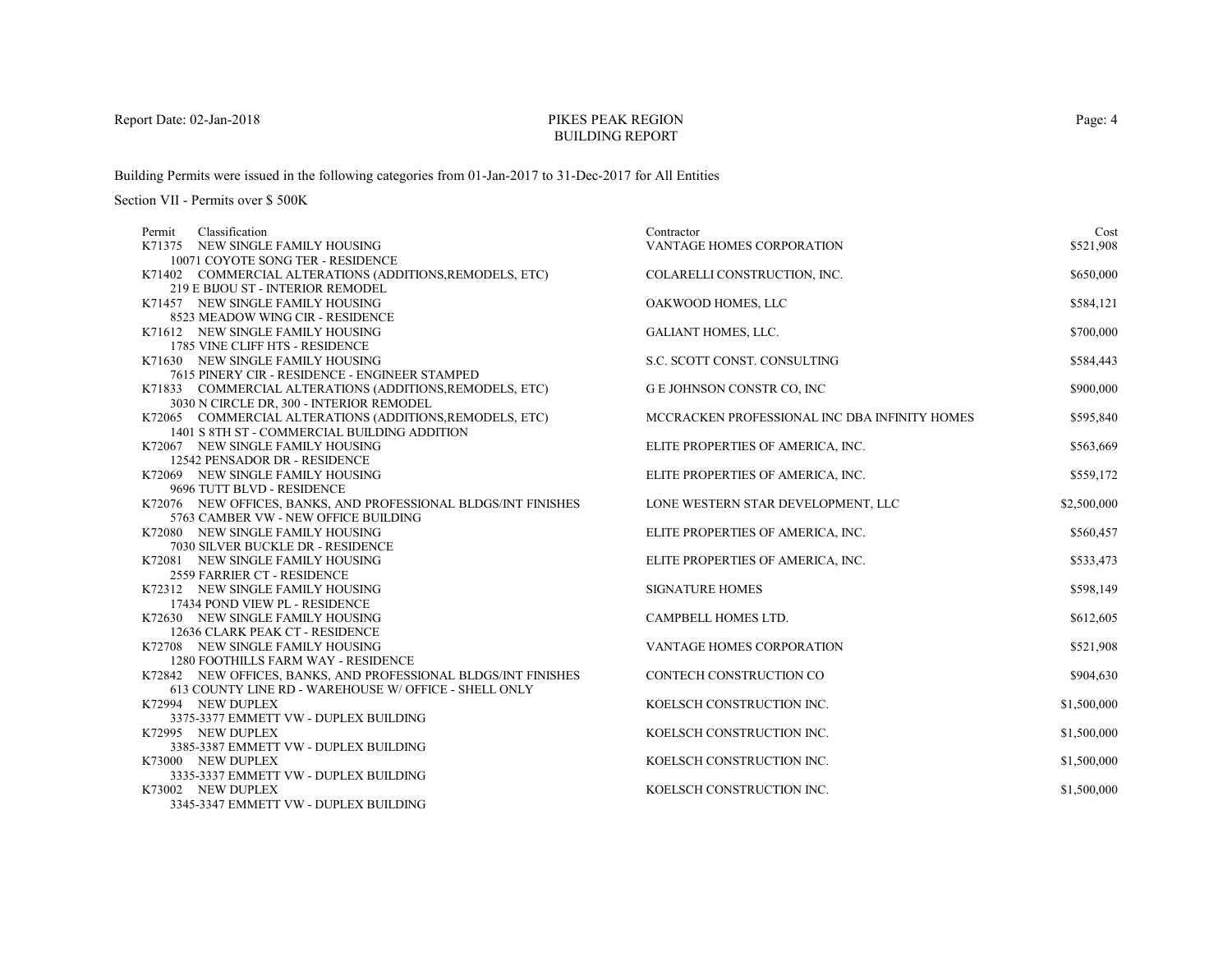# PIKES PEAK REGIONBUILDING REPORT

Building Permits were issued in the following categories from 01-Jan-2017 to 31-Dec-2017 for All Entities

Section VII - Permits over \$ 500K

| Classification<br>Permit                                       | Contractor                                    | Cost        |
|----------------------------------------------------------------|-----------------------------------------------|-------------|
| K71375 NEW SINGLE FAMILY HOUSING                               | VANTAGE HOMES CORPORATION                     | \$521,908   |
| 10071 COYOTE SONG TER - RESIDENCE                              |                                               |             |
| K71402 COMMERCIAL ALTERATIONS (ADDITIONS, REMODELS, ETC)       | COLARELLI CONSTRUCTION, INC.                  | \$650,000   |
| 219 E BIJOU ST - INTERIOR REMODEL                              |                                               |             |
| K71457 NEW SINGLE FAMILY HOUSING                               | OAKWOOD HOMES, LLC                            | \$584,121   |
| 8523 MEADOW WING CIR - RESIDENCE                               |                                               |             |
| K71612 NEW SINGLE FAMILY HOUSING                               | <b>GALIANT HOMES, LLC.</b>                    | \$700,000   |
| 1785 VINE CLIFF HTS - RESIDENCE                                |                                               |             |
| K71630 NEW SINGLE FAMILY HOUSING                               | S.C. SCOTT CONST. CONSULTING                  | \$584,443   |
| 7615 PINERY CIR - RESIDENCE - ENGINEER STAMPED                 |                                               |             |
| K71833 COMMERCIAL ALTERATIONS (ADDITIONS, REMODELS, ETC)       | G E JOHNSON CONSTR CO, INC                    | \$900,000   |
| 3030 N CIRCLE DR, 300 - INTERIOR REMODEL                       |                                               |             |
| K72065 COMMERCIAL ALTERATIONS (ADDITIONS, REMODELS, ETC)       | MCCRACKEN PROFESSIONAL INC DBA INFINITY HOMES | \$595,840   |
| 1401 S 8TH ST - COMMERCIAL BUILDING ADDITION                   |                                               |             |
| K72067 NEW SINGLE FAMILY HOUSING                               | ELITE PROPERTIES OF AMERICA, INC.             | \$563,669   |
| 12542 PENSADOR DR - RESIDENCE                                  |                                               |             |
| K72069 NEW SINGLE FAMILY HOUSING                               | ELITE PROPERTIES OF AMERICA, INC.             | \$559,172   |
| 9696 TUTT BLVD - RESIDENCE                                     |                                               |             |
| K72076 NEW OFFICES, BANKS, AND PROFESSIONAL BLDGS/INT FINISHES | LONE WESTERN STAR DEVELOPMENT, LLC            | \$2,500,000 |
| 5763 CAMBER VW - NEW OFFICE BUILDING                           |                                               |             |
| K72080 NEW SINGLE FAMILY HOUSING                               | ELITE PROPERTIES OF AMERICA, INC.             | \$560,457   |
| 7030 SILVER BUCKLE DR - RESIDENCE                              |                                               |             |
| K72081 NEW SINGLE FAMILY HOUSING                               | ELITE PROPERTIES OF AMERICA, INC.             | \$533,473   |
| 2559 FARRIER CT - RESIDENCE                                    |                                               |             |
| K72312 NEW SINGLE FAMILY HOUSING                               | <b>SIGNATURE HOMES</b>                        | \$598,149   |
| 17434 POND VIEW PL - RESIDENCE                                 |                                               |             |
| K72630 NEW SINGLE FAMILY HOUSING                               | CAMPBELL HOMES LTD.                           | \$612,605   |
| 12636 CLARK PEAK CT - RESIDENCE                                |                                               |             |
| K72708 NEW SINGLE FAMILY HOUSING                               | VANTAGE HOMES CORPORATION                     | \$521,908   |
| 1280 FOOTHILLS FARM WAY - RESIDENCE                            |                                               |             |
| K72842 NEW OFFICES, BANKS, AND PROFESSIONAL BLDGS/INT FINISHES | CONTECH CONSTRUCTION CO                       | \$904,630   |
| 613 COUNTY LINE RD - WAREHOUSE W/ OFFICE - SHELL ONLY          |                                               |             |
| K72994 NEW DUPLEX                                              | KOELSCH CONSTRUCTION INC.                     | \$1,500,000 |
| 3375-3377 EMMETT VW - DUPLEX BUILDING                          |                                               |             |
| K72995 NEW DUPLEX                                              | KOELSCH CONSTRUCTION INC.                     | \$1,500,000 |
| 3385-3387 EMMETT VW - DUPLEX BUILDING<br>K73000 NEW DUPLEX     | KOELSCH CONSTRUCTION INC.                     |             |
| 3335-3337 EMMETT VW - DUPLEX BUILDING                          |                                               | \$1,500,000 |
| K73002 NEW DUPLEX                                              | KOELSCH CONSTRUCTION INC.                     | \$1,500,000 |
| 2245 2247 EMMETT VWL INJINI EV DUIT DIMC                       |                                               |             |

3345-3347 EMMETT VW - DUPLEX BUILDING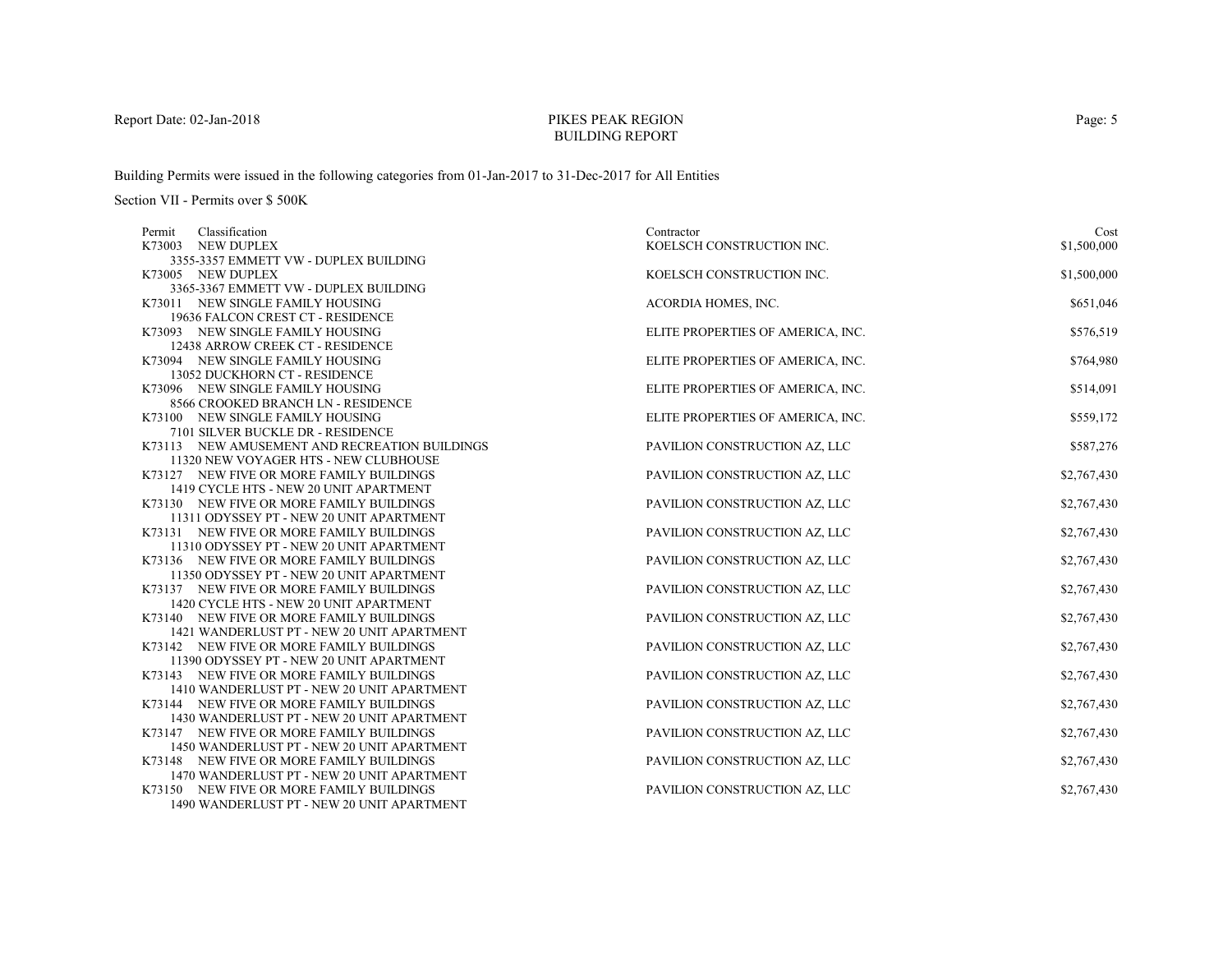# PIKES PEAK REGIONBUILDING REPORT

Building Permits were issued in the following categories from 01-Jan-2017 to 31-Dec-2017 for All Entities

| Classification<br>Permit                                                           | Contractor                        | Cost        |
|------------------------------------------------------------------------------------|-----------------------------------|-------------|
| K73003<br><b>NEW DUPLEX</b>                                                        | KOELSCH CONSTRUCTION INC.         | \$1,500,000 |
| 3355-3357 EMMETT VW - DUPLEX BUILDING                                              |                                   |             |
| K73005 NEW DUPLEX                                                                  | KOELSCH CONSTRUCTION INC.         | \$1,500,000 |
| 3365-3367 EMMETT VW - DUPLEX BUILDING                                              |                                   |             |
| K73011 NEW SINGLE FAMILY HOUSING                                                   | ACORDIA HOMES, INC.               | \$651,046   |
| 19636 FALCON CREST CT - RESIDENCE                                                  |                                   |             |
| K73093 NEW SINGLE FAMILY HOUSING                                                   | ELITE PROPERTIES OF AMERICA, INC. | \$576,519   |
| 12438 ARROW CREEK CT - RESIDENCE                                                   |                                   |             |
| K73094 NEW SINGLE FAMILY HOUSING                                                   | ELITE PROPERTIES OF AMERICA, INC. | \$764,980   |
| 13052 DUCKHORN CT - RESIDENCE                                                      |                                   |             |
| K73096 NEW SINGLE FAMILY HOUSING                                                   | ELITE PROPERTIES OF AMERICA, INC. | \$514,091   |
| 8566 CROOKED BRANCH LN - RESIDENCE                                                 |                                   |             |
| K73100 NEW SINGLE FAMILY HOUSING                                                   | ELITE PROPERTIES OF AMERICA, INC. | \$559,172   |
| 7101 SILVER BUCKLE DR - RESIDENCE                                                  |                                   |             |
| K73113 NEW AMUSEMENT AND RECREATION BUILDINGS                                      | PAVILION CONSTRUCTION AZ, LLC     | \$587,276   |
| 11320 NEW VOYAGER HTS - NEW CLUBHOUSE                                              |                                   |             |
| K73127 NEW FIVE OR MORE FAMILY BUILDINGS                                           | PAVILION CONSTRUCTION AZ, LLC     | \$2,767,430 |
| 1419 CYCLE HTS - NEW 20 UNIT APARTMENT                                             |                                   |             |
| K73130 NEW FIVE OR MORE FAMILY BUILDINGS                                           | PAVILION CONSTRUCTION AZ, LLC     | \$2,767,430 |
| 11311 ODYSSEY PT - NEW 20 UNIT APARTMENT                                           |                                   |             |
| K73131 NEW FIVE OR MORE FAMILY BUILDINGS                                           | PAVILION CONSTRUCTION AZ, LLC     | \$2,767,430 |
| 11310 ODYSSEY PT - NEW 20 UNIT APARTMENT                                           |                                   |             |
| K73136 NEW FIVE OR MORE FAMILY BUILDINGS                                           | PAVILION CONSTRUCTION AZ, LLC     | \$2,767,430 |
| 11350 ODYSSEY PT - NEW 20 UNIT APARTMENT                                           |                                   |             |
| K73137 NEW FIVE OR MORE FAMILY BUILDINGS                                           | PAVILION CONSTRUCTION AZ, LLC     | \$2,767,430 |
| 1420 CYCLE HTS - NEW 20 UNIT APARTMENT<br>K73140 NEW FIVE OR MORE FAMILY BUILDINGS | PAVILION CONSTRUCTION AZ, LLC     |             |
| 1421 WANDERLUST PT - NEW 20 UNIT APARTMENT                                         |                                   | \$2,767,430 |
| K73142 NEW FIVE OR MORE FAMILY BUILDINGS                                           | PAVILION CONSTRUCTION AZ, LLC     | \$2,767,430 |
| 11390 ODYSSEY PT - NEW 20 UNIT APARTMENT                                           |                                   |             |
| K73143 NEW FIVE OR MORE FAMILY BUILDINGS                                           | PAVILION CONSTRUCTION AZ, LLC     | \$2,767,430 |
| 1410 WANDERLUST PT - NEW 20 UNIT APARTMENT                                         |                                   |             |
| K73144 NEW FIVE OR MORE FAMILY BUILDINGS                                           | PAVILION CONSTRUCTION AZ, LLC     | \$2,767,430 |
| 1430 WANDERLUST PT - NEW 20 UNIT APARTMENT                                         |                                   |             |
| K73147 NEW FIVE OR MORE FAMILY BUILDINGS                                           | PAVILION CONSTRUCTION AZ, LLC     | \$2,767,430 |
| 1450 WANDERLUST PT - NEW 20 UNIT APARTMENT                                         |                                   |             |
| K73148 NEW FIVE OR MORE FAMILY BUILDINGS                                           | PAVILION CONSTRUCTION AZ, LLC     | \$2,767,430 |
| 1470 WANDERLUST PT - NEW 20 UNIT APARTMENT                                         |                                   |             |
| K73150 NEW FIVE OR MORE FAMILY BUILDINGS                                           | PAVILION CONSTRUCTION AZ, LLC     | \$2,767,430 |
| 1490 WANDERLUST PT - NEW 20 UNIT APARTMENT                                         |                                   |             |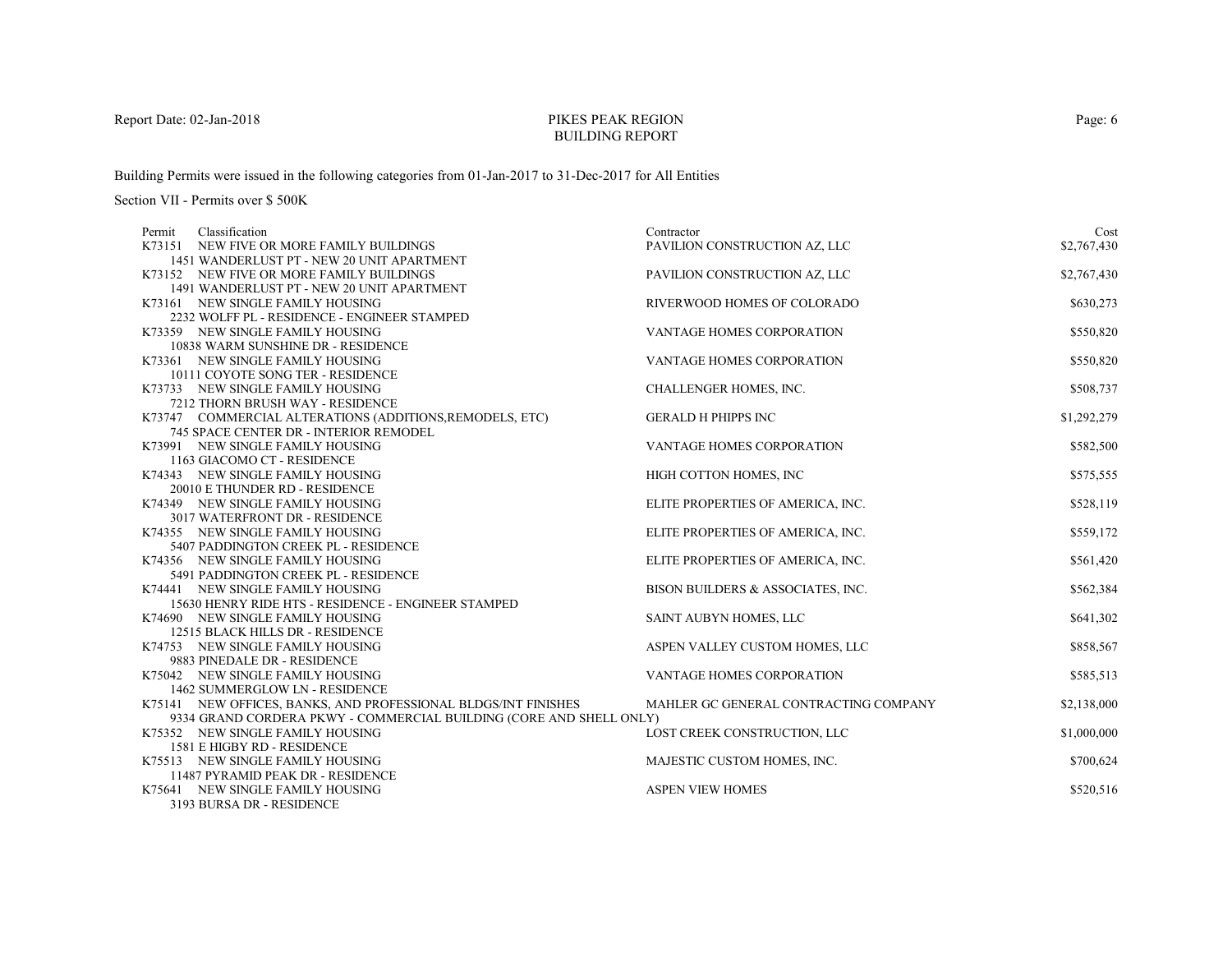# PIKES PEAK REGIONBUILDING REPORT

Building Permits were issued in the following categories from 01-Jan-2017 to 31-Dec-2017 for All Entities

Section VII - Permits over \$ 500K

| Classification<br>Permit                                                                                                              | Contractor                            | Cost        |
|---------------------------------------------------------------------------------------------------------------------------------------|---------------------------------------|-------------|
| K73151 NEW FIVE OR MORE FAMILY BUILDINGS                                                                                              | PAVILION CONSTRUCTION AZ, LLC         | \$2,767,430 |
| 1451 WANDERLUST PT - NEW 20 UNIT APARTMENT                                                                                            |                                       |             |
| K73152 NEW FIVE OR MORE FAMILY BUILDINGS                                                                                              | PAVILION CONSTRUCTION AZ, LLC         | \$2,767,430 |
| 1491 WANDERLUST PT - NEW 20 UNIT APARTMENT                                                                                            |                                       |             |
| K73161 NEW SINGLE FAMILY HOUSING                                                                                                      | RIVERWOOD HOMES OF COLORADO           | \$630,273   |
| 2232 WOLFF PL - RESIDENCE - ENGINEER STAMPED                                                                                          |                                       |             |
| K73359 NEW SINGLE FAMILY HOUSING                                                                                                      | VANTAGE HOMES CORPORATION             | \$550,820   |
| 10838 WARM SUNSHINE DR - RESIDENCE                                                                                                    |                                       |             |
| K73361 NEW SINGLE FAMILY HOUSING                                                                                                      | <b>VANTAGE HOMES CORPORATION</b>      | \$550,820   |
| 10111 COYOTE SONG TER - RESIDENCE                                                                                                     |                                       |             |
| K73733 NEW SINGLE FAMILY HOUSING                                                                                                      | CHALLENGER HOMES, INC.                | \$508,737   |
| 7212 THORN BRUSH WAY - RESIDENCE                                                                                                      |                                       |             |
| K73747 COMMERCIAL ALTERATIONS (ADDITIONS, REMODELS, ETC)                                                                              | <b>GERALD H PHIPPS INC</b>            | \$1,292,279 |
| 745 SPACE CENTER DR - INTERIOR REMODEL                                                                                                |                                       |             |
| K73991 NEW SINGLE FAMILY HOUSING                                                                                                      | <b>VANTAGE HOMES CORPORATION</b>      | \$582,500   |
| 1163 GIACOMO CT - RESIDENCE                                                                                                           |                                       |             |
| K74343 NEW SINGLE FAMILY HOUSING                                                                                                      | HIGH COTTON HOMES, INC                | \$575,555   |
| 20010 E THUNDER RD - RESIDENCE                                                                                                        |                                       |             |
| K74349 NEW SINGLE FAMILY HOUSING                                                                                                      | ELITE PROPERTIES OF AMERICA, INC.     | \$528,119   |
| 3017 WATERFRONT DR - RESIDENCE                                                                                                        |                                       |             |
| K74355 NEW SINGLE FAMILY HOUSING                                                                                                      | ELITE PROPERTIES OF AMERICA, INC.     | \$559,172   |
| 5407 PADDINGTON CREEK PL - RESIDENCE                                                                                                  |                                       |             |
| K74356 NEW SINGLE FAMILY HOUSING                                                                                                      | ELITE PROPERTIES OF AMERICA, INC.     | \$561,420   |
| 5491 PADDINGTON CREEK PL - RESIDENCE                                                                                                  |                                       |             |
| K74441 NEW SINGLE FAMILY HOUSING                                                                                                      | BISON BUILDERS & ASSOCIATES, INC.     | \$562,384   |
| 15630 HENRY RIDE HTS - RESIDENCE - ENGINEER STAMPED                                                                                   |                                       |             |
| K74690 NEW SINGLE FAMILY HOUSING                                                                                                      | SAINT AUBYN HOMES, LLC                | \$641,302   |
| 12515 BLACK HILLS DR - RESIDENCE                                                                                                      |                                       |             |
| K74753 NEW SINGLE FAMILY HOUSING                                                                                                      | ASPEN VALLEY CUSTOM HOMES, LLC        | \$858,567   |
| 9883 PINEDALE DR - RESIDENCE                                                                                                          |                                       |             |
| K75042 NEW SINGLE FAMILY HOUSING                                                                                                      | <b>VANTAGE HOMES CORPORATION</b>      | \$585,513   |
| 1462 SUMMERGLOW LN - RESIDENCE                                                                                                        |                                       |             |
| K75141 NEW OFFICES, BANKS, AND PROFESSIONAL BLDGS/INT FINISHES<br>9334 GRAND CORDERA PKWY - COMMERCIAL BUILDING (CORE AND SHELL ONLY) | MAHLER GC GENERAL CONTRACTING COMPANY | \$2,138,000 |
| K75352 NEW SINGLE FAMILY HOUSING                                                                                                      |                                       |             |
| 1581 E HIGBY RD - RESIDENCE                                                                                                           | LOST CREEK CONSTRUCTION, LLC          | \$1,000,000 |
| K75513 NEW SINGLE FAMILY HOUSING                                                                                                      | MAJESTIC CUSTOM HOMES, INC.           | \$700,624   |
| 11487 PYRAMID PEAK DR - RESIDENCE                                                                                                     |                                       |             |
| K75641 NEW SINGLE FAMILY HOUSING                                                                                                      | <b>ASPEN VIEW HOMES</b>               | \$520,516   |
| 2102 ULD CA DD DECIDEMATE                                                                                                             |                                       |             |

3193 BURSA DR - RESIDENCE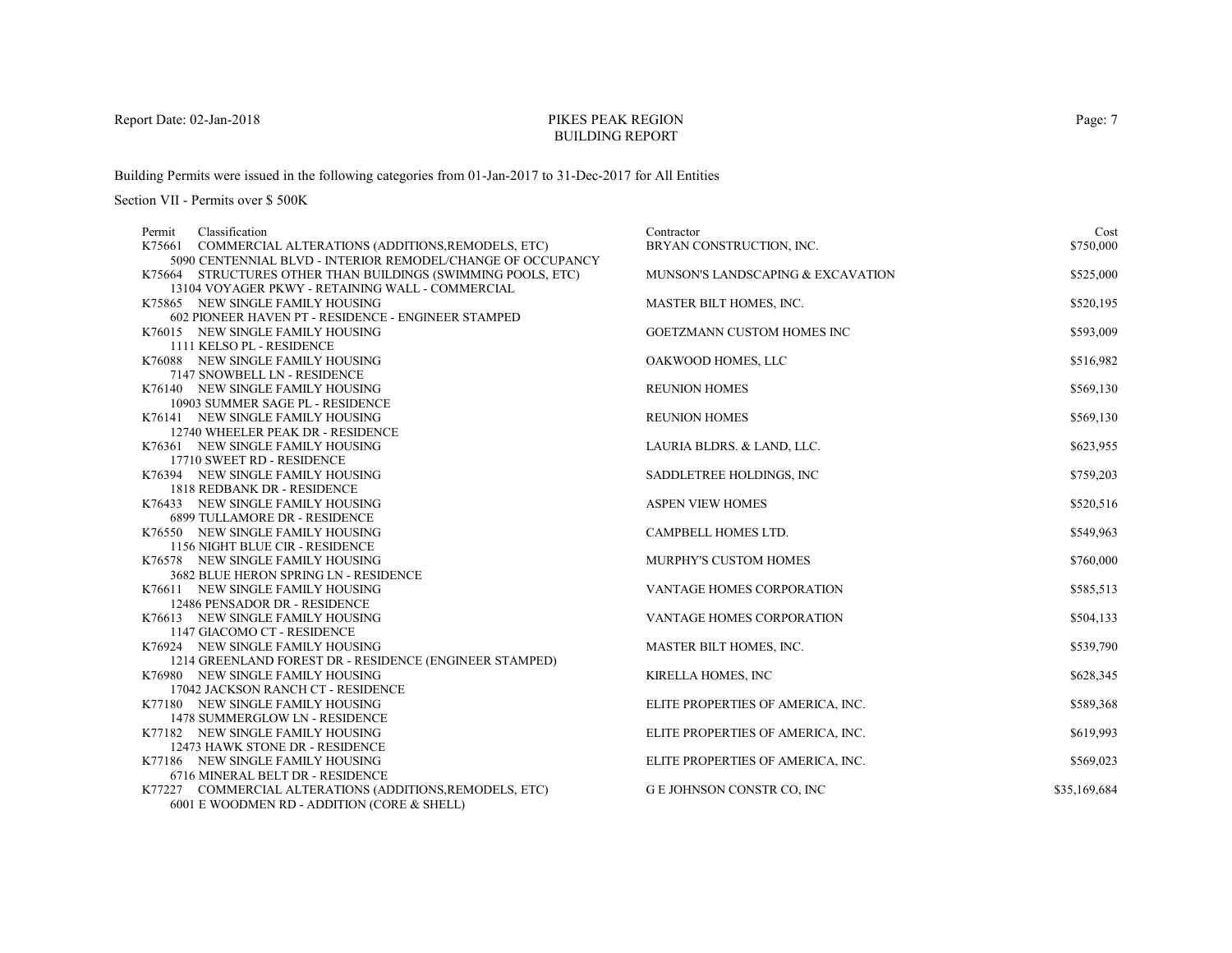# PIKES PEAK REGIONBUILDING REPORT

Building Permits were issued in the following categories from 01-Jan-2017 to 31-Dec-2017 for All Entities

| Classification<br>Permit                                     | Contractor                        | Cost         |
|--------------------------------------------------------------|-----------------------------------|--------------|
| COMMERCIAL ALTERATIONS (ADDITIONS, REMODELS, ETC)<br>K75661  | BRYAN CONSTRUCTION, INC.          | \$750,000    |
| 5090 CENTENNIAL BLVD - INTERIOR REMODEL/CHANGE OF OCCUPANCY  |                                   |              |
| K75664 STRUCTURES OTHER THAN BUILDINGS (SWIMMING POOLS, ETC) | MUNSON'S LANDSCAPING & EXCAVATION | \$525,000    |
| 13104 VOYAGER PKWY - RETAINING WALL - COMMERCIAL             |                                   |              |
| K75865 NEW SINGLE FAMILY HOUSING                             | MASTER BILT HOMES, INC.           | \$520,195    |
| 602 PIONEER HAVEN PT - RESIDENCE - ENGINEER STAMPED          |                                   |              |
| K76015 NEW SINGLE FAMILY HOUSING                             | GOETZMANN CUSTOM HOMES INC        | \$593,009    |
| 1111 KELSO PL - RESIDENCE                                    |                                   |              |
| K76088 NEW SINGLE FAMILY HOUSING                             | OAKWOOD HOMES, LLC                | \$516,982    |
| 7147 SNOWBELL LN - RESIDENCE                                 |                                   |              |
| K76140 NEW SINGLE FAMILY HOUSING                             | <b>REUNION HOMES</b>              | \$569,130    |
| 10903 SUMMER SAGE PL - RESIDENCE                             |                                   |              |
| K76141 NEW SINGLE FAMILY HOUSING                             | <b>REUNION HOMES</b>              | \$569,130    |
| 12740 WHEELER PEAK DR - RESIDENCE                            |                                   |              |
| K76361 NEW SINGLE FAMILY HOUSING                             | LAURIA BLDRS. & LAND, LLC.        | \$623,955    |
| 17710 SWEET RD - RESIDENCE                                   |                                   |              |
| K76394 NEW SINGLE FAMILY HOUSING                             | SADDLETREE HOLDINGS, INC.         | \$759,203    |
| 1818 REDBANK DR - RESIDENCE                                  |                                   |              |
| K76433 NEW SINGLE FAMILY HOUSING                             | <b>ASPEN VIEW HOMES</b>           | \$520,516    |
| <b>6899 TULLAMORE DR - RESIDENCE</b>                         |                                   |              |
| K76550 NEW SINGLE FAMILY HOUSING                             | CAMPBELL HOMES LTD.               | \$549,963    |
| 1156 NIGHT BLUE CIR - RESIDENCE                              |                                   |              |
| K76578 NEW SINGLE FAMILY HOUSING                             | <b>MURPHY'S CUSTOM HOMES</b>      | \$760,000    |
| 3682 BLUE HERON SPRING LN - RESIDENCE                        |                                   |              |
| K76611 NEW SINGLE FAMILY HOUSING                             | VANTAGE HOMES CORPORATION         | \$585,513    |
| 12486 PENSADOR DR - RESIDENCE                                |                                   |              |
| K76613 NEW SINGLE FAMILY HOUSING                             | VANTAGE HOMES CORPORATION         | \$504,133    |
| 1147 GIACOMO CT - RESIDENCE                                  |                                   |              |
| K76924 NEW SINGLE FAMILY HOUSING                             | MASTER BILT HOMES, INC.           | \$539,790    |
| 1214 GREENLAND FOREST DR - RESIDENCE (ENGINEER STAMPED)      |                                   |              |
| K76980 NEW SINGLE FAMILY HOUSING                             | KIRELLA HOMES, INC                | \$628,345    |
| 17042 JACKSON RANCH CT - RESIDENCE                           |                                   |              |
| K77180 NEW SINGLE FAMILY HOUSING                             | ELITE PROPERTIES OF AMERICA, INC. | \$589,368    |
| 1478 SUMMERGLOW LN - RESIDENCE                               |                                   |              |
| K77182 NEW SINGLE FAMILY HOUSING                             | ELITE PROPERTIES OF AMERICA, INC. | \$619,993    |
| 12473 HAWK STONE DR - RESIDENCE                              |                                   |              |
| K77186 NEW SINGLE FAMILY HOUSING                             | ELITE PROPERTIES OF AMERICA, INC. | \$569,023    |
| 6716 MINERAL BELT DR - RESIDENCE                             |                                   |              |
| K77227 COMMERCIAL ALTERATIONS (ADDITIONS, REMODELS, ETC)     | <b>GE JOHNSON CONSTR CO, INC</b>  | \$35,169,684 |
| 6001 E WOODMEN RD - ADDITION (CORE & SHELL)                  |                                   |              |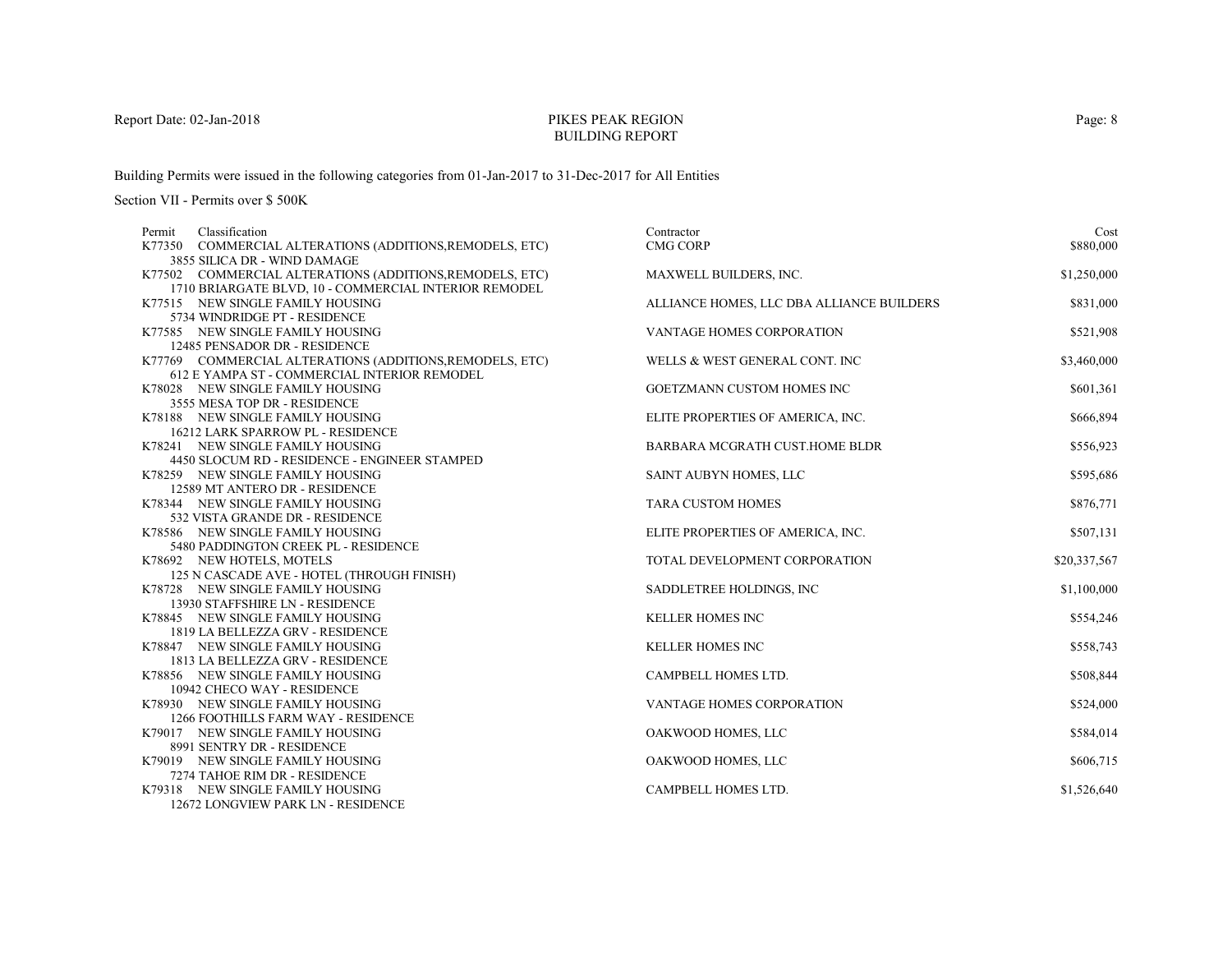# PIKES PEAK REGIONBUILDING REPORT

Building Permits were issued in the following categories from 01-Jan-2017 to 31-Dec-2017 for All Entities

| Classification<br>Permit                                                | Contractor                                | Cost         |
|-------------------------------------------------------------------------|-------------------------------------------|--------------|
| K77350 COMMERCIAL ALTERATIONS (ADDITIONS, REMODELS, ETC)                | <b>CMG CORP</b>                           | \$880,000    |
| 3855 SILICA DR - WIND DAMAGE                                            |                                           |              |
| K77502 COMMERCIAL ALTERATIONS (ADDITIONS, REMODELS, ETC)                | MAXWELL BUILDERS, INC.                    | \$1,250,000  |
| 1710 BRIARGATE BLVD, 10 - COMMERCIAL INTERIOR REMODEL                   |                                           |              |
| K77515 NEW SINGLE FAMILY HOUSING                                        | ALLIANCE HOMES, LLC DBA ALLIANCE BUILDERS | \$831,000    |
| 5734 WINDRIDGE PT - RESIDENCE                                           |                                           |              |
| K77585 NEW SINGLE FAMILY HOUSING                                        | <b>VANTAGE HOMES CORPORATION</b>          | \$521,908    |
| 12485 PENSADOR DR - RESIDENCE                                           |                                           |              |
| K77769 COMMERCIAL ALTERATIONS (ADDITIONS, REMODELS, ETC)                | WELLS & WEST GENERAL CONT. INC            | \$3,460,000  |
| <b>612 E YAMPA ST - COMMERCIAL INTERIOR REMODEL</b>                     |                                           |              |
| K78028 NEW SINGLE FAMILY HOUSING                                        | GOETZMANN CUSTOM HOMES INC                | \$601,361    |
| 3555 MESA TOP DR - RESIDENCE                                            |                                           |              |
| K78188 NEW SINGLE FAMILY HOUSING                                        | ELITE PROPERTIES OF AMERICA, INC.         | \$666,894    |
| 16212 LARK SPARROW PL - RESIDENCE                                       |                                           |              |
| K78241 NEW SINGLE FAMILY HOUSING                                        | BARBARA MCGRATH CUST.HOME BLDR            | \$556,923    |
| 4450 SLOCUM RD - RESIDENCE - ENGINEER STAMPED                           |                                           |              |
| K78259 NEW SINGLE FAMILY HOUSING                                        | SAINT AUBYN HOMES, LLC                    | \$595,686    |
| 12589 MT ANTERO DR - RESIDENCE                                          |                                           |              |
| K78344 NEW SINGLE FAMILY HOUSING                                        | <b>TARA CUSTOM HOMES</b>                  | \$876,771    |
| 532 VISTA GRANDE DR - RESIDENCE                                         |                                           |              |
| K78586 NEW SINGLE FAMILY HOUSING                                        | ELITE PROPERTIES OF AMERICA, INC.         | \$507,131    |
| 5480 PADDINGTON CREEK PL - RESIDENCE                                    |                                           | \$20,337,567 |
| K78692 NEW HOTELS, MOTELS<br>125 N CASCADE AVE - HOTEL (THROUGH FINISH) | TOTAL DEVELOPMENT CORPORATION             |              |
| K78728 NEW SINGLE FAMILY HOUSING                                        | SADDLETREE HOLDINGS, INC                  | \$1,100,000  |
| 13930 STAFFSHIRE LN - RESIDENCE                                         |                                           |              |
| K78845 NEW SINGLE FAMILY HOUSING                                        | <b>KELLER HOMES INC</b>                   | \$554,246    |
| 1819 LA BELLEZZA GRV - RESIDENCE                                        |                                           |              |
| K78847 NEW SINGLE FAMILY HOUSING                                        | <b>KELLER HOMES INC</b>                   | \$558,743    |
| 1813 LA BELLEZZA GRV - RESIDENCE                                        |                                           |              |
| K78856 NEW SINGLE FAMILY HOUSING                                        | CAMPBELL HOMES LTD.                       | \$508,844    |
| 10942 CHECO WAY - RESIDENCE                                             |                                           |              |
| K78930 NEW SINGLE FAMILY HOUSING                                        | VANTAGE HOMES CORPORATION                 | \$524,000    |
| 1266 FOOTHILLS FARM WAY - RESIDENCE                                     |                                           |              |
| K79017 NEW SINGLE FAMILY HOUSING                                        | OAKWOOD HOMES, LLC                        | \$584,014    |
| 8991 SENTRY DR - RESIDENCE                                              |                                           |              |
| K79019 NEW SINGLE FAMILY HOUSING                                        | OAKWOOD HOMES, LLC                        | \$606,715    |
| 7274 TAHOE RIM DR - RESIDENCE                                           |                                           |              |
| K79318 NEW SINGLE FAMILY HOUSING                                        | CAMPBELL HOMES LTD.                       | \$1,526,640  |
| 12672 LONGVIEW PARK LN - RESIDENCE                                      |                                           |              |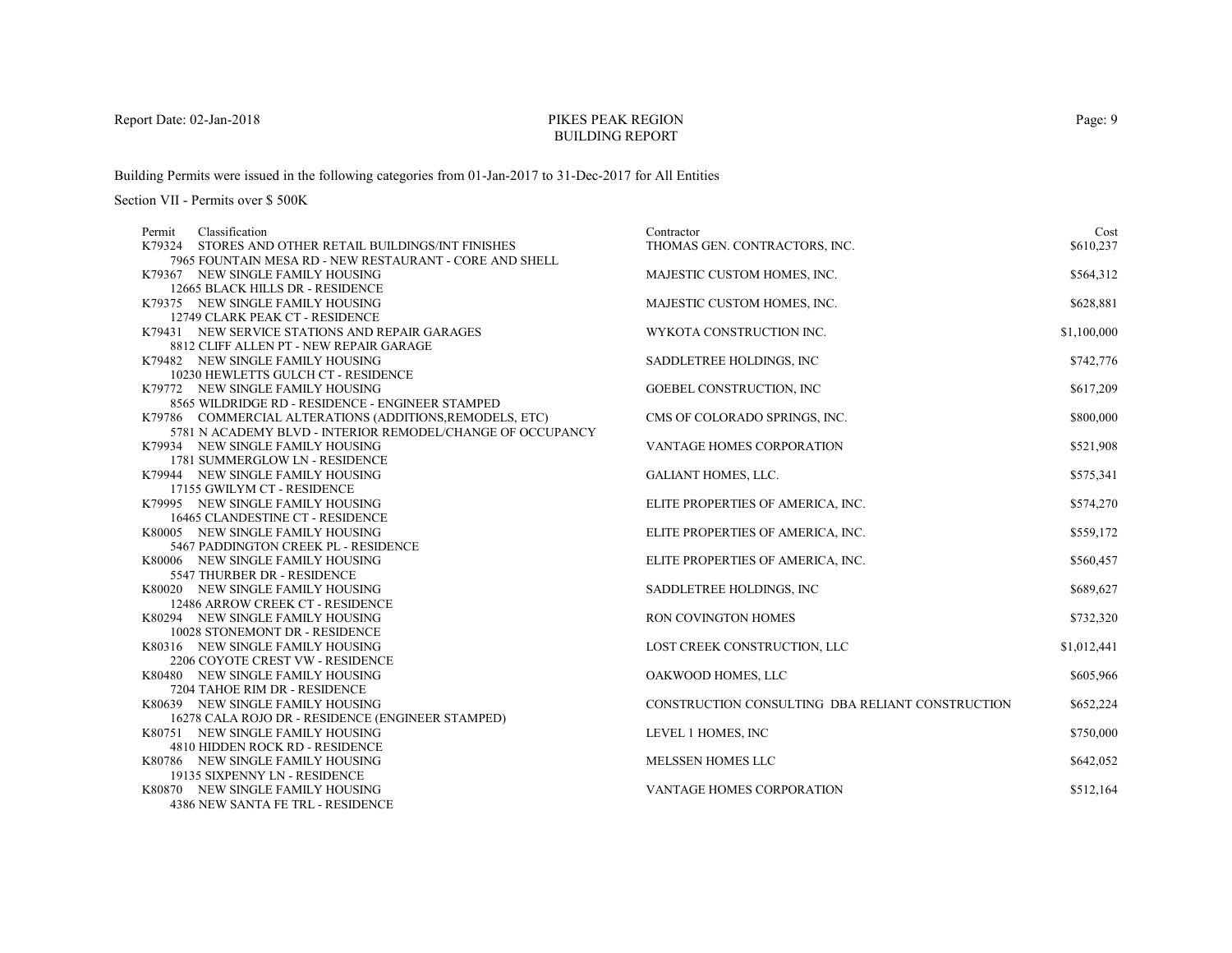# PIKES PEAK REGIONBUILDING REPORT

Building Permits were issued in the following categories from 01-Jan-2017 to 31-Dec-2017 for All Entities

| Classification<br>Permit                                        | Contractor                                       | Cost        |
|-----------------------------------------------------------------|--------------------------------------------------|-------------|
| K79324 STORES AND OTHER RETAIL BUILDINGS/INT FINISHES           | THOMAS GEN. CONTRACTORS, INC.                    | \$610,237   |
| 7965 FOUNTAIN MESA RD - NEW RESTAURANT - CORE AND SHELL         |                                                  |             |
| K79367 NEW SINGLE FAMILY HOUSING                                | MAJESTIC CUSTOM HOMES, INC.                      | \$564,312   |
| 12665 BLACK HILLS DR - RESIDENCE                                |                                                  |             |
| K79375 NEW SINGLE FAMILY HOUSING                                | MAJESTIC CUSTOM HOMES, INC.                      | \$628,881   |
| 12749 CLARK PEAK CT - RESIDENCE                                 |                                                  |             |
| K79431 NEW SERVICE STATIONS AND REPAIR GARAGES                  | WYKOTA CONSTRUCTION INC.                         | \$1,100,000 |
| 8812 CLIFF ALLEN PT - NEW REPAIR GARAGE                         |                                                  |             |
| K79482 NEW SINGLE FAMILY HOUSING                                | SADDLETREE HOLDINGS, INC                         | \$742,776   |
| 10230 HEWLETTS GULCH CT - RESIDENCE                             |                                                  |             |
| K79772 NEW SINGLE FAMILY HOUSING                                | GOEBEL CONSTRUCTION, INC                         | \$617,209   |
| 8565 WILDRIDGE RD - RESIDENCE - ENGINEER STAMPED                |                                                  |             |
| K79786 COMMERCIAL ALTERATIONS (ADDITIONS, REMODELS, ETC)        | CMS OF COLORADO SPRINGS, INC.                    | \$800,000   |
| 5781 N ACADEMY BLVD - INTERIOR REMODEL/CHANGE OF OCCUPANCY      |                                                  |             |
| K79934 NEW SINGLE FAMILY HOUSING                                | VANTAGE HOMES CORPORATION                        | \$521,908   |
| 1781 SUMMERGLOW LN - RESIDENCE                                  |                                                  |             |
| K79944 NEW SINGLE FAMILY HOUSING                                | <b>GALIANT HOMES, LLC.</b>                       | \$575,341   |
| 17155 GWILYM CT - RESIDENCE<br>K79995 NEW SINGLE FAMILY HOUSING | ELITE PROPERTIES OF AMERICA, INC.                | \$574,270   |
| 16465 CLANDESTINE CT - RESIDENCE                                |                                                  |             |
| K80005 NEW SINGLE FAMILY HOUSING                                | ELITE PROPERTIES OF AMERICA, INC.                | \$559,172   |
| 5467 PADDINGTON CREEK PL - RESIDENCE                            |                                                  |             |
| K80006 NEW SINGLE FAMILY HOUSING                                | ELITE PROPERTIES OF AMERICA, INC.                | \$560,457   |
| 5547 THURBER DR - RESIDENCE                                     |                                                  |             |
| K80020 NEW SINGLE FAMILY HOUSING                                | SADDLETREE HOLDINGS, INC                         | \$689,627   |
| 12486 ARROW CREEK CT - RESIDENCE                                |                                                  |             |
| K80294 NEW SINGLE FAMILY HOUSING                                | RON COVINGTON HOMES                              | \$732,320   |
| 10028 STONEMONT DR - RESIDENCE                                  |                                                  |             |
| K80316 NEW SINGLE FAMILY HOUSING                                | LOST CREEK CONSTRUCTION, LLC                     | \$1,012,441 |
| 2206 COYOTE CREST VW - RESIDENCE                                |                                                  |             |
| K80480 NEW SINGLE FAMILY HOUSING                                | OAKWOOD HOMES, LLC                               | \$605,966   |
| 7204 TAHOE RIM DR - RESIDENCE                                   |                                                  |             |
| K80639 NEW SINGLE FAMILY HOUSING                                | CONSTRUCTION CONSULTING DBA RELIANT CONSTRUCTION | \$652,224   |
| 16278 CALA ROJO DR - RESIDENCE (ENGINEER STAMPED)               |                                                  |             |
| K80751 NEW SINGLE FAMILY HOUSING                                | LEVEL 1 HOMES, INC                               | \$750,000   |
| 4810 HIDDEN ROCK RD - RESIDENCE                                 |                                                  |             |
| K80786 NEW SINGLE FAMILY HOUSING                                | MELSSEN HOMES LLC                                | \$642,052   |
| 19135 SIXPENNY LN - RESIDENCE                                   |                                                  |             |
| K80870 NEW SINGLE FAMILY HOUSING                                | VANTAGE HOMES CORPORATION                        | \$512,164   |
| 4386 NEW SANTA FE TRL - RESIDENCE                               |                                                  |             |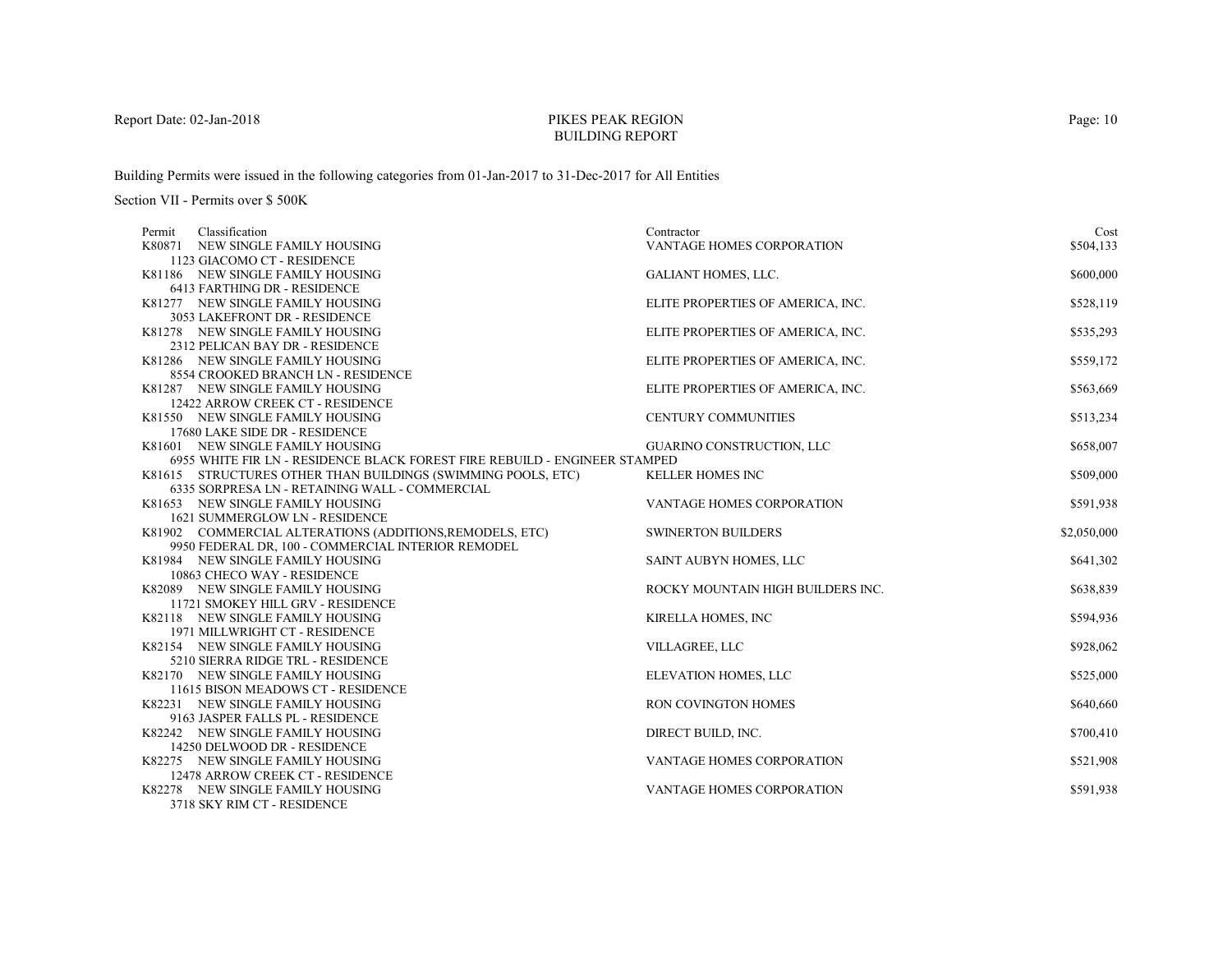# PIKES PEAK REGIONBUILDING REPORT

Building Permits were issued in the following categories from 01-Jan-2017 to 31-Dec-2017 for All Entities

| Cost                                                                                                                                                       | Contractor                                                                                                                                                                                                                                                                                                                                                                                                                                                   | Classification                                                                                                                                                                                                                                                                                                                                                                                                                                                                                                                                                                                                                                                                                                                                                                                                                                                                                                                                                                                                                                                                                                                                                                                                                                                                                                          | Permit |
|------------------------------------------------------------------------------------------------------------------------------------------------------------|--------------------------------------------------------------------------------------------------------------------------------------------------------------------------------------------------------------------------------------------------------------------------------------------------------------------------------------------------------------------------------------------------------------------------------------------------------------|-------------------------------------------------------------------------------------------------------------------------------------------------------------------------------------------------------------------------------------------------------------------------------------------------------------------------------------------------------------------------------------------------------------------------------------------------------------------------------------------------------------------------------------------------------------------------------------------------------------------------------------------------------------------------------------------------------------------------------------------------------------------------------------------------------------------------------------------------------------------------------------------------------------------------------------------------------------------------------------------------------------------------------------------------------------------------------------------------------------------------------------------------------------------------------------------------------------------------------------------------------------------------------------------------------------------------|--------|
| \$504,133                                                                                                                                                  | <b>VANTAGE HOMES CORPORATION</b>                                                                                                                                                                                                                                                                                                                                                                                                                             | K80871 NEW SINGLE FAMILY HOUSING                                                                                                                                                                                                                                                                                                                                                                                                                                                                                                                                                                                                                                                                                                                                                                                                                                                                                                                                                                                                                                                                                                                                                                                                                                                                                        |        |
|                                                                                                                                                            |                                                                                                                                                                                                                                                                                                                                                                                                                                                              | 1123 GIACOMO CT - RESIDENCE                                                                                                                                                                                                                                                                                                                                                                                                                                                                                                                                                                                                                                                                                                                                                                                                                                                                                                                                                                                                                                                                                                                                                                                                                                                                                             |        |
| \$600,000                                                                                                                                                  | <b>GALIANT HOMES, LLC.</b>                                                                                                                                                                                                                                                                                                                                                                                                                                   | K81186 NEW SINGLE FAMILY HOUSING                                                                                                                                                                                                                                                                                                                                                                                                                                                                                                                                                                                                                                                                                                                                                                                                                                                                                                                                                                                                                                                                                                                                                                                                                                                                                        |        |
|                                                                                                                                                            |                                                                                                                                                                                                                                                                                                                                                                                                                                                              | 6413 FARTHING DR - RESIDENCE                                                                                                                                                                                                                                                                                                                                                                                                                                                                                                                                                                                                                                                                                                                                                                                                                                                                                                                                                                                                                                                                                                                                                                                                                                                                                            |        |
| \$528,119                                                                                                                                                  | ELITE PROPERTIES OF AMERICA, INC.                                                                                                                                                                                                                                                                                                                                                                                                                            | K81277 NEW SINGLE FAMILY HOUSING                                                                                                                                                                                                                                                                                                                                                                                                                                                                                                                                                                                                                                                                                                                                                                                                                                                                                                                                                                                                                                                                                                                                                                                                                                                                                        |        |
|                                                                                                                                                            |                                                                                                                                                                                                                                                                                                                                                                                                                                                              | 3053 LAKEFRONT DR - RESIDENCE                                                                                                                                                                                                                                                                                                                                                                                                                                                                                                                                                                                                                                                                                                                                                                                                                                                                                                                                                                                                                                                                                                                                                                                                                                                                                           |        |
| \$535,293                                                                                                                                                  | ELITE PROPERTIES OF AMERICA, INC.                                                                                                                                                                                                                                                                                                                                                                                                                            | K81278 NEW SINGLE FAMILY HOUSING                                                                                                                                                                                                                                                                                                                                                                                                                                                                                                                                                                                                                                                                                                                                                                                                                                                                                                                                                                                                                                                                                                                                                                                                                                                                                        |        |
|                                                                                                                                                            |                                                                                                                                                                                                                                                                                                                                                                                                                                                              |                                                                                                                                                                                                                                                                                                                                                                                                                                                                                                                                                                                                                                                                                                                                                                                                                                                                                                                                                                                                                                                                                                                                                                                                                                                                                                                         |        |
| \$559,172                                                                                                                                                  |                                                                                                                                                                                                                                                                                                                                                                                                                                                              |                                                                                                                                                                                                                                                                                                                                                                                                                                                                                                                                                                                                                                                                                                                                                                                                                                                                                                                                                                                                                                                                                                                                                                                                                                                                                                                         |        |
|                                                                                                                                                            |                                                                                                                                                                                                                                                                                                                                                                                                                                                              |                                                                                                                                                                                                                                                                                                                                                                                                                                                                                                                                                                                                                                                                                                                                                                                                                                                                                                                                                                                                                                                                                                                                                                                                                                                                                                                         |        |
| \$563,669                                                                                                                                                  |                                                                                                                                                                                                                                                                                                                                                                                                                                                              |                                                                                                                                                                                                                                                                                                                                                                                                                                                                                                                                                                                                                                                                                                                                                                                                                                                                                                                                                                                                                                                                                                                                                                                                                                                                                                                         |        |
|                                                                                                                                                            |                                                                                                                                                                                                                                                                                                                                                                                                                                                              |                                                                                                                                                                                                                                                                                                                                                                                                                                                                                                                                                                                                                                                                                                                                                                                                                                                                                                                                                                                                                                                                                                                                                                                                                                                                                                                         |        |
| \$513,234                                                                                                                                                  |                                                                                                                                                                                                                                                                                                                                                                                                                                                              |                                                                                                                                                                                                                                                                                                                                                                                                                                                                                                                                                                                                                                                                                                                                                                                                                                                                                                                                                                                                                                                                                                                                                                                                                                                                                                                         |        |
|                                                                                                                                                            |                                                                                                                                                                                                                                                                                                                                                                                                                                                              |                                                                                                                                                                                                                                                                                                                                                                                                                                                                                                                                                                                                                                                                                                                                                                                                                                                                                                                                                                                                                                                                                                                                                                                                                                                                                                                         |        |
| \$658,007                                                                                                                                                  |                                                                                                                                                                                                                                                                                                                                                                                                                                                              |                                                                                                                                                                                                                                                                                                                                                                                                                                                                                                                                                                                                                                                                                                                                                                                                                                                                                                                                                                                                                                                                                                                                                                                                                                                                                                                         |        |
|                                                                                                                                                            |                                                                                                                                                                                                                                                                                                                                                                                                                                                              |                                                                                                                                                                                                                                                                                                                                                                                                                                                                                                                                                                                                                                                                                                                                                                                                                                                                                                                                                                                                                                                                                                                                                                                                                                                                                                                         |        |
|                                                                                                                                                            |                                                                                                                                                                                                                                                                                                                                                                                                                                                              |                                                                                                                                                                                                                                                                                                                                                                                                                                                                                                                                                                                                                                                                                                                                                                                                                                                                                                                                                                                                                                                                                                                                                                                                                                                                                                                         |        |
|                                                                                                                                                            |                                                                                                                                                                                                                                                                                                                                                                                                                                                              |                                                                                                                                                                                                                                                                                                                                                                                                                                                                                                                                                                                                                                                                                                                                                                                                                                                                                                                                                                                                                                                                                                                                                                                                                                                                                                                         |        |
|                                                                                                                                                            |                                                                                                                                                                                                                                                                                                                                                                                                                                                              |                                                                                                                                                                                                                                                                                                                                                                                                                                                                                                                                                                                                                                                                                                                                                                                                                                                                                                                                                                                                                                                                                                                                                                                                                                                                                                                         |        |
|                                                                                                                                                            |                                                                                                                                                                                                                                                                                                                                                                                                                                                              |                                                                                                                                                                                                                                                                                                                                                                                                                                                                                                                                                                                                                                                                                                                                                                                                                                                                                                                                                                                                                                                                                                                                                                                                                                                                                                                         |        |
|                                                                                                                                                            |                                                                                                                                                                                                                                                                                                                                                                                                                                                              |                                                                                                                                                                                                                                                                                                                                                                                                                                                                                                                                                                                                                                                                                                                                                                                                                                                                                                                                                                                                                                                                                                                                                                                                                                                                                                                         |        |
|                                                                                                                                                            |                                                                                                                                                                                                                                                                                                                                                                                                                                                              |                                                                                                                                                                                                                                                                                                                                                                                                                                                                                                                                                                                                                                                                                                                                                                                                                                                                                                                                                                                                                                                                                                                                                                                                                                                                                                                         |        |
|                                                                                                                                                            |                                                                                                                                                                                                                                                                                                                                                                                                                                                              |                                                                                                                                                                                                                                                                                                                                                                                                                                                                                                                                                                                                                                                                                                                                                                                                                                                                                                                                                                                                                                                                                                                                                                                                                                                                                                                         |        |
|                                                                                                                                                            |                                                                                                                                                                                                                                                                                                                                                                                                                                                              |                                                                                                                                                                                                                                                                                                                                                                                                                                                                                                                                                                                                                                                                                                                                                                                                                                                                                                                                                                                                                                                                                                                                                                                                                                                                                                                         |        |
|                                                                                                                                                            |                                                                                                                                                                                                                                                                                                                                                                                                                                                              |                                                                                                                                                                                                                                                                                                                                                                                                                                                                                                                                                                                                                                                                                                                                                                                                                                                                                                                                                                                                                                                                                                                                                                                                                                                                                                                         |        |
|                                                                                                                                                            |                                                                                                                                                                                                                                                                                                                                                                                                                                                              |                                                                                                                                                                                                                                                                                                                                                                                                                                                                                                                                                                                                                                                                                                                                                                                                                                                                                                                                                                                                                                                                                                                                                                                                                                                                                                                         |        |
|                                                                                                                                                            |                                                                                                                                                                                                                                                                                                                                                                                                                                                              |                                                                                                                                                                                                                                                                                                                                                                                                                                                                                                                                                                                                                                                                                                                                                                                                                                                                                                                                                                                                                                                                                                                                                                                                                                                                                                                         |        |
|                                                                                                                                                            |                                                                                                                                                                                                                                                                                                                                                                                                                                                              |                                                                                                                                                                                                                                                                                                                                                                                                                                                                                                                                                                                                                                                                                                                                                                                                                                                                                                                                                                                                                                                                                                                                                                                                                                                                                                                         |        |
|                                                                                                                                                            |                                                                                                                                                                                                                                                                                                                                                                                                                                                              |                                                                                                                                                                                                                                                                                                                                                                                                                                                                                                                                                                                                                                                                                                                                                                                                                                                                                                                                                                                                                                                                                                                                                                                                                                                                                                                         |        |
|                                                                                                                                                            |                                                                                                                                                                                                                                                                                                                                                                                                                                                              |                                                                                                                                                                                                                                                                                                                                                                                                                                                                                                                                                                                                                                                                                                                                                                                                                                                                                                                                                                                                                                                                                                                                                                                                                                                                                                                         |        |
|                                                                                                                                                            |                                                                                                                                                                                                                                                                                                                                                                                                                                                              |                                                                                                                                                                                                                                                                                                                                                                                                                                                                                                                                                                                                                                                                                                                                                                                                                                                                                                                                                                                                                                                                                                                                                                                                                                                                                                                         |        |
|                                                                                                                                                            |                                                                                                                                                                                                                                                                                                                                                                                                                                                              |                                                                                                                                                                                                                                                                                                                                                                                                                                                                                                                                                                                                                                                                                                                                                                                                                                                                                                                                                                                                                                                                                                                                                                                                                                                                                                                         |        |
|                                                                                                                                                            |                                                                                                                                                                                                                                                                                                                                                                                                                                                              |                                                                                                                                                                                                                                                                                                                                                                                                                                                                                                                                                                                                                                                                                                                                                                                                                                                                                                                                                                                                                                                                                                                                                                                                                                                                                                                         |        |
|                                                                                                                                                            |                                                                                                                                                                                                                                                                                                                                                                                                                                                              |                                                                                                                                                                                                                                                                                                                                                                                                                                                                                                                                                                                                                                                                                                                                                                                                                                                                                                                                                                                                                                                                                                                                                                                                                                                                                                                         |        |
|                                                                                                                                                            |                                                                                                                                                                                                                                                                                                                                                                                                                                                              |                                                                                                                                                                                                                                                                                                                                                                                                                                                                                                                                                                                                                                                                                                                                                                                                                                                                                                                                                                                                                                                                                                                                                                                                                                                                                                                         |        |
|                                                                                                                                                            |                                                                                                                                                                                                                                                                                                                                                                                                                                                              |                                                                                                                                                                                                                                                                                                                                                                                                                                                                                                                                                                                                                                                                                                                                                                                                                                                                                                                                                                                                                                                                                                                                                                                                                                                                                                                         |        |
|                                                                                                                                                            |                                                                                                                                                                                                                                                                                                                                                                                                                                                              |                                                                                                                                                                                                                                                                                                                                                                                                                                                                                                                                                                                                                                                                                                                                                                                                                                                                                                                                                                                                                                                                                                                                                                                                                                                                                                                         |        |
|                                                                                                                                                            |                                                                                                                                                                                                                                                                                                                                                                                                                                                              |                                                                                                                                                                                                                                                                                                                                                                                                                                                                                                                                                                                                                                                                                                                                                                                                                                                                                                                                                                                                                                                                                                                                                                                                                                                                                                                         |        |
|                                                                                                                                                            |                                                                                                                                                                                                                                                                                                                                                                                                                                                              | 3718 SKY RIM CT - RESIDENCE                                                                                                                                                                                                                                                                                                                                                                                                                                                                                                                                                                                                                                                                                                                                                                                                                                                                                                                                                                                                                                                                                                                                                                                                                                                                                             |        |
| \$509,000<br>\$591,938<br>\$2,050,000<br>\$641,302<br>\$638,839<br>\$594,936<br>\$928,062<br>\$525,000<br>\$640,660<br>\$700,410<br>\$521,908<br>\$591,938 | ELITE PROPERTIES OF AMERICA, INC.<br>ELITE PROPERTIES OF AMERICA, INC.<br><b>CENTURY COMMUNITIES</b><br>GUARINO CONSTRUCTION, LLC<br>KELLER HOMES INC<br>VANTAGE HOMES CORPORATION<br><b>SWINERTON BUILDERS</b><br>SAINT AUBYN HOMES, LLC<br>ROCKY MOUNTAIN HIGH BUILDERS INC.<br>KIRELLA HOMES, INC<br>VILLAGREE, LLC<br>ELEVATION HOMES, LLC<br>RON COVINGTON HOMES<br>DIRECT BUILD, INC.<br>VANTAGE HOMES CORPORATION<br><b>VANTAGE HOMES CORPORATION</b> | 2312 PELICAN BAY DR - RESIDENCE<br>K81286 NEW SINGLE FAMILY HOUSING<br>8554 CROOKED BRANCH LN - RESIDENCE<br>K81287 NEW SINGLE FAMILY HOUSING<br>12422 ARROW CREEK CT - RESIDENCE<br>K81550 NEW SINGLE FAMILY HOUSING<br>17680 LAKE SIDE DR - RESIDENCE<br>K81601 NEW SINGLE FAMILY HOUSING<br>6955 WHITE FIR LN - RESIDENCE BLACK FOREST FIRE REBUILD - ENGINEER STAMPED<br>K81615 STRUCTURES OTHER THAN BUILDINGS (SWIMMING POOLS, ETC)<br>6335 SORPRESA LN - RETAINING WALL - COMMERCIAL<br>K81653 NEW SINGLE FAMILY HOUSING<br><b>1621 SUMMERGLOW LN - RESIDENCE</b><br>K81902 COMMERCIAL ALTERATIONS (ADDITIONS, REMODELS, ETC)<br>9950 FEDERAL DR, 100 - COMMERCIAL INTERIOR REMODEL<br>K81984 NEW SINGLE FAMILY HOUSING<br>10863 CHECO WAY - RESIDENCE<br>K82089 NEW SINGLE FAMILY HOUSING<br>11721 SMOKEY HILL GRV - RESIDENCE<br>K82118 NEW SINGLE FAMILY HOUSING<br>1971 MILLWRIGHT CT - RESIDENCE<br>K82154 NEW SINGLE FAMILY HOUSING<br>5210 SIERRA RIDGE TRL - RESIDENCE<br>K82170 NEW SINGLE FAMILY HOUSING<br>11615 BISON MEADOWS CT - RESIDENCE<br>K82231 NEW SINGLE FAMILY HOUSING<br>9163 JASPER FALLS PL - RESIDENCE<br>K82242 NEW SINGLE FAMILY HOUSING<br>14250 DELWOOD DR - RESIDENCE<br>K82275 NEW SINGLE FAMILY HOUSING<br>12478 ARROW CREEK CT - RESIDENCE<br>K82278 NEW SINGLE FAMILY HOUSING |        |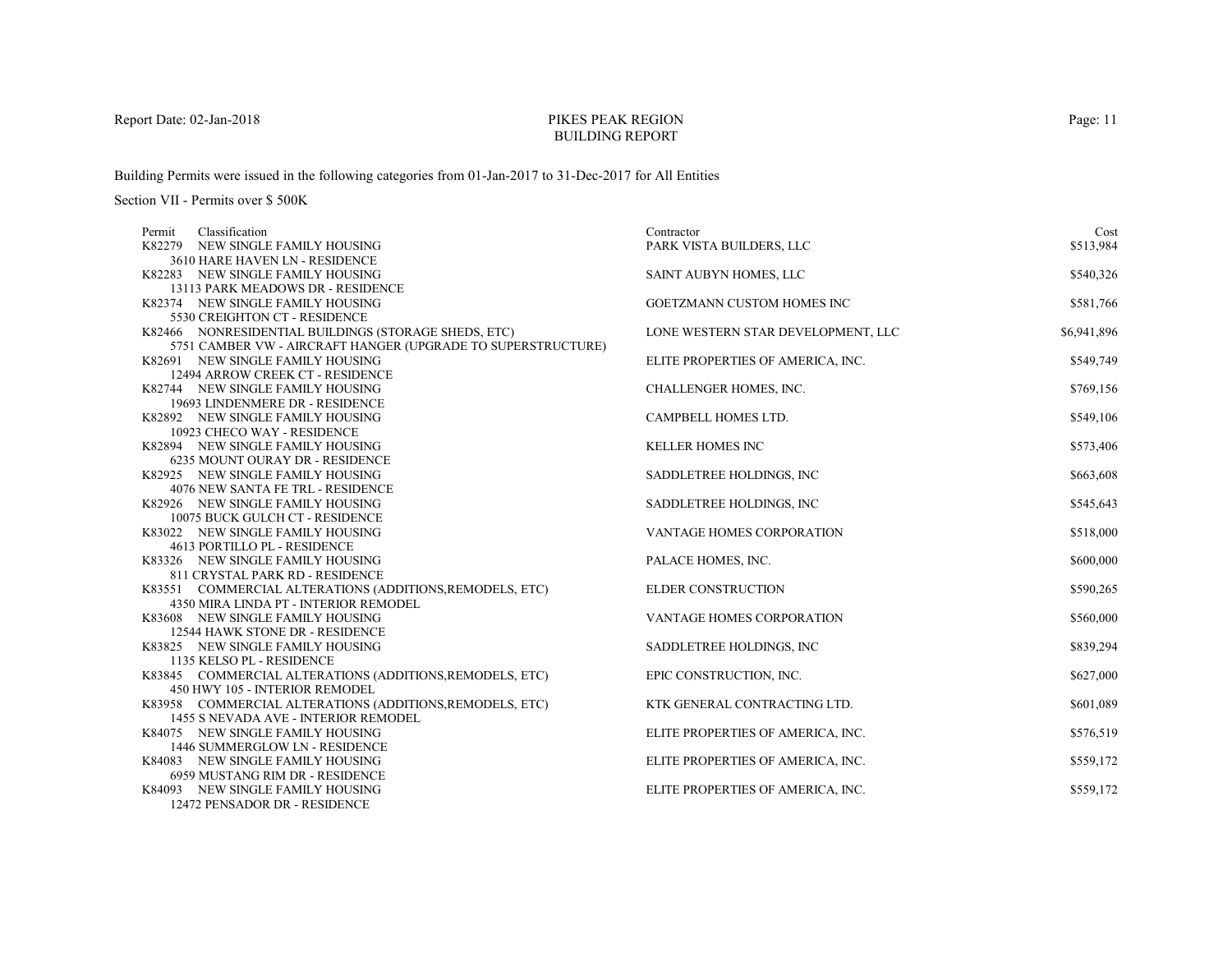# PIKES PEAK REGIONBUILDING REPORT

Building Permits were issued in the following categories from 01-Jan-2017 to 31-Dec-2017 for All Entities

| Classification<br>Permit                                         | Contractor                         | Cost        |
|------------------------------------------------------------------|------------------------------------|-------------|
| K82279 NEW SINGLE FAMILY HOUSING                                 | PARK VISTA BUILDERS, LLC           | \$513,984   |
| 3610 HARE HAVEN LN - RESIDENCE                                   |                                    |             |
| K82283 NEW SINGLE FAMILY HOUSING                                 | SAINT AUBYN HOMES, LLC             | \$540,326   |
| 13113 PARK MEADOWS DR - RESIDENCE                                |                                    |             |
| K82374 NEW SINGLE FAMILY HOUSING                                 | GOETZMANN CUSTOM HOMES INC         | \$581,766   |
| 5530 CREIGHTON CT - RESIDENCE                                    |                                    |             |
| K82466 NONRESIDENTIAL BUILDINGS (STORAGE SHEDS, ETC)             | LONE WESTERN STAR DEVELOPMENT, LLC | \$6,941,896 |
| 5751 CAMBER VW - AIRCRAFT HANGER (UPGRADE TO SUPERSTRUCTURE)     |                                    |             |
| K82691 NEW SINGLE FAMILY HOUSING                                 | ELITE PROPERTIES OF AMERICA, INC.  | \$549,749   |
| 12494 ARROW CREEK CT - RESIDENCE                                 |                                    |             |
| K82744 NEW SINGLE FAMILY HOUSING                                 | CHALLENGER HOMES, INC.             | \$769,156   |
| 19693 LINDENMERE DR - RESIDENCE                                  |                                    |             |
| K82892 NEW SINGLE FAMILY HOUSING                                 | CAMPBELL HOMES LTD.                | \$549,106   |
| 10923 CHECO WAY - RESIDENCE                                      |                                    |             |
| K82894 NEW SINGLE FAMILY HOUSING                                 | <b>KELLER HOMES INC</b>            | \$573,406   |
| 6235 MOUNT OURAY DR - RESIDENCE                                  |                                    |             |
| K82925 NEW SINGLE FAMILY HOUSING                                 | SADDLETREE HOLDINGS, INC           | \$663,608   |
| 4076 NEW SANTA FE TRL - RESIDENCE                                |                                    |             |
| K82926 NEW SINGLE FAMILY HOUSING                                 | SADDLETREE HOLDINGS, INC           | \$545,643   |
| 10075 BUCK GULCH CT - RESIDENCE                                  |                                    |             |
| K83022 NEW SINGLE FAMILY HOUSING<br>4613 PORTILLO PL - RESIDENCE | VANTAGE HOMES CORPORATION          | \$518,000   |
| K83326 NEW SINGLE FAMILY HOUSING                                 |                                    | \$600,000   |
| 811 CRYSTAL PARK RD - RESIDENCE                                  | PALACE HOMES, INC.                 |             |
| K83551 COMMERCIAL ALTERATIONS (ADDITIONS, REMODELS, ETC)         | <b>ELDER CONSTRUCTION</b>          | \$590,265   |
| 4350 MIRA LINDA PT - INTERIOR REMODEL                            |                                    |             |
| K83608 NEW SINGLE FAMILY HOUSING                                 | VANTAGE HOMES CORPORATION          | \$560,000   |
| 12544 HAWK STONE DR - RESIDENCE                                  |                                    |             |
| K83825 NEW SINGLE FAMILY HOUSING                                 | SADDLETREE HOLDINGS, INC.          | \$839,294   |
| 1135 KELSO PL - RESIDENCE                                        |                                    |             |
| K83845 COMMERCIAL ALTERATIONS (ADDITIONS, REMODELS, ETC)         | EPIC CONSTRUCTION, INC.            | \$627,000   |
| 450 HWY 105 - INTERIOR REMODEL                                   |                                    |             |
| K83958 COMMERCIAL ALTERATIONS (ADDITIONS, REMODELS, ETC)         | KTK GENERAL CONTRACTING LTD.       | \$601,089   |
| 1455 S NEVADA AVE - INTERIOR REMODEL                             |                                    |             |
| K84075 NEW SINGLE FAMILY HOUSING                                 | ELITE PROPERTIES OF AMERICA, INC.  | \$576,519   |
| 1446 SUMMERGLOW LN - RESIDENCE                                   |                                    |             |
| K84083 NEW SINGLE FAMILY HOUSING                                 | ELITE PROPERTIES OF AMERICA, INC.  | \$559,172   |
| 6959 MUSTANG RIM DR - RESIDENCE                                  |                                    |             |
| K84093 NEW SINGLE FAMILY HOUSING                                 | ELITE PROPERTIES OF AMERICA, INC.  | \$559,172   |
| 12472 PENSADOR DR - RESIDENCE                                    |                                    |             |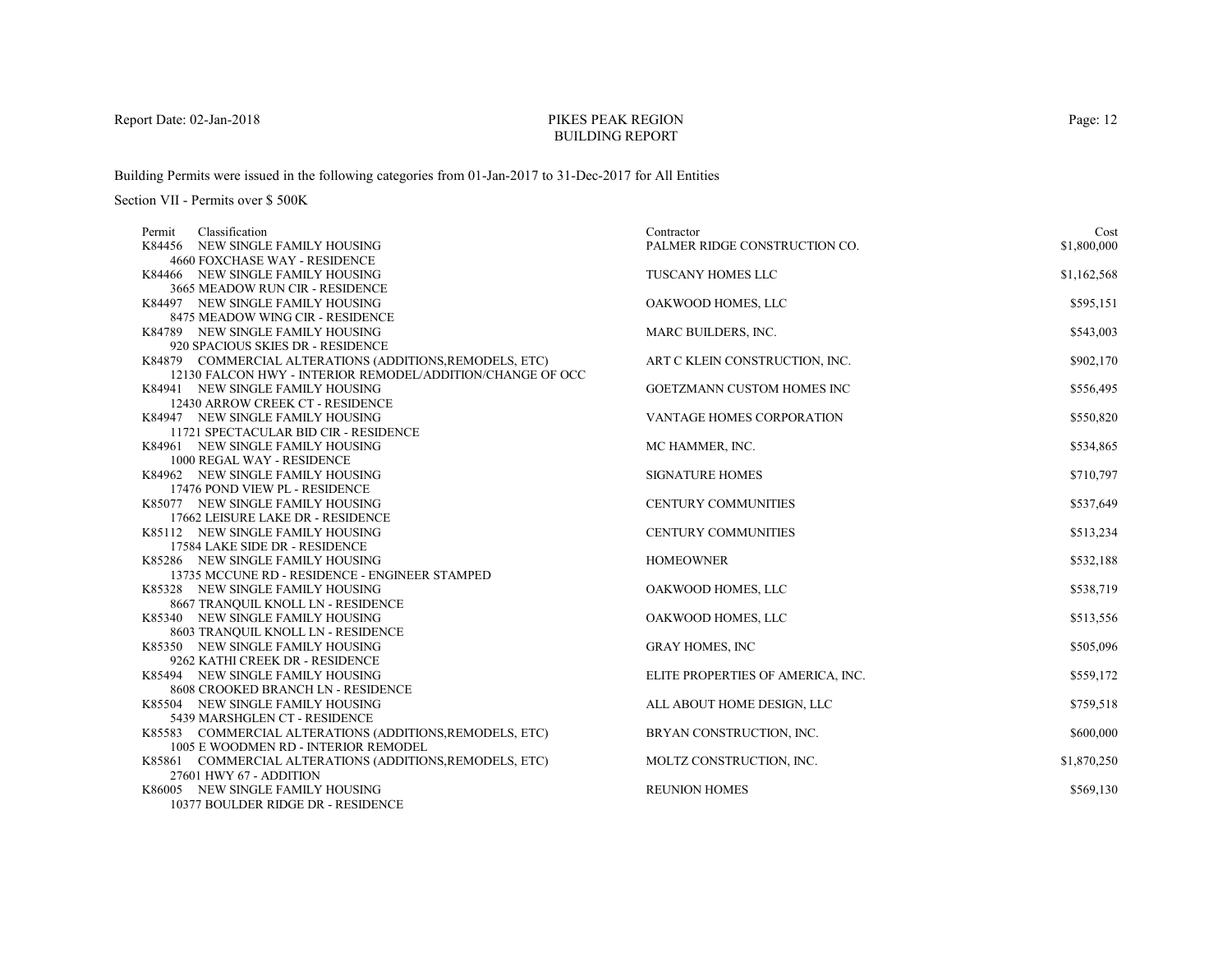# PIKES PEAK REGIONBUILDING REPORT

Building Permits were issued in the following categories from 01-Jan-2017 to 31-Dec-2017 for All Entities

| Classification<br>Permit                                                           | Contractor                        | Cost        |
|------------------------------------------------------------------------------------|-----------------------------------|-------------|
| K84456 NEW SINGLE FAMILY HOUSING                                                   | PALMER RIDGE CONSTRUCTION CO.     | \$1,800,000 |
| 4660 FOXCHASE WAY - RESIDENCE                                                      |                                   |             |
| K84466 NEW SINGLE FAMILY HOUSING                                                   | <b>TUSCANY HOMES LLC</b>          | \$1,162,568 |
| 3665 MEADOW RUN CIR - RESIDENCE                                                    |                                   |             |
| K84497 NEW SINGLE FAMILY HOUSING                                                   | OAKWOOD HOMES, LLC                | \$595,151   |
| 8475 MEADOW WING CIR - RESIDENCE                                                   |                                   |             |
| K84789 NEW SINGLE FAMILY HOUSING                                                   | MARC BUILDERS, INC.               | \$543,003   |
| 920 SPACIOUS SKIES DR - RESIDENCE                                                  |                                   |             |
| K84879 COMMERCIAL ALTERATIONS (ADDITIONS, REMODELS, ETC)                           | ART C KLEIN CONSTRUCTION, INC.    | \$902,170   |
| 12130 FALCON HWY - INTERIOR REMODEL/ADDITION/CHANGE OF OCC                         |                                   |             |
| K84941 NEW SINGLE FAMILY HOUSING                                                   | GOETZMANN CUSTOM HOMES INC        | \$556,495   |
| 12430 ARROW CREEK CT - RESIDENCE                                                   |                                   |             |
| K84947 NEW SINGLE FAMILY HOUSING                                                   | VANTAGE HOMES CORPORATION         | \$550,820   |
| 11721 SPECTACULAR BID CIR - RESIDENCE                                              |                                   |             |
| K84961 NEW SINGLE FAMILY HOUSING                                                   | MC HAMMER, INC.                   | \$534,865   |
| 1000 REGAL WAY - RESIDENCE                                                         |                                   |             |
| K84962 NEW SINGLE FAMILY HOUSING                                                   | <b>SIGNATURE HOMES</b>            | \$710,797   |
| 17476 POND VIEW PL - RESIDENCE                                                     |                                   |             |
| K85077 NEW SINGLE FAMILY HOUSING                                                   | <b>CENTURY COMMUNITIES</b>        | \$537,649   |
| 17662 LEISURE LAKE DR - RESIDENCE                                                  |                                   |             |
| K85112 NEW SINGLE FAMILY HOUSING                                                   | <b>CENTURY COMMUNITIES</b>        | \$513,234   |
| 17584 LAKE SIDE DR - RESIDENCE                                                     |                                   |             |
| K85286 NEW SINGLE FAMILY HOUSING                                                   | <b>HOMEOWNER</b>                  | \$532,188   |
| 13735 MCCUNE RD - RESIDENCE - ENGINEER STAMPED<br>K85328 NEW SINGLE FAMILY HOUSING |                                   |             |
| 8667 TRANQUIL KNOLL LN - RESIDENCE                                                 | OAKWOOD HOMES, LLC                | \$538,719   |
| K85340 NEW SINGLE FAMILY HOUSING                                                   | OAKWOOD HOMES, LLC                |             |
| 8603 TRANQUIL KNOLL LN - RESIDENCE                                                 |                                   | \$513,556   |
| K85350 NEW SINGLE FAMILY HOUSING                                                   | <b>GRAY HOMES, INC</b>            | \$505,096   |
| 9262 KATHI CREEK DR - RESIDENCE                                                    |                                   |             |
| K85494 NEW SINGLE FAMILY HOUSING                                                   | ELITE PROPERTIES OF AMERICA, INC. | \$559,172   |
| 8608 CROOKED BRANCH LN - RESIDENCE                                                 |                                   |             |
| K85504 NEW SINGLE FAMILY HOUSING                                                   | ALL ABOUT HOME DESIGN, LLC        | \$759,518   |
| 5439 MARSHGLEN CT - RESIDENCE                                                      |                                   |             |
| K85583 COMMERCIAL ALTERATIONS (ADDITIONS, REMODELS, ETC)                           | BRYAN CONSTRUCTION, INC.          | \$600,000   |
| 1005 E WOODMEN RD - INTERIOR REMODEL                                               |                                   |             |
| K85861 COMMERCIAL ALTERATIONS (ADDITIONS, REMODELS, ETC)                           | MOLTZ CONSTRUCTION, INC.          | \$1,870,250 |
| 27601 HWY 67 - ADDITION                                                            |                                   |             |
| K86005 NEW SINGLE FAMILY HOUSING                                                   | <b>REUNION HOMES</b>              | \$569,130   |
| 10377 BOULDER RIDGE DR - RESIDENCE                                                 |                                   |             |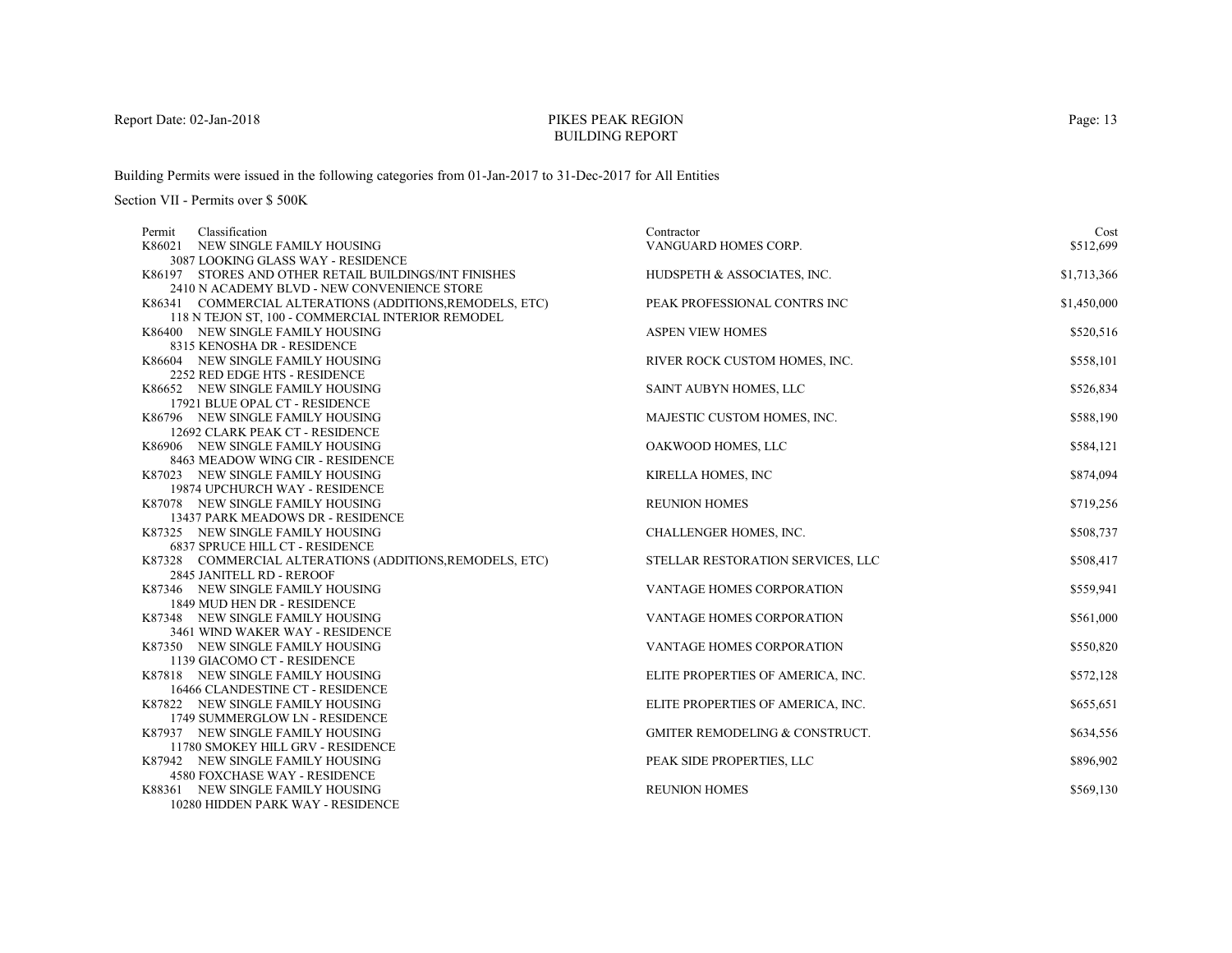# PIKES PEAK REGIONBUILDING REPORT

Building Permits were issued in the following categories from 01-Jan-2017 to 31-Dec-2017 for All Entities

| Classification<br>Permit                                      | Contractor                                | Cost        |
|---------------------------------------------------------------|-------------------------------------------|-------------|
| K86021<br>NEW SINGLE FAMILY HOUSING                           | VANGUARD HOMES CORP.                      | \$512,699   |
| 3087 LOOKING GLASS WAY - RESIDENCE                            |                                           |             |
| K86197 STORES AND OTHER RETAIL BUILDINGS/INT FINISHES         | HUDSPETH & ASSOCIATES, INC.               | \$1,713,366 |
| 2410 N ACADEMY BLVD - NEW CONVENIENCE STORE                   |                                           |             |
| K86341 COMMERCIAL ALTERATIONS (ADDITIONS, REMODELS, ETC)      | PEAK PROFESSIONAL CONTRS INC              | \$1,450,000 |
| 118 N TEJON ST, 100 - COMMERCIAL INTERIOR REMODEL             |                                           |             |
| K86400 NEW SINGLE FAMILY HOUSING                              | <b>ASPEN VIEW HOMES</b>                   | \$520,516   |
| 8315 KENOSHA DR - RESIDENCE                                   |                                           |             |
| K86604 NEW SINGLE FAMILY HOUSING                              | RIVER ROCK CUSTOM HOMES, INC.             | \$558,101   |
| 2252 RED EDGE HTS - RESIDENCE                                 |                                           |             |
| K86652 NEW SINGLE FAMILY HOUSING                              | SAINT AUBYN HOMES, LLC                    | \$526,834   |
| 17921 BLUE OPAL CT - RESIDENCE                                |                                           |             |
| K86796 NEW SINGLE FAMILY HOUSING                              | MAJESTIC CUSTOM HOMES, INC.               | \$588,190   |
| 12692 CLARK PEAK CT - RESIDENCE                               |                                           |             |
| K86906 NEW SINGLE FAMILY HOUSING                              | OAKWOOD HOMES, LLC                        | \$584,121   |
| 8463 MEADOW WING CIR - RESIDENCE                              |                                           |             |
| K87023 NEW SINGLE FAMILY HOUSING                              | KIRELLA HOMES, INC                        | \$874,094   |
| 19874 UPCHURCH WAY - RESIDENCE                                |                                           |             |
| K87078 NEW SINGLE FAMILY HOUSING                              | <b>REUNION HOMES</b>                      | \$719,256   |
| 13437 PARK MEADOWS DR - RESIDENCE                             |                                           |             |
| K87325 NEW SINGLE FAMILY HOUSING                              | CHALLENGER HOMES, INC.                    | \$508,737   |
| 6837 SPRUCE HILL CT - RESIDENCE                               |                                           |             |
| K87328 COMMERCIAL ALTERATIONS (ADDITIONS, REMODELS, ETC)      | STELLAR RESTORATION SERVICES, LLC         | \$508,417   |
| 2845 JANITELL RD - REROOF<br>K87346 NEW SINGLE FAMILY HOUSING | VANTAGE HOMES CORPORATION                 | \$559,941   |
| 1849 MUD HEN DR - RESIDENCE                                   |                                           |             |
| K87348 NEW SINGLE FAMILY HOUSING                              | VANTAGE HOMES CORPORATION                 | \$561,000   |
| 3461 WIND WAKER WAY - RESIDENCE                               |                                           |             |
| K87350 NEW SINGLE FAMILY HOUSING                              | <b>VANTAGE HOMES CORPORATION</b>          | \$550,820   |
| 1139 GIACOMO CT - RESIDENCE                                   |                                           |             |
| K87818 NEW SINGLE FAMILY HOUSING                              | ELITE PROPERTIES OF AMERICA, INC.         | \$572,128   |
| 16466 CLANDESTINE CT - RESIDENCE                              |                                           |             |
| K87822 NEW SINGLE FAMILY HOUSING                              | ELITE PROPERTIES OF AMERICA, INC.         | \$655,651   |
| 1749 SUMMERGLOW LN - RESIDENCE                                |                                           |             |
| K87937 NEW SINGLE FAMILY HOUSING                              | <b>GMITER REMODELING &amp; CONSTRUCT.</b> | \$634,556   |
| 11780 SMOKEY HILL GRV - RESIDENCE                             |                                           |             |
| K87942 NEW SINGLE FAMILY HOUSING                              | PEAK SIDE PROPERTIES, LLC                 | \$896,902   |
| 4580 FOXCHASE WAY - RESIDENCE                                 |                                           |             |
| K88361 NEW SINGLE FAMILY HOUSING                              | <b>REUNION HOMES</b>                      | \$569,130   |
| 10280 HIDDEN PARK WAY - RESIDENCE                             |                                           |             |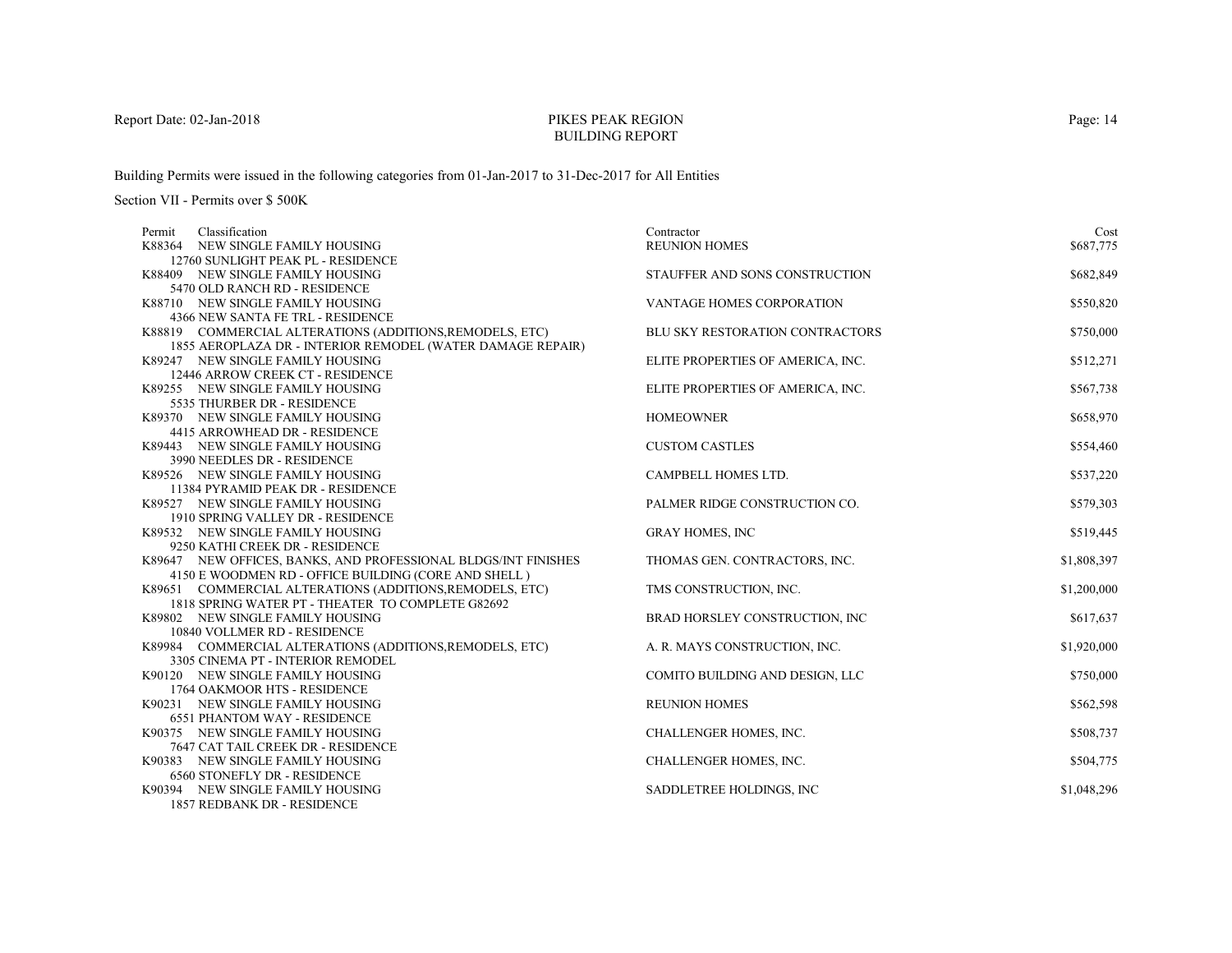# PIKES PEAK REGIONBUILDING REPORT

Building Permits were issued in the following categories from 01-Jan-2017 to 31-Dec-2017 for All Entities

| Classification<br>Permit                                              | Contractor                        | Cost        |
|-----------------------------------------------------------------------|-----------------------------------|-------------|
| K88364 NEW SINGLE FAMILY HOUSING                                      | <b>REUNION HOMES</b>              | \$687,775   |
| 12760 SUNLIGHT PEAK PL - RESIDENCE                                    |                                   |             |
| K88409 NEW SINGLE FAMILY HOUSING                                      | STAUFFER AND SONS CONSTRUCTION    | \$682,849   |
| 5470 OLD RANCH RD - RESIDENCE                                         |                                   |             |
| K88710 NEW SINGLE FAMILY HOUSING                                      | <b>VANTAGE HOMES CORPORATION</b>  | \$550,820   |
| 4366 NEW SANTA FE TRL - RESIDENCE                                     |                                   |             |
| K88819 COMMERCIAL ALTERATIONS (ADDITIONS, REMODELS, ETC)              | BLU SKY RESTORATION CONTRACTORS   | \$750,000   |
| 1855 AEROPLAZA DR - INTERIOR REMODEL (WATER DAMAGE REPAIR)            |                                   |             |
| K89247 NEW SINGLE FAMILY HOUSING                                      | ELITE PROPERTIES OF AMERICA, INC. | \$512,271   |
| 12446 ARROW CREEK CT - RESIDENCE                                      |                                   |             |
| K89255 NEW SINGLE FAMILY HOUSING                                      | ELITE PROPERTIES OF AMERICA, INC. | \$567,738   |
| 5535 THURBER DR - RESIDENCE                                           |                                   |             |
| K89370 NEW SINGLE FAMILY HOUSING                                      | <b>HOMEOWNER</b>                  | \$658,970   |
| 4415 ARROWHEAD DR - RESIDENCE                                         |                                   |             |
| K89443 NEW SINGLE FAMILY HOUSING                                      | <b>CUSTOM CASTLES</b>             | \$554,460   |
| 3990 NEEDLES DR - RESIDENCE                                           |                                   |             |
| K89526 NEW SINGLE FAMILY HOUSING                                      | CAMPBELL HOMES LTD.               | \$537,220   |
| 11384 PYRAMID PEAK DR - RESIDENCE<br>K89527 NEW SINGLE FAMILY HOUSING | PALMER RIDGE CONSTRUCTION CO.     | \$579,303   |
| 1910 SPRING VALLEY DR - RESIDENCE                                     |                                   |             |
| K89532 NEW SINGLE FAMILY HOUSING                                      | <b>GRAY HOMES, INC</b>            | \$519,445   |
| 9250 KATHI CREEK DR - RESIDENCE                                       |                                   |             |
| K89647 NEW OFFICES, BANKS, AND PROFESSIONAL BLDGS/INT FINISHES        | THOMAS GEN. CONTRACTORS, INC.     | \$1,808,397 |
| 4150 E WOODMEN RD - OFFICE BUILDING (CORE AND SHELL)                  |                                   |             |
| K89651 COMMERCIAL ALTERATIONS (ADDITIONS, REMODELS, ETC)              | TMS CONSTRUCTION, INC.            | \$1,200,000 |
| 1818 SPRING WATER PT - THEATER TO COMPLETE G82692                     |                                   |             |
| K89802 NEW SINGLE FAMILY HOUSING                                      | BRAD HORSLEY CONSTRUCTION, INC    | \$617,637   |
| 10840 VOLLMER RD - RESIDENCE                                          |                                   |             |
| K89984 COMMERCIAL ALTERATIONS (ADDITIONS, REMODELS, ETC)              | A. R. MAYS CONSTRUCTION, INC.     | \$1,920,000 |
| 3305 CINEMA PT - INTERIOR REMODEL                                     |                                   |             |
| K90120 NEW SINGLE FAMILY HOUSING                                      | COMITO BUILDING AND DESIGN, LLC   | \$750,000   |
| 1764 OAKMOOR HTS - RESIDENCE                                          |                                   |             |
| K90231 NEW SINGLE FAMILY HOUSING                                      | <b>REUNION HOMES</b>              | \$562,598   |
| <b>6551 PHANTOM WAY - RESIDENCE</b>                                   |                                   |             |
| K90375 NEW SINGLE FAMILY HOUSING                                      | CHALLENGER HOMES, INC.            | \$508,737   |
| 7647 CAT TAIL CREEK DR - RESIDENCE                                    |                                   |             |
| K90383 NEW SINGLE FAMILY HOUSING                                      | CHALLENGER HOMES, INC.            | \$504,775   |
| <b>6560 STONEFLY DR - RESIDENCE</b>                                   |                                   |             |
| K90394 NEW SINGLE FAMILY HOUSING                                      | SADDLETREE HOLDINGS, INC          | \$1,048,296 |
| 1857 REDBANK DR - RESIDENCE                                           |                                   |             |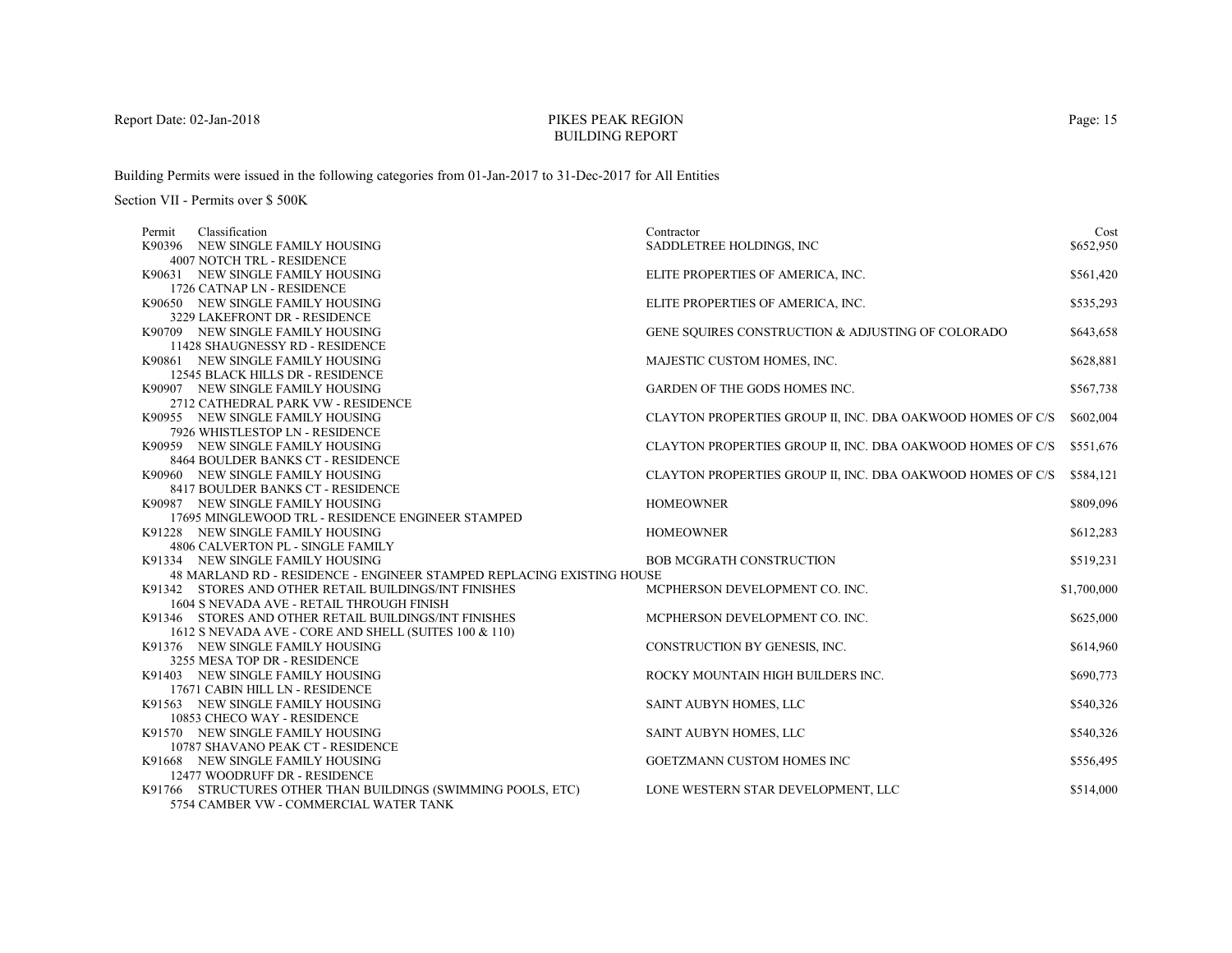# PIKES PEAK REGIONBUILDING REPORT

Building Permits were issued in the following categories from 01-Jan-2017 to 31-Dec-2017 for All Entities

| Permit | Classification                                                        | Contractor                                                 | Cost        |
|--------|-----------------------------------------------------------------------|------------------------------------------------------------|-------------|
|        | K90396 NEW SINGLE FAMILY HOUSING                                      | SADDLETREE HOLDINGS, INC                                   | \$652,950   |
|        | <b>4007 NOTCH TRL - RESIDENCE</b>                                     |                                                            |             |
|        | K90631 NEW SINGLE FAMILY HOUSING                                      | ELITE PROPERTIES OF AMERICA, INC.                          | \$561,420   |
|        | 1726 CATNAP LN - RESIDENCE                                            |                                                            |             |
|        | K90650 NEW SINGLE FAMILY HOUSING                                      | ELITE PROPERTIES OF AMERICA, INC.                          | \$535,293   |
|        | 3229 LAKEFRONT DR - RESIDENCE                                         |                                                            |             |
|        | K90709 NEW SINGLE FAMILY HOUSING                                      | GENE SOUIRES CONSTRUCTION & ADJUSTING OF COLORADO          | \$643,658   |
|        | 11428 SHAUGNESSY RD - RESIDENCE                                       |                                                            |             |
|        | K90861 NEW SINGLE FAMILY HOUSING                                      | MAJESTIC CUSTOM HOMES, INC.                                | \$628,881   |
|        | 12545 BLACK HILLS DR - RESIDENCE                                      |                                                            |             |
|        | K90907 NEW SINGLE FAMILY HOUSING                                      | <b>GARDEN OF THE GODS HOMES INC.</b>                       | \$567,738   |
|        | 2712 CATHEDRAL PARK VW - RESIDENCE                                    |                                                            |             |
|        | K90955 NEW SINGLE FAMILY HOUSING                                      | CLAYTON PROPERTIES GROUP II, INC. DBA OAKWOOD HOMES OF C/S | \$602,004   |
|        | 7926 WHISTLESTOP LN - RESIDENCE                                       |                                                            |             |
|        | K90959 NEW SINGLE FAMILY HOUSING                                      | CLAYTON PROPERTIES GROUP II, INC. DBA OAKWOOD HOMES OF C/S | \$551,676   |
|        | 8464 BOULDER BANKS CT - RESIDENCE                                     |                                                            |             |
|        | K90960 NEW SINGLE FAMILY HOUSING                                      | CLAYTON PROPERTIES GROUP II, INC. DBA OAKWOOD HOMES OF C/S | \$584,121   |
|        | 8417 BOULDER BANKS CT - RESIDENCE                                     |                                                            |             |
|        | K90987 NEW SINGLE FAMILY HOUSING                                      | <b>HOMEOWNER</b>                                           | \$809,096   |
|        | 17695 MINGLEWOOD TRL - RESIDENCE ENGINEER STAMPED                     |                                                            |             |
|        | K91228 NEW SINGLE FAMILY HOUSING                                      | <b>HOMEOWNER</b>                                           | \$612,283   |
|        | 4806 CALVERTON PL - SINGLE FAMILY                                     |                                                            |             |
|        | K91334 NEW SINGLE FAMILY HOUSING                                      | <b>BOB MCGRATH CONSTRUCTION</b>                            | \$519,231   |
|        | 48 MARLAND RD - RESIDENCE - ENGINEER STAMPED REPLACING EXISTING HOUSE |                                                            |             |
|        | K91342 STORES AND OTHER RETAIL BUILDINGS/INT FINISHES                 | MCPHERSON DEVELOPMENT CO. INC.                             | \$1,700,000 |
|        | 1604 S NEVADA AVE - RETAIL THROUGH FINISH                             |                                                            |             |
|        | K91346 STORES AND OTHER RETAIL BUILDINGS/INT FINISHES                 | MCPHERSON DEVELOPMENT CO. INC.                             | \$625,000   |
|        | 1612 S NEVADA AVE - CORE AND SHELL (SUITES 100 & 110)                 |                                                            |             |
|        | K91376 NEW SINGLE FAMILY HOUSING                                      | CONSTRUCTION BY GENESIS, INC.                              | \$614,960   |
|        | 3255 MESA TOP DR - RESIDENCE                                          |                                                            |             |
|        | K91403 NEW SINGLE FAMILY HOUSING<br>17671 CABIN HILL LN - RESIDENCE   | ROCKY MOUNTAIN HIGH BUILDERS INC.                          | \$690,773   |
|        | K91563 NEW SINGLE FAMILY HOUSING                                      |                                                            | \$540,326   |
|        | 10853 CHECO WAY - RESIDENCE                                           | SAINT AUBYN HOMES, LLC                                     |             |
|        | K91570 NEW SINGLE FAMILY HOUSING                                      |                                                            | \$540,326   |
|        | 10787 SHAVANO PEAK CT - RESIDENCE                                     | SAINT AUBYN HOMES, LLC                                     |             |
|        | K91668 NEW SINGLE FAMILY HOUSING                                      | <b>GOETZMANN CUSTOM HOMES INC</b>                          |             |
|        | 12477 WOODRUFF DR - RESIDENCE                                         |                                                            | \$556,495   |
|        | K91766 STRUCTURES OTHER THAN BUILDINGS (SWIMMING POOLS, ETC)          | LONE WESTERN STAR DEVELOPMENT, LLC                         | \$514,000   |
|        | 5754 CAMBER VW - COMMERCIAL WATER TANK                                |                                                            |             |
|        |                                                                       |                                                            |             |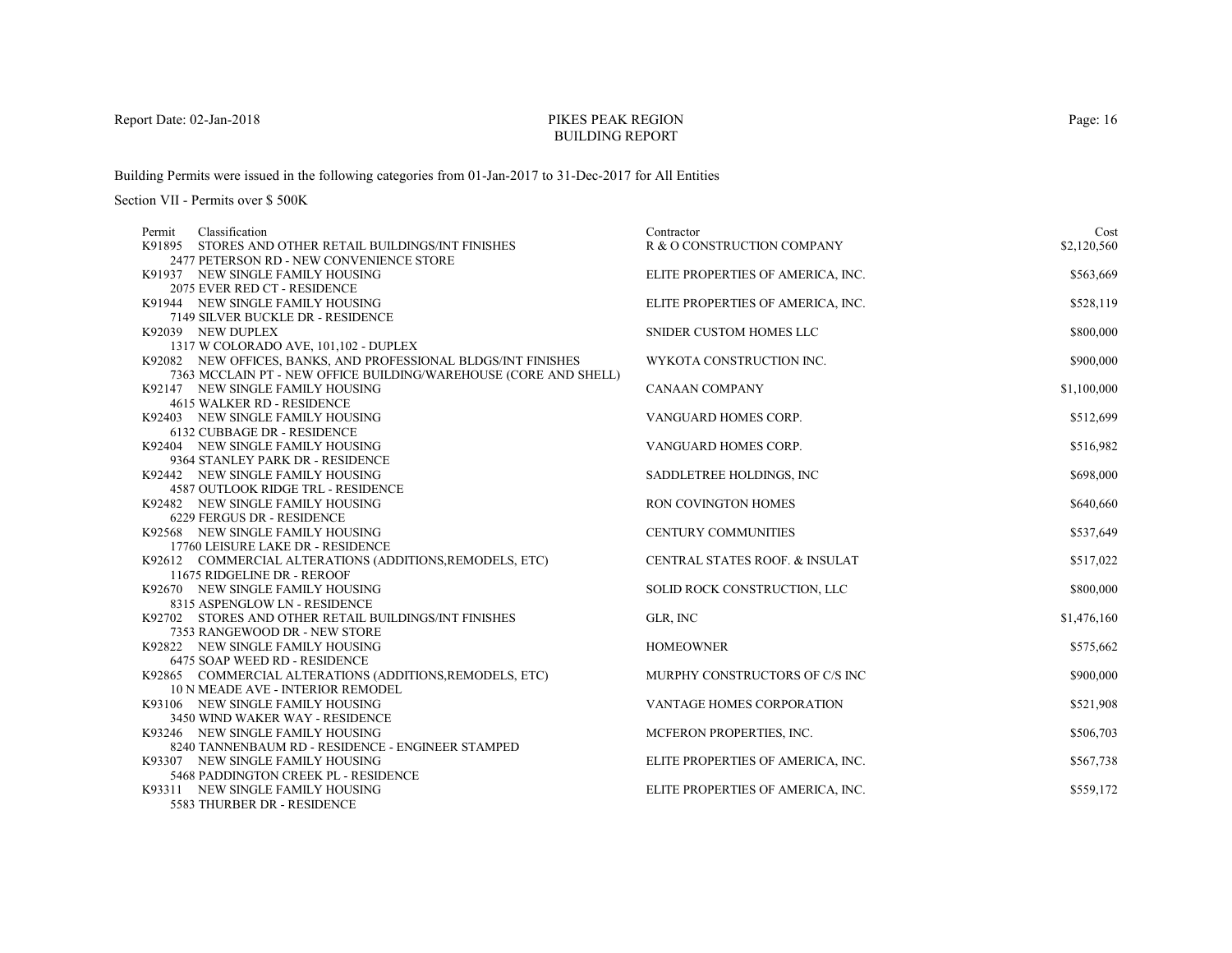# PIKES PEAK REGIONBUILDING REPORT

Building Permits were issued in the following categories from 01-Jan-2017 to 31-Dec-2017 for All Entities

Section VII - Permits over \$ 500K

| Classification<br>Permit                                                                                | Contractor                        | Cost        |
|---------------------------------------------------------------------------------------------------------|-----------------------------------|-------------|
| K91895 STORES AND OTHER RETAIL BUILDINGS/INT FINISHES                                                   | R & O CONSTRUCTION COMPANY        | \$2,120,560 |
| 2477 PETERSON RD - NEW CONVENIENCE STORE                                                                |                                   |             |
| K91937 NEW SINGLE FAMILY HOUSING                                                                        | ELITE PROPERTIES OF AMERICA, INC. | \$563,669   |
| 2075 EVER RED CT - RESIDENCE                                                                            |                                   |             |
| K91944 NEW SINGLE FAMILY HOUSING                                                                        | ELITE PROPERTIES OF AMERICA, INC. | \$528,119   |
| 7149 SILVER BUCKLE DR - RESIDENCE                                                                       |                                   |             |
| K92039 NEW DUPLEX                                                                                       | SNIDER CUSTOM HOMES LLC           | \$800,000   |
| 1317 W COLORADO AVE, 101,102 - DUPLEX<br>K92082 NEW OFFICES, BANKS, AND PROFESSIONAL BLDGS/INT FINISHES | WYKOTA CONSTRUCTION INC.          | \$900,000   |
| 7363 MCCLAIN PT - NEW OFFICE BUILDING/WAREHOUSE (CORE AND SHELL)                                        |                                   |             |
| K92147 NEW SINGLE FAMILY HOUSING                                                                        | <b>CANAAN COMPANY</b>             | \$1,100,000 |
| 4615 WALKER RD - RESIDENCE                                                                              |                                   |             |
| K92403 NEW SINGLE FAMILY HOUSING                                                                        | VANGUARD HOMES CORP.              | \$512,699   |
| 6132 CUBBAGE DR - RESIDENCE                                                                             |                                   |             |
| K92404 NEW SINGLE FAMILY HOUSING                                                                        | VANGUARD HOMES CORP.              | \$516,982   |
| 9364 STANLEY PARK DR - RESIDENCE                                                                        |                                   |             |
| K92442 NEW SINGLE FAMILY HOUSING                                                                        | SADDLETREE HOLDINGS, INC.         | \$698,000   |
| <b>4587 OUTLOOK RIDGE TRL - RESIDENCE</b>                                                               |                                   |             |
| K92482 NEW SINGLE FAMILY HOUSING                                                                        | RON COVINGTON HOMES               | \$640,660   |
| 6229 FERGUS DR - RESIDENCE                                                                              |                                   |             |
| K92568 NEW SINGLE FAMILY HOUSING                                                                        | <b>CENTURY COMMUNITIES</b>        | \$537,649   |
| 17760 LEISURE LAKE DR - RESIDENCE                                                                       |                                   |             |
| K92612 COMMERCIAL ALTERATIONS (ADDITIONS, REMODELS, ETC)                                                | CENTRAL STATES ROOF. & INSULAT    | \$517,022   |
| 11675 RIDGELINE DR - REROOF                                                                             |                                   |             |
| K92670 NEW SINGLE FAMILY HOUSING<br>8315 ASPENGLOW LN - RESIDENCE                                       | SOLID ROCK CONSTRUCTION, LLC      | \$800,000   |
| K92702 STORES AND OTHER RETAIL BUILDINGS/INT FINISHES                                                   | GLR, INC                          | \$1,476,160 |
| 7353 RANGEWOOD DR - NEW STORE                                                                           |                                   |             |
| K92822 NEW SINGLE FAMILY HOUSING                                                                        | <b>HOMEOWNER</b>                  | \$575,662   |
| 6475 SOAP WEED RD - RESIDENCE                                                                           |                                   |             |
| K92865 COMMERCIAL ALTERATIONS (ADDITIONS, REMODELS, ETC)                                                | MURPHY CONSTRUCTORS OF C/S INC    | \$900,000   |
| 10 N MEADE AVE - INTERIOR REMODEL                                                                       |                                   |             |
| K93106 NEW SINGLE FAMILY HOUSING                                                                        | VANTAGE HOMES CORPORATION         | \$521,908   |
| 3450 WIND WAKER WAY - RESIDENCE                                                                         |                                   |             |
| K93246 NEW SINGLE FAMILY HOUSING                                                                        | MCFERON PROPERTIES, INC.          | \$506,703   |
| 8240 TANNENBAUM RD - RESIDENCE - ENGINEER STAMPED                                                       |                                   |             |
| K93307 NEW SINGLE FAMILY HOUSING                                                                        | ELITE PROPERTIES OF AMERICA, INC. | \$567,738   |
| 5468 PADDINGTON CREEK PL - RESIDENCE                                                                    |                                   |             |
| K93311 NEW SINGLE FAMILY HOUSING                                                                        | ELITE PROPERTIES OF AMERICA, INC. | \$559,172   |
| 5583 THURBER DR - RESIDENCE                                                                             |                                   |             |

Page: 16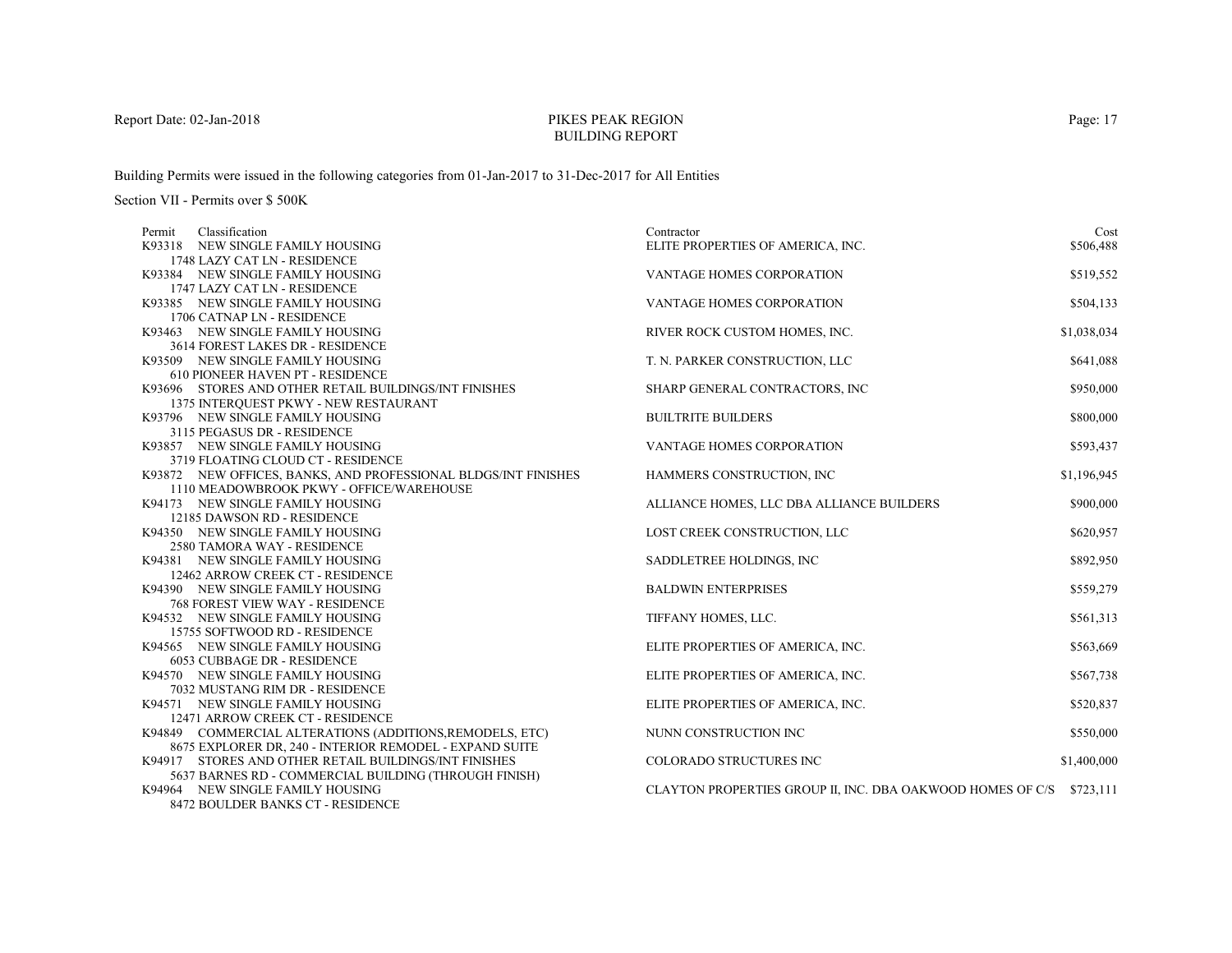# PIKES PEAK REGIONBUILDING REPORT

Building Permits were issued in the following categories from 01-Jan-2017 to 31-Dec-2017 for All Entities

| Classification<br>Permit                                        | Contractor                                                           | Cost        |
|-----------------------------------------------------------------|----------------------------------------------------------------------|-------------|
| K93318 NEW SINGLE FAMILY HOUSING                                | ELITE PROPERTIES OF AMERICA, INC.                                    | \$506,488   |
| 1748 LAZY CAT LN - RESIDENCE                                    |                                                                      |             |
| K93384 NEW SINGLE FAMILY HOUSING                                | VANTAGE HOMES CORPORATION                                            | \$519,552   |
| 1747 LAZY CAT LN - RESIDENCE                                    |                                                                      |             |
| K93385 NEW SINGLE FAMILY HOUSING                                | VANTAGE HOMES CORPORATION                                            | \$504,133   |
| 1706 CATNAP LN - RESIDENCE                                      |                                                                      |             |
| K93463 NEW SINGLE FAMILY HOUSING                                | RIVER ROCK CUSTOM HOMES, INC.                                        | \$1,038,034 |
| 3614 FOREST LAKES DR - RESIDENCE                                |                                                                      |             |
| K93509 NEW SINGLE FAMILY HOUSING                                | T. N. PARKER CONSTRUCTION, LLC                                       | \$641,088   |
| 610 PIONEER HAVEN PT - RESIDENCE                                |                                                                      |             |
| K93696 STORES AND OTHER RETAIL BUILDINGS/INT FINISHES           | SHARP GENERAL CONTRACTORS, INC                                       | \$950,000   |
| 1375 INTERQUEST PKWY - NEW RESTAURANT                           |                                                                      |             |
| K93796 NEW SINGLE FAMILY HOUSING                                | <b>BUILTRITE BUILDERS</b>                                            | \$800,000   |
| 3115 PEGASUS DR - RESIDENCE                                     |                                                                      |             |
| K93857 NEW SINGLE FAMILY HOUSING                                | <b>VANTAGE HOMES CORPORATION</b>                                     | \$593,437   |
| 3719 FLOATING CLOUD CT - RESIDENCE                              |                                                                      |             |
| K93872 NEW OFFICES, BANKS, AND PROFESSIONAL BLDGS/INT FINISHES  | HAMMERS CONSTRUCTION, INC                                            | \$1,196,945 |
| 1110 MEADOWBROOK PKWY - OFFICE/WAREHOUSE                        |                                                                      |             |
| K94173 NEW SINGLE FAMILY HOUSING                                | ALLIANCE HOMES, LLC DBA ALLIANCE BUILDERS                            | \$900,000   |
| 12185 DAWSON RD - RESIDENCE                                     |                                                                      |             |
| K94350 NEW SINGLE FAMILY HOUSING<br>2580 TAMORA WAY - RESIDENCE | LOST CREEK CONSTRUCTION, LLC                                         | \$620,957   |
| K94381 NEW SINGLE FAMILY HOUSING                                | SADDLETREE HOLDINGS, INC.                                            | \$892,950   |
| 12462 ARROW CREEK CT - RESIDENCE                                |                                                                      |             |
| K94390 NEW SINGLE FAMILY HOUSING                                | <b>BALDWIN ENTERPRISES</b>                                           | \$559,279   |
| 768 FOREST VIEW WAY - RESIDENCE                                 |                                                                      |             |
| K94532 NEW SINGLE FAMILY HOUSING                                | TIFFANY HOMES, LLC.                                                  | \$561,313   |
| 15755 SOFTWOOD RD - RESIDENCE                                   |                                                                      |             |
| K94565 NEW SINGLE FAMILY HOUSING                                | ELITE PROPERTIES OF AMERICA, INC.                                    | \$563,669   |
| 6053 CUBBAGE DR - RESIDENCE                                     |                                                                      |             |
| K94570 NEW SINGLE FAMILY HOUSING                                | ELITE PROPERTIES OF AMERICA, INC.                                    | \$567,738   |
| 7032 MUSTANG RIM DR - RESIDENCE                                 |                                                                      |             |
| K94571 NEW SINGLE FAMILY HOUSING                                | ELITE PROPERTIES OF AMERICA, INC.                                    | \$520,837   |
| 12471 ARROW CREEK CT - RESIDENCE                                |                                                                      |             |
| K94849 COMMERCIAL ALTERATIONS (ADDITIONS, REMODELS, ETC)        | NUNN CONSTRUCTION INC                                                | \$550,000   |
| 8675 EXPLORER DR, 240 - INTERIOR REMODEL - EXPAND SUITE         |                                                                      |             |
| K94917 STORES AND OTHER RETAIL BUILDINGS/INT FINISHES           | <b>COLORADO STRUCTURES INC</b>                                       | \$1,400,000 |
| 5637 BARNES RD - COMMERCIAL BUILDING (THROUGH FINISH)           |                                                                      |             |
| K94964 NEW SINGLE FAMILY HOUSING                                | CLAYTON PROPERTIES GROUP II, INC. DBA OAKWOOD HOMES OF C/S \$723,111 |             |
| <b>8472 BOULDER BANKS CT - RESIDENCE</b>                        |                                                                      |             |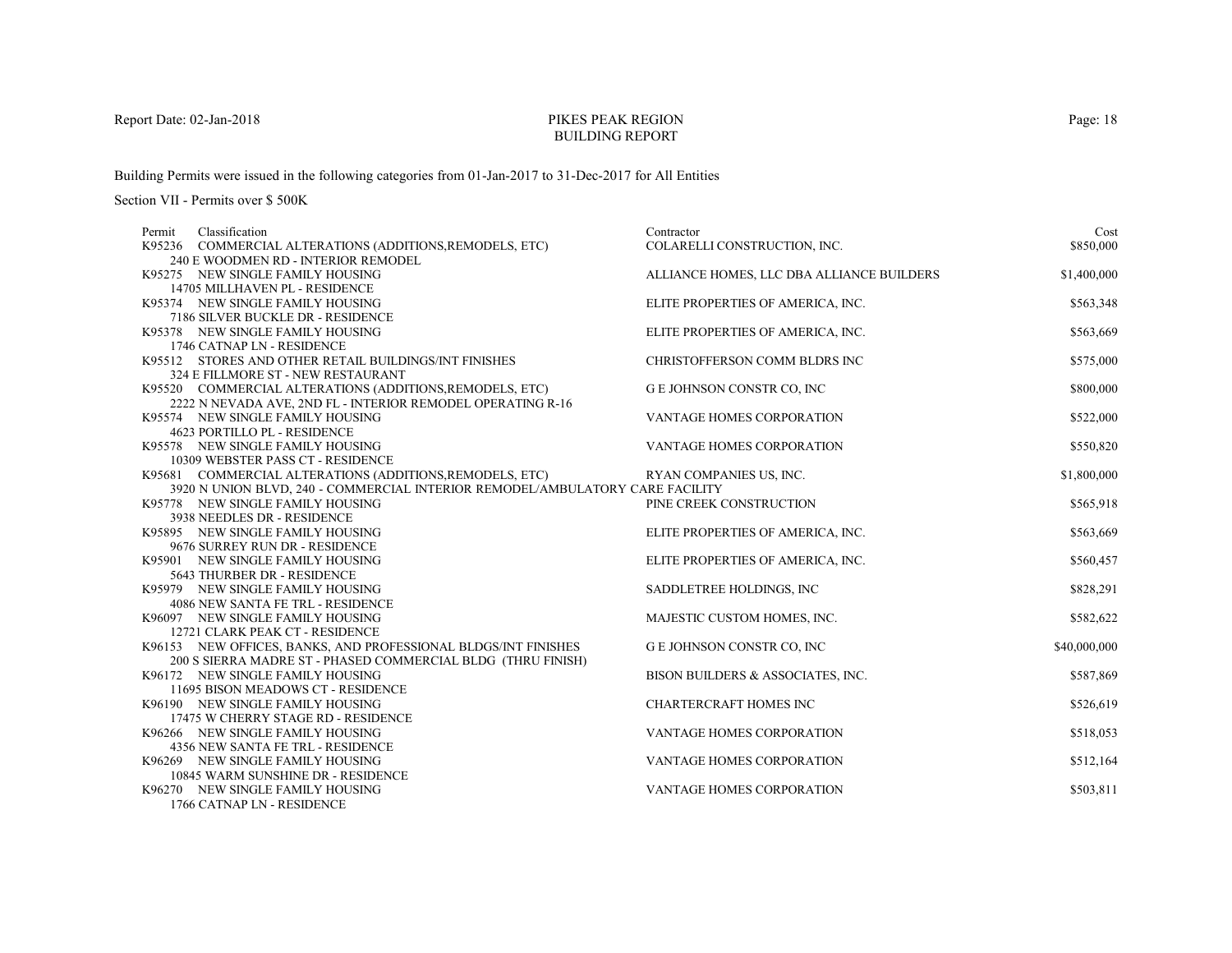# PIKES PEAK REGIONBUILDING REPORT

Building Permits were issued in the following categories from 01-Jan-2017 to 31-Dec-2017 for All Entities

Section VII - Permits over \$ 500K

| Classification<br>Permit                                                      | Contractor                                | Cost         |
|-------------------------------------------------------------------------------|-------------------------------------------|--------------|
| K95236 COMMERCIAL ALTERATIONS (ADDITIONS, REMODELS, ETC)                      | COLARELLI CONSTRUCTION, INC.              | \$850,000    |
| 240 E WOODMEN RD - INTERIOR REMODEL                                           |                                           |              |
| K95275 NEW SINGLE FAMILY HOUSING                                              | ALLIANCE HOMES, LLC DBA ALLIANCE BUILDERS | \$1,400,000  |
| 14705 MILLHAVEN PL - RESIDENCE                                                |                                           |              |
| K95374 NEW SINGLE FAMILY HOUSING                                              | ELITE PROPERTIES OF AMERICA, INC.         | \$563,348    |
| 7186 SILVER BUCKLE DR - RESIDENCE                                             |                                           |              |
| K95378 NEW SINGLE FAMILY HOUSING                                              | ELITE PROPERTIES OF AMERICA, INC.         | \$563,669    |
| 1746 CATNAP LN - RESIDENCE                                                    |                                           |              |
| K95512 STORES AND OTHER RETAIL BUILDINGS/INT FINISHES                         | CHRISTOFFERSON COMM BLDRS INC             | \$575,000    |
| 324 E FILLMORE ST - NEW RESTAURANT                                            |                                           |              |
| K95520 COMMERCIAL ALTERATIONS (ADDITIONS, REMODELS, ETC)                      | G E JOHNSON CONSTR CO, INC                | \$800,000    |
| 2222 N NEVADA AVE, 2ND FL - INTERIOR REMODEL OPERATING R-16                   |                                           |              |
| K95574 NEW SINGLE FAMILY HOUSING                                              | VANTAGE HOMES CORPORATION                 | \$522,000    |
| 4623 PORTILLO PL - RESIDENCE                                                  |                                           |              |
| K95578 NEW SINGLE FAMILY HOUSING                                              | VANTAGE HOMES CORPORATION                 | \$550,820    |
| 10309 WEBSTER PASS CT - RESIDENCE                                             |                                           |              |
| K95681 COMMERCIAL ALTERATIONS (ADDITIONS, REMODELS, ETC)                      | RYAN COMPANIES US, INC.                   | \$1,800,000  |
| 3920 N UNION BLVD, 240 - COMMERCIAL INTERIOR REMODEL/AMBULATORY CARE FACILITY |                                           |              |
| K95778 NEW SINGLE FAMILY HOUSING                                              | PINE CREEK CONSTRUCTION                   | \$565,918    |
| 3938 NEEDLES DR - RESIDENCE                                                   |                                           |              |
| K95895 NEW SINGLE FAMILY HOUSING                                              | ELITE PROPERTIES OF AMERICA, INC.         | \$563,669    |
| 9676 SURREY RUN DR - RESIDENCE                                                |                                           |              |
| K95901 NEW SINGLE FAMILY HOUSING                                              | ELITE PROPERTIES OF AMERICA, INC.         | \$560,457    |
| 5643 THURBER DR - RESIDENCE                                                   |                                           |              |
| K95979 NEW SINGLE FAMILY HOUSING                                              | SADDLETREE HOLDINGS, INC                  | \$828,291    |
| 4086 NEW SANTA FE TRL - RESIDENCE                                             |                                           |              |
| K96097 NEW SINGLE FAMILY HOUSING                                              | MAJESTIC CUSTOM HOMES, INC.               | \$582,622    |
| 12721 CLARK PEAK CT - RESIDENCE                                               |                                           |              |
| K96153 NEW OFFICES, BANKS, AND PROFESSIONAL BLDGS/INT FINISHES                | <b>G E JOHNSON CONSTR CO, INC</b>         | \$40,000,000 |
| 200 S SIERRA MADRE ST - PHASED COMMERCIAL BLDG (THRU FINISH)                  |                                           |              |
| K96172 NEW SINGLE FAMILY HOUSING                                              | BISON BUILDERS & ASSOCIATES, INC.         | \$587,869    |
| 11695 BISON MEADOWS CT - RESIDENCE                                            |                                           |              |
| K96190 NEW SINGLE FAMILY HOUSING                                              | <b>CHARTERCRAFT HOMES INC</b>             | \$526,619    |
| 17475 W CHERRY STAGE RD - RESIDENCE                                           |                                           |              |
| K96266 NEW SINGLE FAMILY HOUSING                                              | <b>VANTAGE HOMES CORPORATION</b>          | \$518,053    |
| 4356 NEW SANTA FE TRL - RESIDENCE                                             |                                           |              |
| K96269 NEW SINGLE FAMILY HOUSING                                              | <b>VANTAGE HOMES CORPORATION</b>          | \$512,164    |
| 10845 WARM SUNSHINE DR - RESIDENCE                                            |                                           |              |
| K96270 NEW SINGLE FAMILY HOUSING                                              | VANTAGE HOMES CORPORATION                 | \$503,811    |
| 1766 CATNAP LN - RESIDENCE                                                    |                                           |              |

Page: 18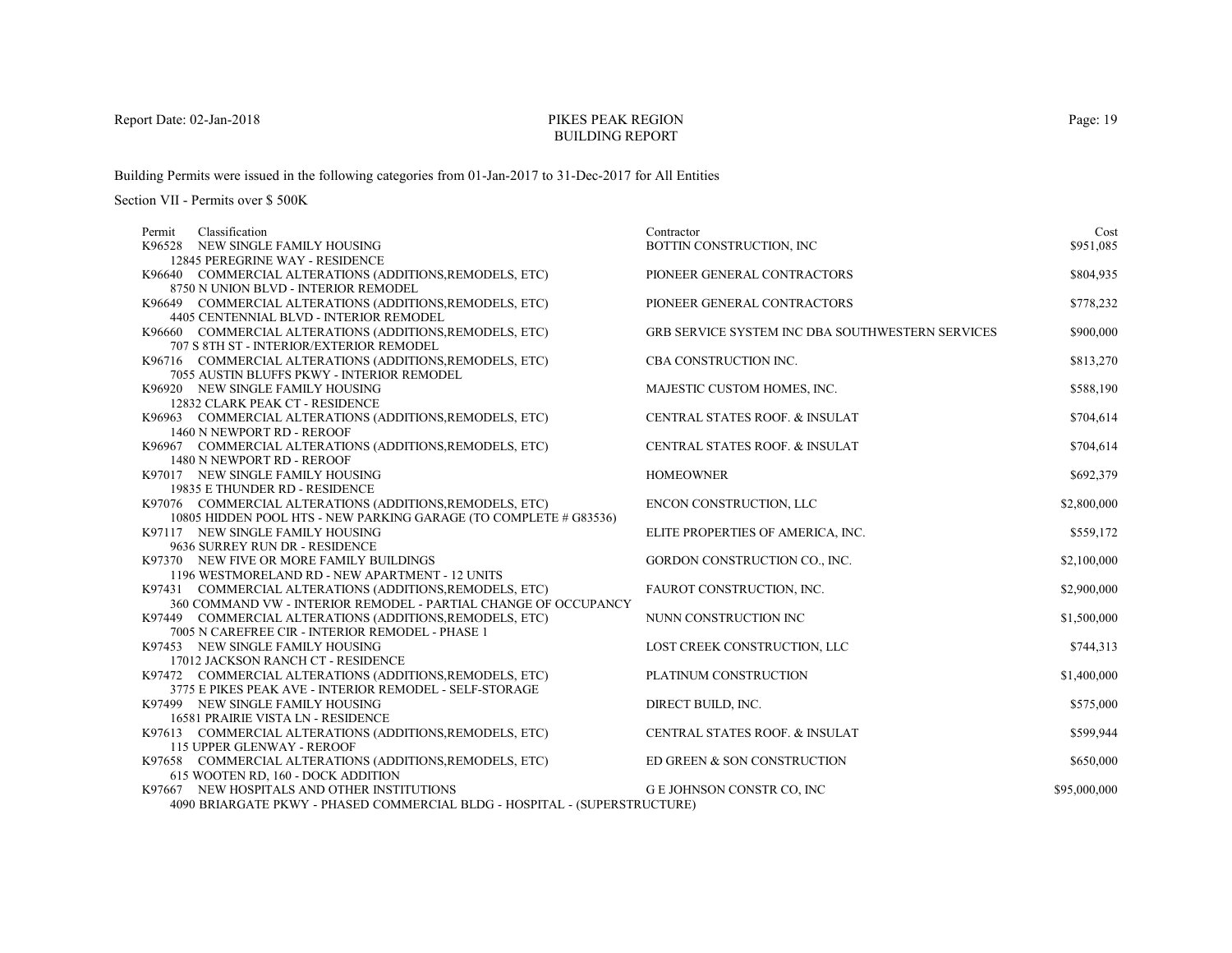# PIKES PEAK REGIONBUILDING REPORT

Building Permits were issued in the following categories from 01-Jan-2017 to 31-Dec-2017 for All Entities

| Classification<br>Permit                                                                                                      | Contractor                                              | Cost         |
|-------------------------------------------------------------------------------------------------------------------------------|---------------------------------------------------------|--------------|
| K96528 NEW SINGLE FAMILY HOUSING                                                                                              | BOTTIN CONSTRUCTION, INC                                | \$951,085    |
| 12845 PEREGRINE WAY - RESIDENCE                                                                                               |                                                         |              |
| K96640 COMMERCIAL ALTERATIONS (ADDITIONS, REMODELS, ETC)                                                                      | PIONEER GENERAL CONTRACTORS                             | \$804,935    |
| 8750 N UNION BLVD - INTERIOR REMODEL                                                                                          |                                                         |              |
| K96649 COMMERCIAL ALTERATIONS (ADDITIONS, REMODELS, ETC)                                                                      | PIONEER GENERAL CONTRACTORS                             | \$778,232    |
| 4405 CENTENNIAL BLVD - INTERIOR REMODEL                                                                                       |                                                         |              |
| K96660 COMMERCIAL ALTERATIONS (ADDITIONS, REMODELS, ETC)                                                                      | <b>GRB SERVICE SYSTEM INC DBA SOUTHWESTERN SERVICES</b> | \$900,000    |
| 707 S 8TH ST - INTERIOR/EXTERIOR REMODEL                                                                                      |                                                         |              |
| K96716 COMMERCIAL ALTERATIONS (ADDITIONS, REMODELS, ETC)                                                                      | CBA CONSTRUCTION INC.                                   | \$813,270    |
| 7055 AUSTIN BLUFFS PKWY - INTERIOR REMODEL                                                                                    |                                                         |              |
| K96920 NEW SINGLE FAMILY HOUSING                                                                                              | MAJESTIC CUSTOM HOMES, INC.                             | \$588,190    |
| 12832 CLARK PEAK CT - RESIDENCE                                                                                               |                                                         |              |
| K96963 COMMERCIAL ALTERATIONS (ADDITIONS, REMODELS, ETC)                                                                      | CENTRAL STATES ROOF. & INSULAT                          | \$704,614    |
| 1460 N NEWPORT RD - REROOF                                                                                                    |                                                         |              |
| K96967 COMMERCIAL ALTERATIONS (ADDITIONS, REMODELS, ETC)                                                                      | <b>CENTRAL STATES ROOF. &amp; INSULAT</b>               | \$704,614    |
| 1480 N NEWPORT RD - REROOF                                                                                                    |                                                         |              |
| K97017 NEW SINGLE FAMILY HOUSING                                                                                              | <b>HOMEOWNER</b>                                        | \$692,379    |
| 19835 E THUNDER RD - RESIDENCE                                                                                                |                                                         | \$2,800,000  |
| K97076 COMMERCIAL ALTERATIONS (ADDITIONS, REMODELS, ETC)<br>10805 HIDDEN POOL HTS - NEW PARKING GARAGE (TO COMPLETE # G83536) | ENCON CONSTRUCTION, LLC                                 |              |
| K97117 NEW SINGLE FAMILY HOUSING                                                                                              | ELITE PROPERTIES OF AMERICA, INC.                       | \$559,172    |
| 9636 SURREY RUN DR - RESIDENCE                                                                                                |                                                         |              |
| K97370 NEW FIVE OR MORE FAMILY BUILDINGS                                                                                      | GORDON CONSTRUCTION CO., INC.                           | \$2,100,000  |
| 1196 WESTMORELAND RD - NEW APARTMENT - 12 UNITS                                                                               |                                                         |              |
| K97431 COMMERCIAL ALTERATIONS (ADDITIONS, REMODELS, ETC)                                                                      | FAUROT CONSTRUCTION, INC.                               | \$2,900,000  |
| 360 COMMAND VW - INTERIOR REMODEL - PARTIAL CHANGE OF OCCUPANCY                                                               |                                                         |              |
| K97449 COMMERCIAL ALTERATIONS (ADDITIONS, REMODELS, ETC)                                                                      | NUNN CONSTRUCTION INC                                   | \$1,500,000  |
| 7005 N CAREFREE CIR - INTERIOR REMODEL - PHASE 1                                                                              |                                                         |              |
| K97453 NEW SINGLE FAMILY HOUSING                                                                                              | LOST CREEK CONSTRUCTION, LLC                            | \$744,313    |
| 17012 JACKSON RANCH CT - RESIDENCE                                                                                            |                                                         |              |
| K97472 COMMERCIAL ALTERATIONS (ADDITIONS, REMODELS, ETC)                                                                      | PLATINUM CONSTRUCTION                                   | \$1,400,000  |
| 3775 E PIKES PEAK AVE - INTERIOR REMODEL - SELF-STORAGE                                                                       |                                                         |              |
| K97499 NEW SINGLE FAMILY HOUSING                                                                                              | DIRECT BUILD, INC.                                      | \$575,000    |
| 16581 PRAIRIE VISTA LN - RESIDENCE                                                                                            |                                                         |              |
| K97613 COMMERCIAL ALTERATIONS (ADDITIONS, REMODELS, ETC)                                                                      | CENTRAL STATES ROOF. & INSULAT                          | \$599,944    |
| 115 UPPER GLENWAY - REROOF                                                                                                    |                                                         |              |
| K97658 COMMERCIAL ALTERATIONS (ADDITIONS, REMODELS, ETC)                                                                      | ED GREEN & SON CONSTRUCTION                             | \$650,000    |
| 615 WOOTEN RD, 160 - DOCK ADDITION                                                                                            |                                                         |              |
| K97667 NEW HOSPITALS AND OTHER INSTITUTIONS                                                                                   | G E JOHNSON CONSTR CO, INC                              | \$95,000,000 |
| 4090 BRIARGATE PKWY - PHASED COMMERCIAL BLDG - HOSPITAL - (SUPERSTRUCTURE)                                                    |                                                         |              |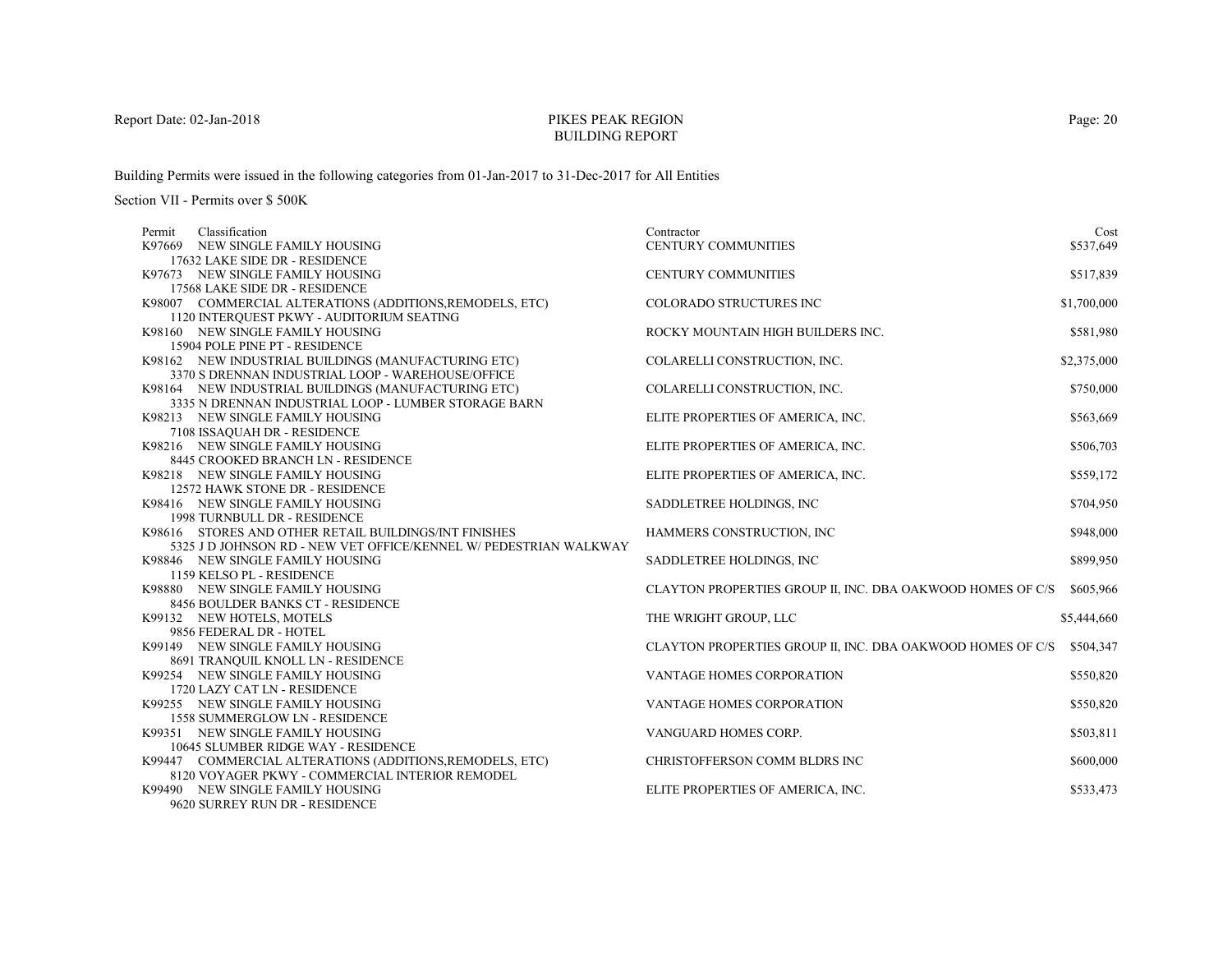# PIKES PEAK REGIONBUILDING REPORT

Building Permits were issued in the following categories from 01-Jan-2017 to 31-Dec-2017 for All Entities

| Classification<br>Permit                                                                                                   | Contractor                                                 | Cost        |
|----------------------------------------------------------------------------------------------------------------------------|------------------------------------------------------------|-------------|
| K97669 NEW SINGLE FAMILY HOUSING                                                                                           | CENTURY COMMUNITIES                                        | \$537,649   |
| 17632 LAKE SIDE DR - RESIDENCE                                                                                             |                                                            |             |
| K97673 NEW SINGLE FAMILY HOUSING                                                                                           | CENTURY COMMUNITIES                                        | \$517,839   |
| 17568 LAKE SIDE DR - RESIDENCE                                                                                             |                                                            |             |
| K98007 COMMERCIAL ALTERATIONS (ADDITIONS, REMODELS, ETC)                                                                   | <b>COLORADO STRUCTURES INC</b>                             | \$1,700,000 |
| 1120 INTERQUEST PKWY - AUDITORIUM SEATING                                                                                  |                                                            |             |
| K98160 NEW SINGLE FAMILY HOUSING                                                                                           | ROCKY MOUNTAIN HIGH BUILDERS INC.                          | \$581,980   |
| 15904 POLE PINE PT - RESIDENCE                                                                                             |                                                            |             |
| K98162 NEW INDUSTRIAL BUILDINGS (MANUFACTURING ETC)                                                                        | COLARELLI CONSTRUCTION, INC.                               | \$2,375,000 |
| 3370 S DRENNAN INDUSTRIAL LOOP - WAREHOUSE/OFFICE                                                                          |                                                            |             |
| K98164 NEW INDUSTRIAL BUILDINGS (MANUFACTURING ETC)                                                                        | COLARELLI CONSTRUCTION, INC.                               | \$750,000   |
| 3335 N DRENNAN INDUSTRIAL LOOP - LUMBER STORAGE BARN                                                                       |                                                            |             |
| K98213 NEW SINGLE FAMILY HOUSING                                                                                           | ELITE PROPERTIES OF AMERICA, INC.                          | \$563,669   |
| 7108 ISSAQUAH DR - RESIDENCE                                                                                               |                                                            |             |
| K98216 NEW SINGLE FAMILY HOUSING                                                                                           | ELITE PROPERTIES OF AMERICA, INC.                          | \$506,703   |
| 8445 CROOKED BRANCH LN - RESIDENCE                                                                                         |                                                            |             |
| K98218 NEW SINGLE FAMILY HOUSING                                                                                           | ELITE PROPERTIES OF AMERICA, INC.                          | \$559,172   |
| 12572 HAWK STONE DR - RESIDENCE                                                                                            |                                                            |             |
| K98416 NEW SINGLE FAMILY HOUSING                                                                                           | SADDLETREE HOLDINGS, INC.                                  | \$704,950   |
| 1998 TURNBULL DR - RESIDENCE                                                                                               |                                                            |             |
| K98616 STORES AND OTHER RETAIL BUILDINGS/INT FINISHES<br>5325 J D JOHNSON RD - NEW VET OFFICE/KENNEL W/ PEDESTRIAN WALKWAY | HAMMERS CONSTRUCTION, INC                                  | \$948,000   |
|                                                                                                                            |                                                            |             |
| K98846 NEW SINGLE FAMILY HOUSING<br>1159 KELSO PL - RESIDENCE                                                              | SADDLETREE HOLDINGS, INC                                   | \$899,950   |
| K98880 NEW SINGLE FAMILY HOUSING                                                                                           | CLAYTON PROPERTIES GROUP II, INC. DBA OAKWOOD HOMES OF C/S | \$605,966   |
| 8456 BOULDER BANKS CT - RESIDENCE                                                                                          |                                                            |             |
| K99132 NEW HOTELS, MOTELS                                                                                                  | THE WRIGHT GROUP, LLC                                      | \$5,444,660 |
| 9856 FEDERAL DR - HOTEL                                                                                                    |                                                            |             |
| K99149 NEW SINGLE FAMILY HOUSING                                                                                           | CLAYTON PROPERTIES GROUP II, INC. DBA OAKWOOD HOMES OF C/S | \$504,347   |
| 8691 TRANQUIL KNOLL LN - RESIDENCE                                                                                         |                                                            |             |
| K99254 NEW SINGLE FAMILY HOUSING                                                                                           | VANTAGE HOMES CORPORATION                                  | \$550,820   |
| 1720 LAZY CAT LN - RESIDENCE                                                                                               |                                                            |             |
| K99255 NEW SINGLE FAMILY HOUSING                                                                                           | <b>VANTAGE HOMES CORPORATION</b>                           | \$550,820   |
| 1558 SUMMERGLOW LN - RESIDENCE                                                                                             |                                                            |             |
| K99351 NEW SINGLE FAMILY HOUSING                                                                                           | VANGUARD HOMES CORP.                                       | \$503,811   |
| 10645 SLUMBER RIDGE WAY - RESIDENCE                                                                                        |                                                            |             |
| K99447 COMMERCIAL ALTERATIONS (ADDITIONS, REMODELS, ETC)                                                                   | CHRISTOFFERSON COMM BLDRS INC                              | \$600,000   |
| 8120 VOYAGER PKWY - COMMERCIAL INTERIOR REMODEL                                                                            |                                                            |             |
| K99490 NEW SINGLE FAMILY HOUSING                                                                                           | ELITE PROPERTIES OF AMERICA, INC.                          | \$533,473   |
| 9620 SURREY RUN DR - RESIDENCE                                                                                             |                                                            |             |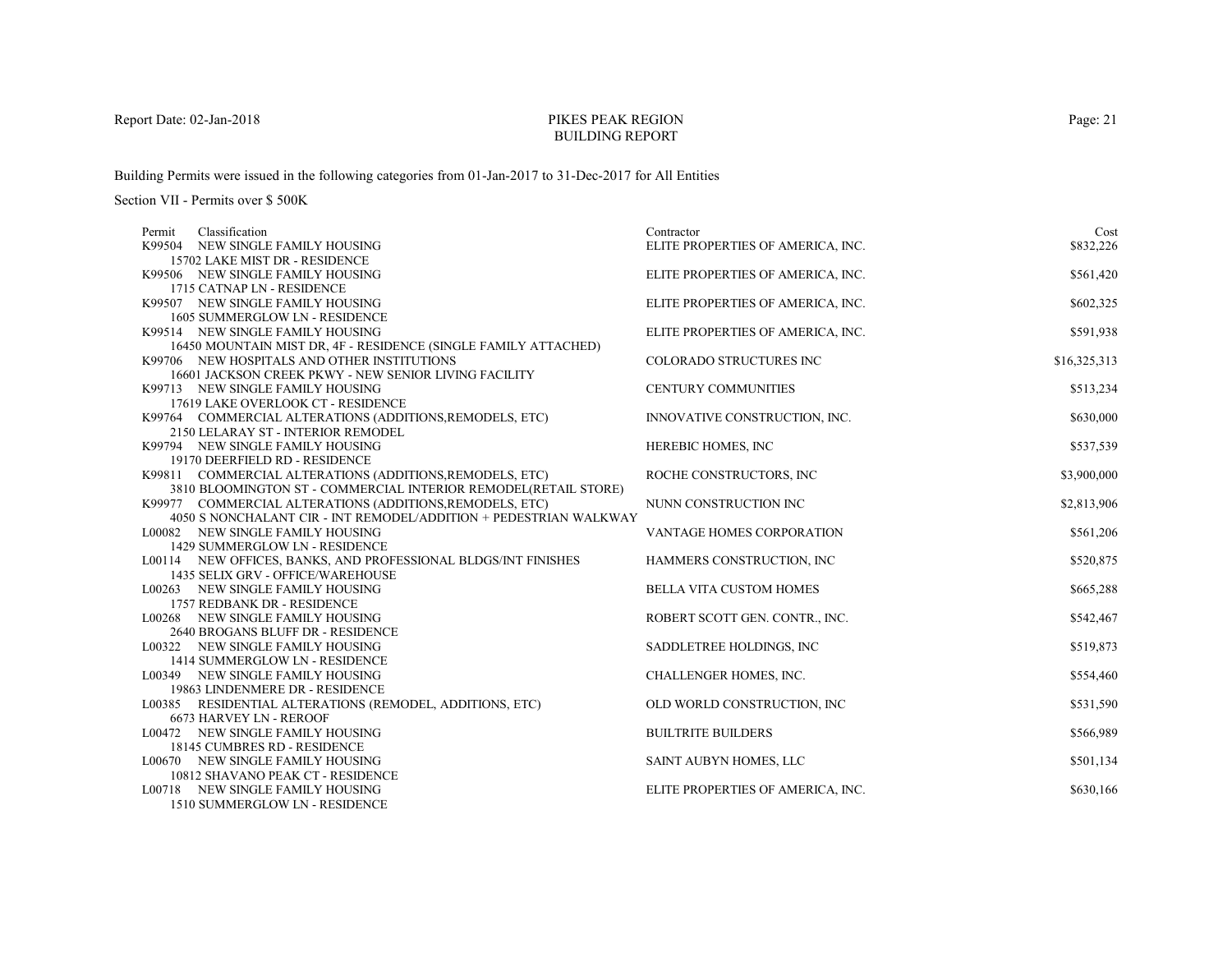# PIKES PEAK REGIONBUILDING REPORT

Building Permits were issued in the following categories from 01-Jan-2017 to 31-Dec-2017 for All Entities

| Classification<br>Permit                                                                                                    | Contractor                        | Cost         |
|-----------------------------------------------------------------------------------------------------------------------------|-----------------------------------|--------------|
| K99504 NEW SINGLE FAMILY HOUSING                                                                                            | ELITE PROPERTIES OF AMERICA, INC. | \$832,226    |
| 15702 LAKE MIST DR - RESIDENCE                                                                                              |                                   |              |
| K99506 NEW SINGLE FAMILY HOUSING                                                                                            | ELITE PROPERTIES OF AMERICA, INC. | \$561,420    |
| 1715 CATNAP LN - RESIDENCE                                                                                                  |                                   |              |
| K99507 NEW SINGLE FAMILY HOUSING                                                                                            | ELITE PROPERTIES OF AMERICA, INC. | \$602,325    |
| 1605 SUMMERGLOW LN - RESIDENCE                                                                                              |                                   |              |
| K99514 NEW SINGLE FAMILY HOUSING                                                                                            | ELITE PROPERTIES OF AMERICA, INC. | \$591,938    |
| 16450 MOUNTAIN MIST DR, 4F - RESIDENCE (SINGLE FAMILY ATTACHED)                                                             |                                   |              |
| K99706 NEW HOSPITALS AND OTHER INSTITUTIONS                                                                                 | <b>COLORADO STRUCTURES INC</b>    | \$16,325,313 |
| 16601 JACKSON CREEK PKWY - NEW SENIOR LIVING FACILITY                                                                       |                                   |              |
| K99713 NEW SINGLE FAMILY HOUSING                                                                                            | <b>CENTURY COMMUNITIES</b>        | \$513,234    |
| 17619 LAKE OVERLOOK CT - RESIDENCE                                                                                          |                                   |              |
| K99764 COMMERCIAL ALTERATIONS (ADDITIONS, REMODELS, ETC)                                                                    | INNOVATIVE CONSTRUCTION, INC.     | \$630,000    |
| 2150 LELARAY ST - INTERIOR REMODEL                                                                                          |                                   |              |
| K99794 NEW SINGLE FAMILY HOUSING                                                                                            | HEREBIC HOMES, INC                | \$537,539    |
| 19170 DEERFIELD RD - RESIDENCE                                                                                              | ROCHE CONSTRUCTORS, INC           | \$3,900,000  |
| K99811 COMMERCIAL ALTERATIONS (ADDITIONS, REMODELS, ETC)<br>3810 BLOOMINGTON ST - COMMERCIAL INTERIOR REMODEL(RETAIL STORE) |                                   |              |
| K99977 COMMERCIAL ALTERATIONS (ADDITIONS, REMODELS, ETC)                                                                    | NUNN CONSTRUCTION INC             | \$2,813,906  |
| 4050 S NONCHALANT CIR - INT REMODEL/ADDITION + PEDESTRIAN WALKWAY                                                           |                                   |              |
| L00082 NEW SINGLE FAMILY HOUSING                                                                                            | VANTAGE HOMES CORPORATION         | \$561,206    |
| 1429 SUMMERGLOW LN - RESIDENCE                                                                                              |                                   |              |
| L00114 NEW OFFICES, BANKS, AND PROFESSIONAL BLDGS/INT FINISHES                                                              | HAMMERS CONSTRUCTION, INC         | \$520,875    |
| 1435 SELIX GRV - OFFICE/WAREHOUSE                                                                                           |                                   |              |
| L00263 NEW SINGLE FAMILY HOUSING                                                                                            | <b>BELLA VITA CUSTOM HOMES</b>    | \$665,288    |
| 1757 REDBANK DR - RESIDENCE                                                                                                 |                                   |              |
| L00268 NEW SINGLE FAMILY HOUSING                                                                                            | ROBERT SCOTT GEN. CONTR., INC.    | \$542,467    |
| 2640 BROGANS BLUFF DR - RESIDENCE                                                                                           |                                   |              |
| L00322 NEW SINGLE FAMILY HOUSING                                                                                            | SADDLETREE HOLDINGS, INC.         | \$519,873    |
| 1414 SUMMERGLOW LN - RESIDENCE                                                                                              |                                   |              |
| L00349 NEW SINGLE FAMILY HOUSING                                                                                            | CHALLENGER HOMES, INC.            | \$554,460    |
| 19863 LINDENMERE DR - RESIDENCE                                                                                             |                                   |              |
| L00385 RESIDENTIAL ALTERATIONS (REMODEL, ADDITIONS, ETC)                                                                    | OLD WORLD CONSTRUCTION, INC       | \$531,590    |
| 6673 HARVEY LN - REROOF                                                                                                     |                                   |              |
| L00472 NEW SINGLE FAMILY HOUSING                                                                                            | <b>BUILTRITE BUILDERS</b>         | \$566,989    |
| 18145 CUMBRES RD - RESIDENCE                                                                                                |                                   |              |
| L00670 NEW SINGLE FAMILY HOUSING                                                                                            | SAINT AUBYN HOMES, LLC            | \$501,134    |
| 10812 SHAVANO PEAK CT - RESIDENCE                                                                                           |                                   |              |
| L00718 NEW SINGLE FAMILY HOUSING                                                                                            | ELITE PROPERTIES OF AMERICA, INC. | \$630,166    |
| 1510 SUMMERGLOW LN - RESIDENCE                                                                                              |                                   |              |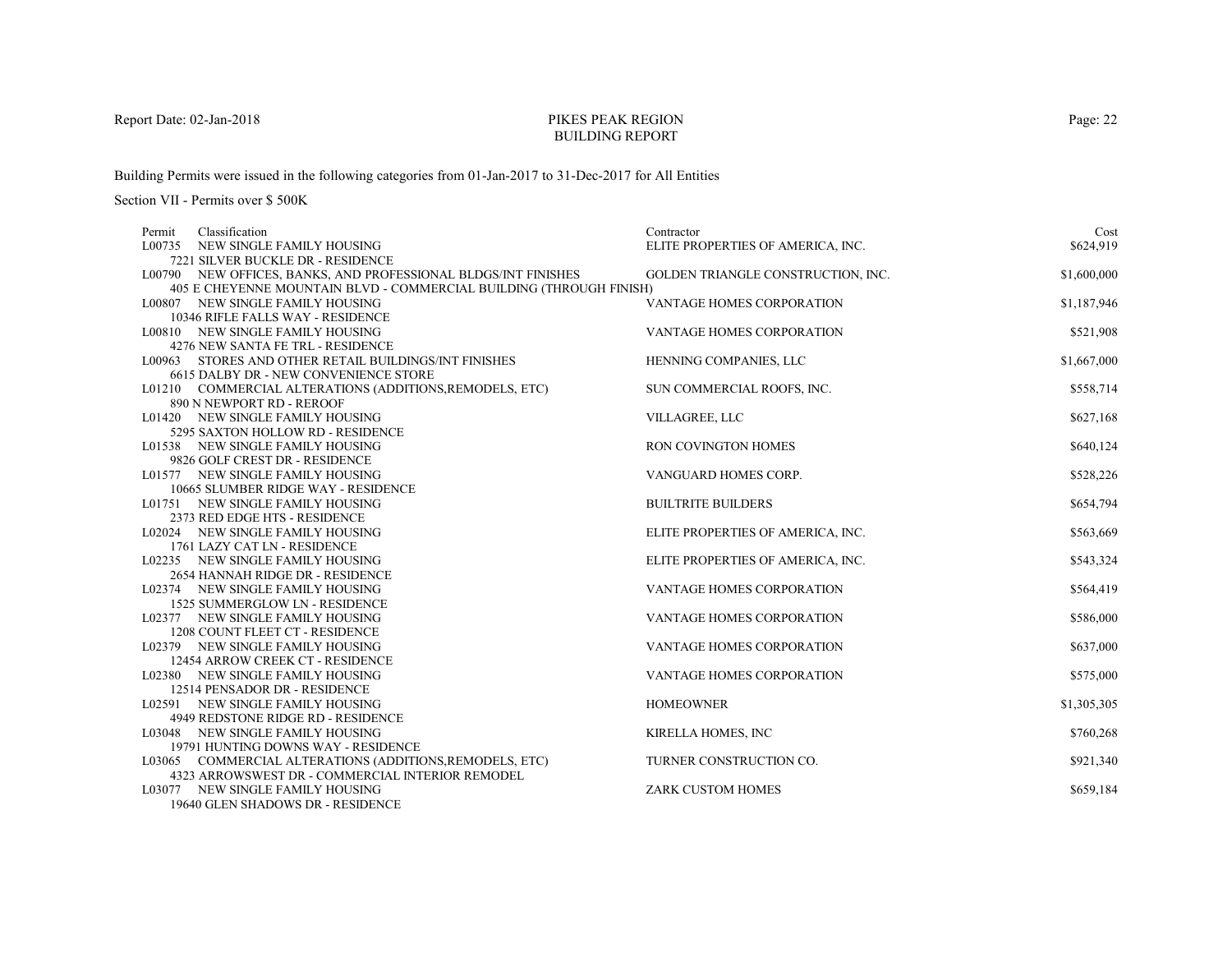# PIKES PEAK REGIONBUILDING REPORT

Building Permits were issued in the following categories from 01-Jan-2017 to 31-Dec-2017 for All Entities

Section VII - Permits over \$ 500K

| Classification<br>Permit                                                | Contractor                         | Cost        |
|-------------------------------------------------------------------------|------------------------------------|-------------|
| L00735 NEW SINGLE FAMILY HOUSING                                        | ELITE PROPERTIES OF AMERICA, INC.  | \$624,919   |
| 7221 SILVER BUCKLE DR - RESIDENCE                                       |                                    |             |
| L00790 NEW OFFICES, BANKS, AND PROFESSIONAL BLDGS/INT FINISHES          | GOLDEN TRIANGLE CONSTRUCTION, INC. | \$1,600,000 |
| 405 E CHEYENNE MOUNTAIN BLVD - COMMERCIAL BUILDING (THROUGH FINISH)     |                                    |             |
| L00807 NEW SINGLE FAMILY HOUSING                                        | VANTAGE HOMES CORPORATION          | \$1,187,946 |
| 10346 RIFLE FALLS WAY - RESIDENCE                                       |                                    |             |
| L00810 NEW SINGLE FAMILY HOUSING                                        | VANTAGE HOMES CORPORATION          | \$521,908   |
| 4276 NEW SANTA FE TRL - RESIDENCE                                       |                                    |             |
| L00963 STORES AND OTHER RETAIL BUILDINGS/INT FINISHES                   | HENNING COMPANIES, LLC             | \$1,667,000 |
| 6615 DALBY DR - NEW CONVENIENCE STORE                                   |                                    |             |
| L01210 COMMERCIAL ALTERATIONS (ADDITIONS, REMODELS, ETC)                | SUN COMMERCIAL ROOFS, INC.         | \$558,714   |
| 890 N NEWPORT RD - REROOF                                               |                                    |             |
| L01420 NEW SINGLE FAMILY HOUSING                                        | VILLAGREE, LLC                     | \$627,168   |
| 5295 SAXTON HOLLOW RD - RESIDENCE                                       |                                    |             |
| L01538 NEW SINGLE FAMILY HOUSING                                        | <b>RON COVINGTON HOMES</b>         | \$640,124   |
| 9826 GOLF CREST DR - RESIDENCE                                          | VANGUARD HOMES CORP.               |             |
| L01577 NEW SINGLE FAMILY HOUSING<br>10665 SLUMBER RIDGE WAY - RESIDENCE |                                    | \$528,226   |
| L01751 NEW SINGLE FAMILY HOUSING                                        | <b>BUILTRITE BUILDERS</b>          | \$654,794   |
| 2373 RED EDGE HTS - RESIDENCE                                           |                                    |             |
| L02024 NEW SINGLE FAMILY HOUSING                                        | ELITE PROPERTIES OF AMERICA, INC.  | \$563,669   |
| 1761 LAZY CAT LN - RESIDENCE                                            |                                    |             |
| L02235 NEW SINGLE FAMILY HOUSING                                        | ELITE PROPERTIES OF AMERICA, INC.  | \$543,324   |
| 2654 HANNAH RIDGE DR - RESIDENCE                                        |                                    |             |
| L02374 NEW SINGLE FAMILY HOUSING                                        | VANTAGE HOMES CORPORATION          | \$564,419   |
| 1525 SUMMERGLOW LN - RESIDENCE                                          |                                    |             |
| L02377 NEW SINGLE FAMILY HOUSING                                        | VANTAGE HOMES CORPORATION          | \$586,000   |
| 1208 COUNT FLEET CT - RESIDENCE                                         |                                    |             |
| L02379 NEW SINGLE FAMILY HOUSING                                        | <b>VANTAGE HOMES CORPORATION</b>   | \$637,000   |
| 12454 ARROW CREEK CT - RESIDENCE                                        |                                    |             |
| L02380 NEW SINGLE FAMILY HOUSING                                        | VANTAGE HOMES CORPORATION          | \$575,000   |
| 12514 PENSADOR DR - RESIDENCE                                           |                                    |             |
| L02591 NEW SINGLE FAMILY HOUSING                                        | <b>HOMEOWNER</b>                   | \$1,305,305 |
| 4949 REDSTONE RIDGE RD - RESIDENCE                                      |                                    |             |
| L03048 NEW SINGLE FAMILY HOUSING                                        | KIRELLA HOMES, INC                 | \$760,268   |
| 19791 HUNTING DOWNS WAY - RESIDENCE                                     |                                    |             |
| L03065 COMMERCIAL ALTERATIONS (ADDITIONS, REMODELS, ETC)                | TURNER CONSTRUCTION CO.            | \$921,340   |
| 4323 ARROWSWEST DR - COMMERCIAL INTERIOR REMODEL                        |                                    |             |
| L03077 NEW SINGLE FAMILY HOUSING                                        | <b>ZARK CUSTOM HOMES</b>           | \$659,184   |
| 19640 GLEN SHADOWS DR - RESIDENCE                                       |                                    |             |

Page: 22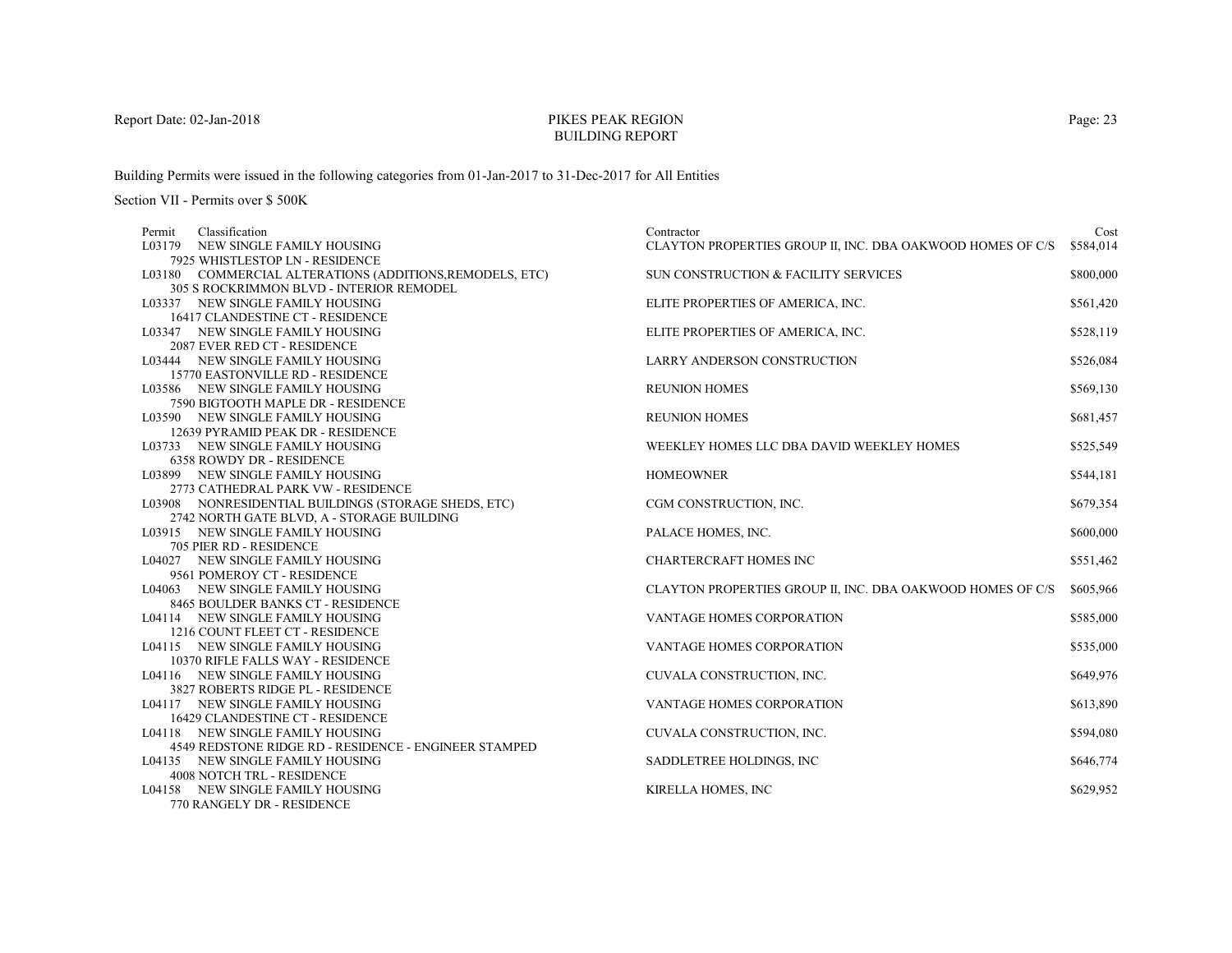# PIKES PEAK REGIONBUILDING REPORT

Building Permits were issued in the following categories from 01-Jan-2017 to 31-Dec-2017 for All Entities

| Classification<br>Permit                                              | Contractor                                                 | Cost      |
|-----------------------------------------------------------------------|------------------------------------------------------------|-----------|
| L03179 NEW SINGLE FAMILY HOUSING                                      | CLAYTON PROPERTIES GROUP II, INC. DBA OAKWOOD HOMES OF C/S | \$584,014 |
| 7925 WHISTLESTOP LN - RESIDENCE                                       |                                                            |           |
| L03180 COMMERCIAL ALTERATIONS (ADDITIONS, REMODELS, ETC)              | SUN CONSTRUCTION & FACILITY SERVICES                       | \$800,000 |
| <b>305 S ROCKRIMMON BLVD - INTERIOR REMODEL</b>                       |                                                            |           |
| L03337 NEW SINGLE FAMILY HOUSING                                      | ELITE PROPERTIES OF AMERICA, INC.                          | \$561,420 |
| 16417 CLANDESTINE CT - RESIDENCE                                      |                                                            |           |
| L03347 NEW SINGLE FAMILY HOUSING                                      | ELITE PROPERTIES OF AMERICA, INC.                          | \$528,119 |
| 2087 EVER RED CT - RESIDENCE                                          |                                                            |           |
| L03444 NEW SINGLE FAMILY HOUSING                                      | LARRY ANDERSON CONSTRUCTION                                | \$526,084 |
| 15770 EASTONVILLE RD - RESIDENCE                                      |                                                            |           |
| L03586 NEW SINGLE FAMILY HOUSING                                      | <b>REUNION HOMES</b>                                       | \$569,130 |
| 7590 BIGTOOTH MAPLE DR - RESIDENCE                                    |                                                            |           |
| L03590 NEW SINGLE FAMILY HOUSING                                      | <b>REUNION HOMES</b>                                       | \$681,457 |
| 12639 PYRAMID PEAK DR - RESIDENCE                                     |                                                            |           |
| L03733 NEW SINGLE FAMILY HOUSING                                      | WEEKLEY HOMES LLC DBA DAVID WEEKLEY HOMES                  | \$525,549 |
| 6358 ROWDY DR - RESIDENCE                                             |                                                            |           |
| L03899 NEW SINGLE FAMILY HOUSING                                      | <b>HOMEOWNER</b>                                           | \$544,181 |
| 2773 CATHEDRAL PARK VW - RESIDENCE                                    |                                                            |           |
| L03908 NONRESIDENTIAL BUILDINGS (STORAGE SHEDS, ETC)                  | CGM CONSTRUCTION, INC.                                     | \$679,354 |
| 2742 NORTH GATE BLVD, A - STORAGE BUILDING                            |                                                            |           |
| L03915 NEW SINGLE FAMILY HOUSING                                      | PALACE HOMES, INC.                                         | \$600,000 |
| 705 PIER RD - RESIDENCE                                               |                                                            |           |
| L04027 NEW SINGLE FAMILY HOUSING                                      | CHARTERCRAFT HOMES INC                                     | \$551,462 |
| 9561 POMEROY CT - RESIDENCE                                           |                                                            |           |
| L04063 NEW SINGLE FAMILY HOUSING                                      | CLAYTON PROPERTIES GROUP II, INC. DBA OAKWOOD HOMES OF C/S | \$605,966 |
| 8465 BOULDER BANKS CT - RESIDENCE                                     |                                                            |           |
| L04114 NEW SINGLE FAMILY HOUSING                                      | VANTAGE HOMES CORPORATION                                  | \$585,000 |
| 1216 COUNT FLEET CT - RESIDENCE                                       |                                                            |           |
| L04115 NEW SINGLE FAMILY HOUSING                                      | <b>VANTAGE HOMES CORPORATION</b>                           | \$535,000 |
| 10370 RIFLE FALLS WAY - RESIDENCE<br>L04116 NEW SINGLE FAMILY HOUSING |                                                            | \$649,976 |
| 3827 ROBERTS RIDGE PL - RESIDENCE                                     | CUVALA CONSTRUCTION, INC.                                  |           |
| L04117 NEW SINGLE FAMILY HOUSING                                      | <b>VANTAGE HOMES CORPORATION</b>                           | \$613,890 |
| 16429 CLANDESTINE CT - RESIDENCE                                      |                                                            |           |
| L04118 NEW SINGLE FAMILY HOUSING                                      | CUVALA CONSTRUCTION, INC.                                  | \$594,080 |
| 4549 REDSTONE RIDGE RD - RESIDENCE - ENGINEER STAMPED                 |                                                            |           |
| L04135 NEW SINGLE FAMILY HOUSING                                      | SADDLETREE HOLDINGS, INC                                   | \$646,774 |
| <b>4008 NOTCH TRL - RESIDENCE</b>                                     |                                                            |           |
| L04158 NEW SINGLE FAMILY HOUSING                                      | KIRELLA HOMES, INC                                         | \$629,952 |
| 770 RANGELY DR - RESIDENCE                                            |                                                            |           |
|                                                                       |                                                            |           |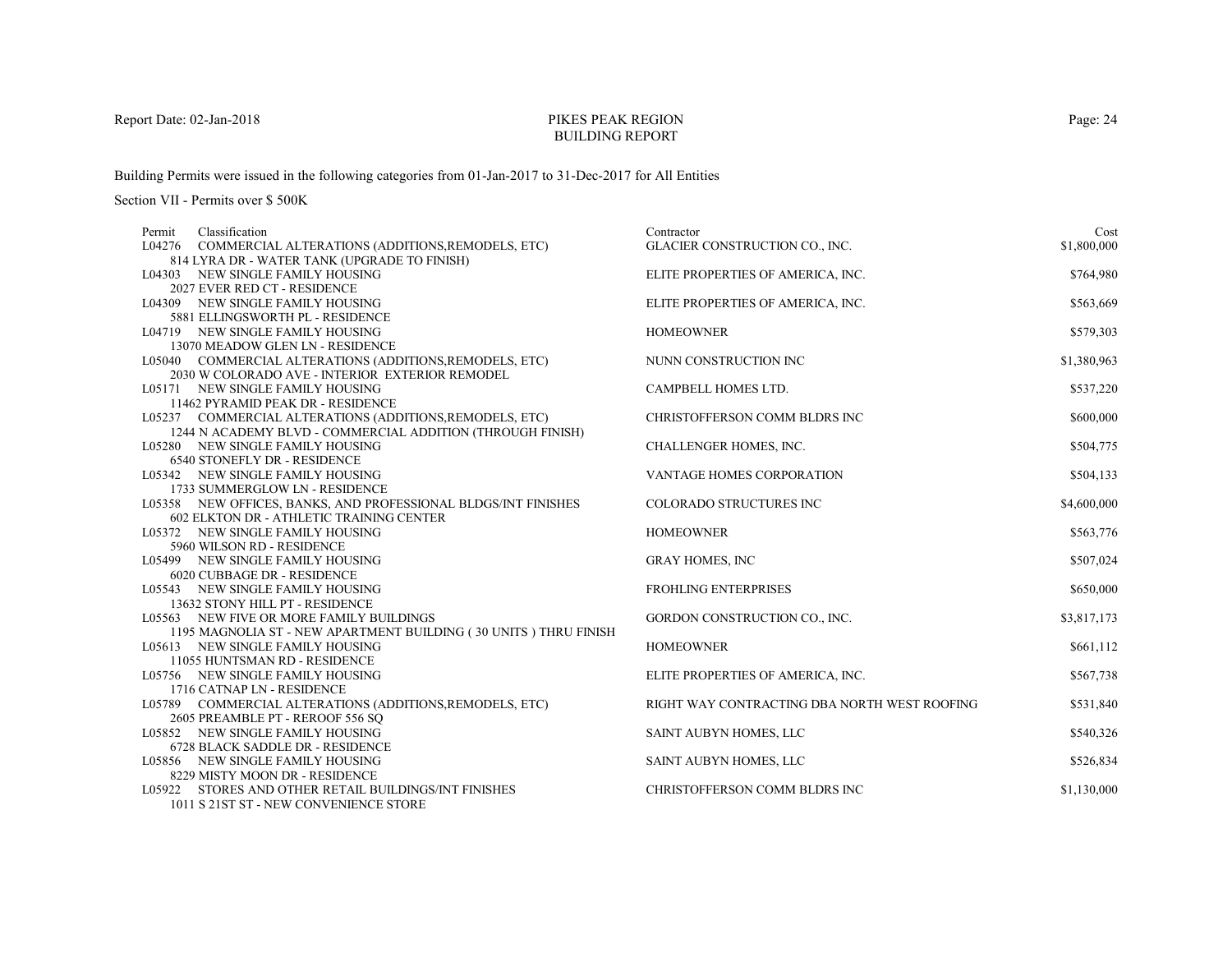# PIKES PEAK REGIONBUILDING REPORT

Building Permits were issued in the following categories from 01-Jan-2017 to 31-Dec-2017 for All Entities

| Classification<br>Permit                                                                       | Contractor                                   | Cost        |
|------------------------------------------------------------------------------------------------|----------------------------------------------|-------------|
| L04276 COMMERCIAL ALTERATIONS (ADDITIONS, REMODELS, ETC)                                       | GLACIER CONSTRUCTION CO., INC.               | \$1,800,000 |
| 814 LYRA DR - WATER TANK (UPGRADE TO FINISH)                                                   |                                              |             |
| L04303 NEW SINGLE FAMILY HOUSING                                                               | ELITE PROPERTIES OF AMERICA, INC.            | \$764,980   |
| 2027 EVER RED CT - RESIDENCE                                                                   |                                              |             |
| L04309 NEW SINGLE FAMILY HOUSING                                                               | ELITE PROPERTIES OF AMERICA, INC.            | \$563,669   |
| 5881 ELLINGSWORTH PL - RESIDENCE                                                               |                                              |             |
| L04719 NEW SINGLE FAMILY HOUSING                                                               | <b>HOMEOWNER</b>                             | \$579,303   |
| 13070 MEADOW GLEN LN - RESIDENCE                                                               |                                              |             |
| L05040 COMMERCIAL ALTERATIONS (ADDITIONS, REMODELS, ETC)                                       | NUNN CONSTRUCTION INC                        | \$1,380,963 |
| 2030 W COLORADO AVE - INTERIOR EXTERIOR REMODEL                                                |                                              |             |
| L05171 NEW SINGLE FAMILY HOUSING                                                               | CAMPBELL HOMES LTD.                          | \$537,220   |
| 11462 PYRAMID PEAK DR - RESIDENCE                                                              | CHRISTOFFERSON COMM BLDRS INC                | \$600,000   |
| L05237 COMMERCIAL ALTERATIONS (ADDITIONS, REMODELS, ETC)                                       |                                              |             |
| 1244 N ACADEMY BLVD - COMMERCIAL ADDITION (THROUGH FINISH)<br>L05280 NEW SINGLE FAMILY HOUSING | CHALLENGER HOMES, INC.                       | \$504,775   |
| 6540 STONEFLY DR - RESIDENCE                                                                   |                                              |             |
| L05342 NEW SINGLE FAMILY HOUSING                                                               | VANTAGE HOMES CORPORATION                    | \$504,133   |
| 1733 SUMMERGLOW LN - RESIDENCE                                                                 |                                              |             |
| L05358 NEW OFFICES, BANKS, AND PROFESSIONAL BLDGS/INT FINISHES                                 | <b>COLORADO STRUCTURES INC</b>               | \$4,600,000 |
| 602 ELKTON DR - ATHLETIC TRAINING CENTER                                                       |                                              |             |
| L05372 NEW SINGLE FAMILY HOUSING                                                               | <b>HOMEOWNER</b>                             | \$563,776   |
| 5960 WILSON RD - RESIDENCE                                                                     |                                              |             |
| L05499 NEW SINGLE FAMILY HOUSING                                                               | <b>GRAY HOMES, INC</b>                       | \$507,024   |
| 6020 CUBBAGE DR - RESIDENCE                                                                    |                                              |             |
| L05543 NEW SINGLE FAMILY HOUSING                                                               | FROHLING ENTERPRISES                         | \$650,000   |
| 13632 STONY HILL PT - RESIDENCE                                                                |                                              |             |
| L05563 NEW FIVE OR MORE FAMILY BUILDINGS                                                       | GORDON CONSTRUCTION CO., INC.                | \$3,817,173 |
| 1195 MAGNOLIA ST - NEW APARTMENT BUILDING (30 UNITS) THRU FINISH                               |                                              |             |
| L05613 NEW SINGLE FAMILY HOUSING                                                               | <b>HOMEOWNER</b>                             | \$661,112   |
| 11055 HUNTSMAN RD - RESIDENCE                                                                  |                                              |             |
| L05756 NEW SINGLE FAMILY HOUSING                                                               | ELITE PROPERTIES OF AMERICA, INC.            | \$567,738   |
| 1716 CATNAP LN - RESIDENCE                                                                     |                                              |             |
| L05789 COMMERCIAL ALTERATIONS (ADDITIONS, REMODELS, ETC)                                       | RIGHT WAY CONTRACTING DBA NORTH WEST ROOFING | \$531,840   |
| 2605 PREAMBLE PT - REROOF 556 SQ                                                               |                                              |             |
| L05852 NEW SINGLE FAMILY HOUSING                                                               | SAINT AUBYN HOMES, LLC                       | \$540,326   |
| 6728 BLACK SADDLE DR - RESIDENCE                                                               |                                              |             |
| L05856 NEW SINGLE FAMILY HOUSING                                                               | SAINT AUBYN HOMES, LLC                       | \$526,834   |
| 8229 MISTY MOON DR - RESIDENCE                                                                 |                                              |             |
| L05922 STORES AND OTHER RETAIL BUILDINGS/INT FINISHES                                          | CHRISTOFFERSON COMM BLDRS INC                | \$1,130,000 |
| 1011 S 21ST ST - NEW CONVENIENCE STORE                                                         |                                              |             |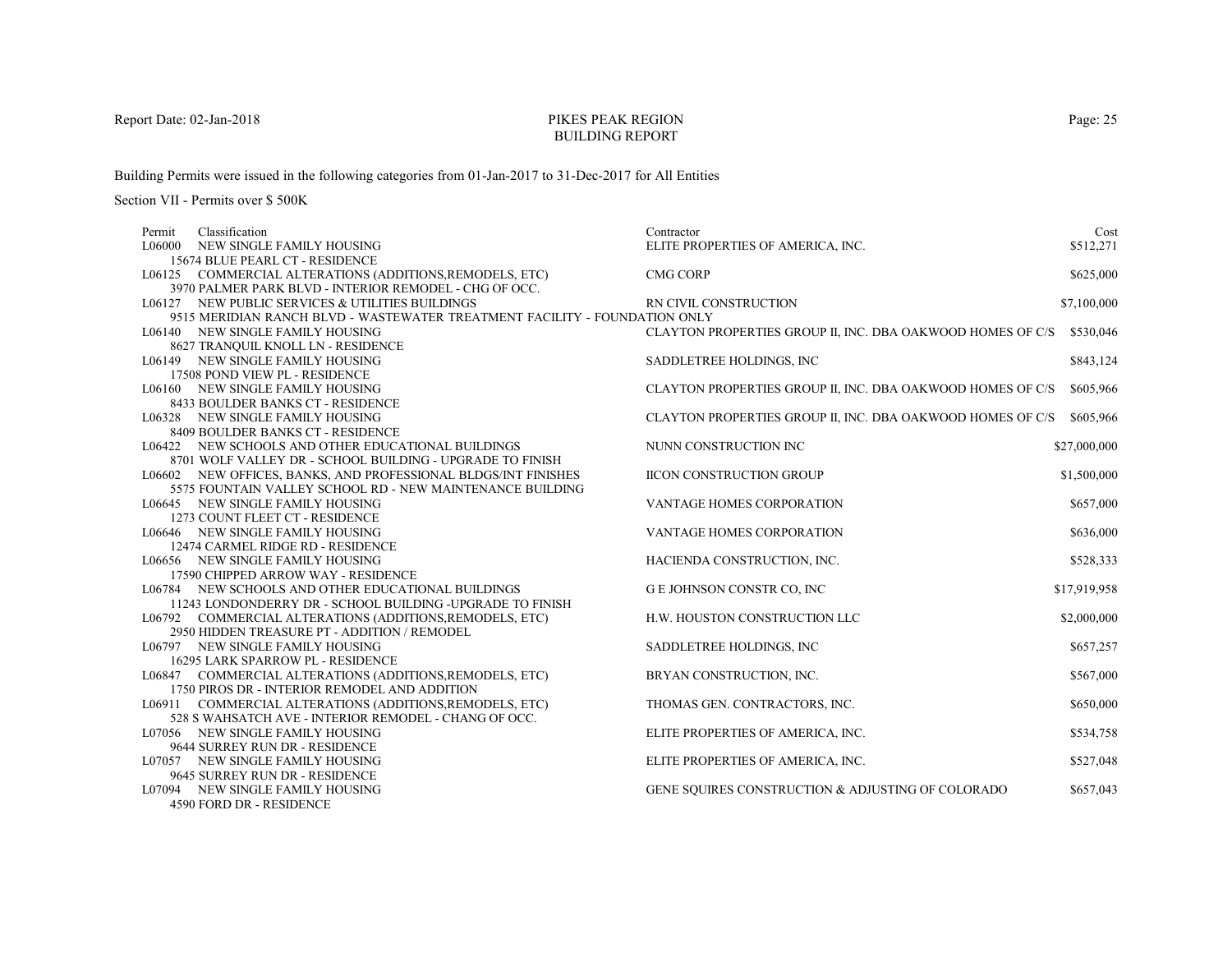# PIKES PEAK REGIONBUILDING REPORT

Building Permits were issued in the following categories from 01-Jan-2017 to 31-Dec-2017 for All Entities

| Classification<br>Permit                                                   | Contractor                                                 | Cost         |
|----------------------------------------------------------------------------|------------------------------------------------------------|--------------|
| NEW SINGLE FAMILY HOUSING<br>L06000                                        | ELITE PROPERTIES OF AMERICA, INC.                          | \$512,271    |
| 15674 BLUE PEARL CT - RESIDENCE                                            |                                                            |              |
| L06125 COMMERCIAL ALTERATIONS (ADDITIONS, REMODELS, ETC)                   | <b>CMG CORP</b>                                            | \$625,000    |
| 3970 PALMER PARK BLVD - INTERIOR REMODEL - CHG OF OCC.                     |                                                            |              |
| L06127 NEW PUBLIC SERVICES & UTILITIES BUILDINGS                           | RN CIVIL CONSTRUCTION                                      | \$7,100,000  |
| 9515 MERIDIAN RANCH BLVD - WASTEWATER TREATMENT FACILITY - FOUNDATION ONLY |                                                            |              |
| L06140 NEW SINGLE FAMILY HOUSING                                           | CLAYTON PROPERTIES GROUP II, INC. DBA OAKWOOD HOMES OF C/S | \$530,046    |
| 8627 TRANQUIL KNOLL LN - RESIDENCE                                         |                                                            |              |
| L06149 NEW SINGLE FAMILY HOUSING                                           | SADDLETREE HOLDINGS, INC                                   | \$843,124    |
| 17508 POND VIEW PL - RESIDENCE                                             |                                                            |              |
| L06160 NEW SINGLE FAMILY HOUSING                                           | CLAYTON PROPERTIES GROUP II, INC. DBA OAKWOOD HOMES OF C/S | \$605,966    |
| 8433 BOULDER BANKS CT - RESIDENCE                                          |                                                            |              |
| L06328 NEW SINGLE FAMILY HOUSING                                           | CLAYTON PROPERTIES GROUP II, INC. DBA OAKWOOD HOMES OF C/S | \$605,966    |
| 8409 BOULDER BANKS CT - RESIDENCE                                          |                                                            |              |
| L06422 NEW SCHOOLS AND OTHER EDUCATIONAL BUILDINGS                         | NUNN CONSTRUCTION INC                                      | \$27,000,000 |
| 8701 WOLF VALLEY DR - SCHOOL BUILDING - UPGRADE TO FINISH                  |                                                            |              |
| L06602 NEW OFFICES, BANKS, AND PROFESSIONAL BLDGS/INT FINISHES             | <b>IICON CONSTRUCTION GROUP</b>                            | \$1,500,000  |
| 5575 FOUNTAIN VALLEY SCHOOL RD - NEW MAINTENANCE BUILDING                  |                                                            |              |
| L06645 NEW SINGLE FAMILY HOUSING                                           | <b>VANTAGE HOMES CORPORATION</b>                           | \$657,000    |
| 1273 COUNT FLEET CT - RESIDENCE                                            |                                                            |              |
| L06646 NEW SINGLE FAMILY HOUSING                                           | VANTAGE HOMES CORPORATION                                  | \$636,000    |
| 12474 CARMEL RIDGE RD - RESIDENCE                                          |                                                            |              |
| L06656 NEW SINGLE FAMILY HOUSING                                           | HACIENDA CONSTRUCTION, INC.                                | \$528,333    |
| 17590 CHIPPED ARROW WAY - RESIDENCE                                        |                                                            |              |
| L06784 NEW SCHOOLS AND OTHER EDUCATIONAL BUILDINGS                         | G E JOHNSON CONSTR CO, INC                                 | \$17,919,958 |
| 11243 LONDONDERRY DR - SCHOOL BUILDING -UPGRADE TO FINISH                  |                                                            |              |
| L06792 COMMERCIAL ALTERATIONS (ADDITIONS, REMODELS, ETC)                   | H.W. HOUSTON CONSTRUCTION LLC                              | \$2,000,000  |
| 2950 HIDDEN TREASURE PT - ADDITION / REMODEL                               |                                                            |              |
| L06797 NEW SINGLE FAMILY HOUSING                                           | SADDLETREE HOLDINGS, INC.                                  | \$657,257    |
| 16295 LARK SPARROW PL - RESIDENCE                                          |                                                            |              |
| L06847 COMMERCIAL ALTERATIONS (ADDITIONS, REMODELS, ETC)                   | BRYAN CONSTRUCTION, INC.                                   | \$567,000    |
| 1750 PIROS DR - INTERIOR REMODEL AND ADDITION                              |                                                            |              |
| L06911 COMMERCIAL ALTERATIONS (ADDITIONS, REMODELS, ETC)                   | THOMAS GEN. CONTRACTORS, INC.                              | \$650,000    |
| 528 S WAHSATCH AVE - INTERIOR REMODEL - CHANG OF OCC.                      |                                                            |              |
| L07056 NEW SINGLE FAMILY HOUSING                                           | ELITE PROPERTIES OF AMERICA, INC.                          | \$534,758    |
| 9644 SURREY RUN DR - RESIDENCE                                             |                                                            |              |
| L07057 NEW SINGLE FAMILY HOUSING                                           | ELITE PROPERTIES OF AMERICA, INC.                          | \$527,048    |
| 9645 SURREY RUN DR - RESIDENCE                                             |                                                            |              |
| L07094 NEW SINGLE FAMILY HOUSING                                           | GENE SOUIRES CONSTRUCTION & ADJUSTING OF COLORADO          | \$657,043    |
| 4590 FORD DR - RESIDENCE                                                   |                                                            |              |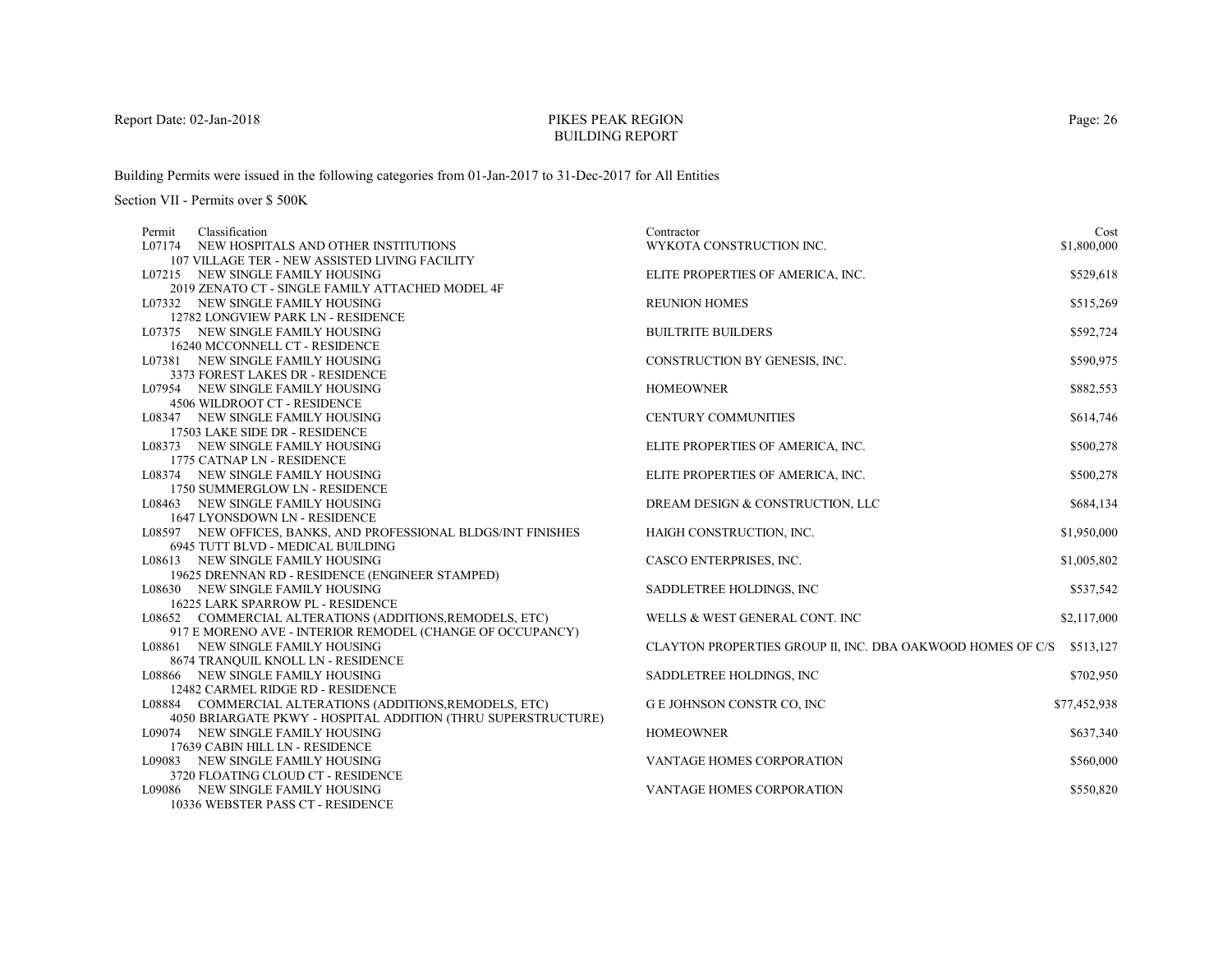# PIKES PEAK REGIONBUILDING REPORT

Building Permits were issued in the following categories from 01-Jan-2017 to 31-Dec-2017 for All Entities

| Classification<br>Permit                                       | Contractor                                                 | Cost         |
|----------------------------------------------------------------|------------------------------------------------------------|--------------|
| L07174 NEW HOSPITALS AND OTHER INSTITUTIONS                    | WYKOTA CONSTRUCTION INC.                                   | \$1,800,000  |
| 107 VILLAGE TER - NEW ASSISTED LIVING FACILITY                 |                                                            |              |
| L07215 NEW SINGLE FAMILY HOUSING                               | ELITE PROPERTIES OF AMERICA, INC.                          | \$529,618    |
| 2019 ZENATO CT - SINGLE FAMILY ATTACHED MODEL 4F               |                                                            |              |
| L07332 NEW SINGLE FAMILY HOUSING                               | <b>REUNION HOMES</b>                                       | \$515,269    |
| 12782 LONGVIEW PARK LN - RESIDENCE                             |                                                            |              |
| L07375 NEW SINGLE FAMILY HOUSING                               | <b>BUILTRITE BUILDERS</b>                                  | \$592,724    |
| 16240 MCCONNELL CT - RESIDENCE                                 |                                                            |              |
| L07381 NEW SINGLE FAMILY HOUSING                               | CONSTRUCTION BY GENESIS, INC.                              | \$590,975    |
| 3373 FOREST LAKES DR - RESIDENCE                               |                                                            |              |
| L07954 NEW SINGLE FAMILY HOUSING                               | <b>HOMEOWNER</b>                                           | \$882,553    |
| 4506 WILDROOT CT - RESIDENCE                                   |                                                            |              |
| L08347 NEW SINGLE FAMILY HOUSING                               | CENTURY COMMUNITIES                                        | \$614,746    |
| 17503 LAKE SIDE DR - RESIDENCE                                 |                                                            |              |
| L08373 NEW SINGLE FAMILY HOUSING                               | ELITE PROPERTIES OF AMERICA, INC.                          | \$500,278    |
| 1775 CATNAP LN - RESIDENCE                                     |                                                            |              |
| L08374 NEW SINGLE FAMILY HOUSING                               | ELITE PROPERTIES OF AMERICA, INC.                          | \$500,278    |
| 1750 SUMMERGLOW LN - RESIDENCE                                 |                                                            |              |
| L08463 NEW SINGLE FAMILY HOUSING                               | DREAM DESIGN & CONSTRUCTION, LLC                           | \$684,134    |
| 1647 LYONSDOWN LN - RESIDENCE                                  |                                                            |              |
| L08597 NEW OFFICES, BANKS, AND PROFESSIONAL BLDGS/INT FINISHES | HAIGH CONSTRUCTION, INC.                                   | \$1,950,000  |
| 6945 TUTT BLVD - MEDICAL BUILDING                              |                                                            |              |
| L08613 NEW SINGLE FAMILY HOUSING                               | CASCO ENTERPRISES, INC.                                    | \$1,005,802  |
| 19625 DRENNAN RD - RESIDENCE (ENGINEER STAMPED)                |                                                            |              |
| L08630 NEW SINGLE FAMILY HOUSING                               | SADDLETREE HOLDINGS, INC                                   | \$537,542    |
| <b>16225 LARK SPARROW PL - RESIDENCE</b>                       |                                                            |              |
| L08652 COMMERCIAL ALTERATIONS (ADDITIONS, REMODELS, ETC)       | WELLS & WEST GENERAL CONT. INC                             | \$2,117,000  |
| 917 E MORENO AVE - INTERIOR REMODEL (CHANGE OF OCCUPANCY)      |                                                            |              |
| L08861 NEW SINGLE FAMILY HOUSING                               | CLAYTON PROPERTIES GROUP II, INC. DBA OAKWOOD HOMES OF C/S | \$513,127    |
| 8674 TRANQUIL KNOLL LN - RESIDENCE                             |                                                            |              |
| L08866 NEW SINGLE FAMILY HOUSING                               | SADDLETREE HOLDINGS, INC                                   | \$702,950    |
| 12482 CARMEL RIDGE RD - RESIDENCE                              |                                                            |              |
| L08884 COMMERCIAL ALTERATIONS (ADDITIONS, REMODELS, ETC)       | G E JOHNSON CONSTR CO, INC                                 | \$77,452,938 |
| 4050 BRIARGATE PKWY - HOSPITAL ADDITION (THRU SUPERSTRUCTURE)  |                                                            |              |
| L09074 NEW SINGLE FAMILY HOUSING                               | <b>HOMEOWNER</b>                                           | \$637,340    |
| 17639 CABIN HILL LN - RESIDENCE                                |                                                            |              |
| L09083 NEW SINGLE FAMILY HOUSING                               | VANTAGE HOMES CORPORATION                                  | \$560,000    |
| 3720 FLOATING CLOUD CT - RESIDENCE                             |                                                            |              |
| L09086 NEW SINGLE FAMILY HOUSING                               | VANTAGE HOMES CORPORATION                                  | \$550,820    |
| 10336 WEBSTER PASS CT - RESIDENCE                              |                                                            |              |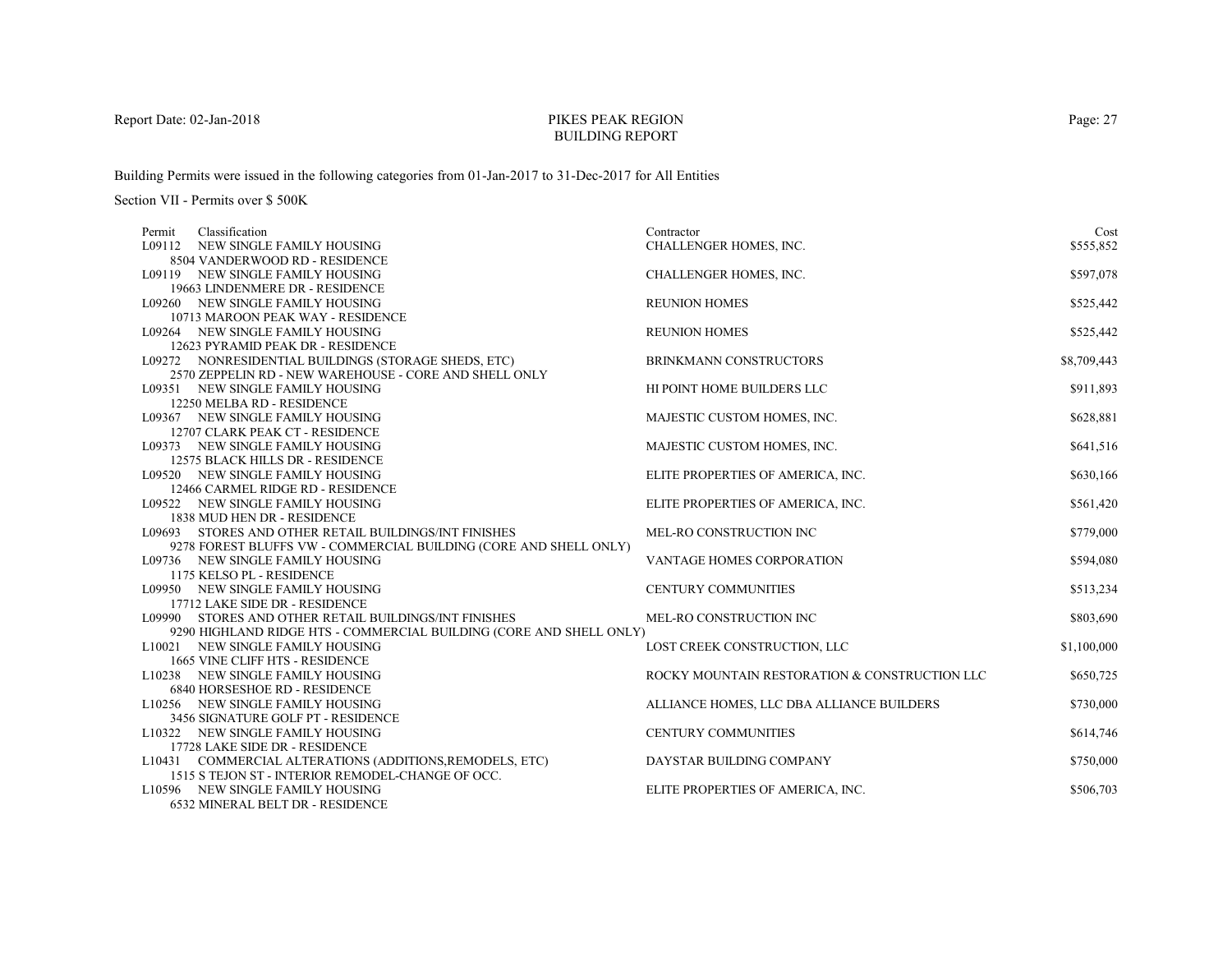# PIKES PEAK REGIONBUILDING REPORT

Building Permits were issued in the following categories from 01-Jan-2017 to 31-Dec-2017 for All Entities

| Classification<br>Permit                                            | Contractor                                    | Cost        |
|---------------------------------------------------------------------|-----------------------------------------------|-------------|
| L09112 NEW SINGLE FAMILY HOUSING                                    | CHALLENGER HOMES, INC.                        | \$555,852   |
| 8504 VANDERWOOD RD - RESIDENCE                                      |                                               |             |
| L09119 NEW SINGLE FAMILY HOUSING                                    | CHALLENGER HOMES, INC.                        | \$597,078   |
| 19663 LINDENMERE DR - RESIDENCE                                     |                                               |             |
| L09260 NEW SINGLE FAMILY HOUSING                                    | <b>REUNION HOMES</b>                          | \$525,442   |
| 10713 MAROON PEAK WAY - RESIDENCE                                   |                                               |             |
| L09264 NEW SINGLE FAMILY HOUSING                                    | <b>REUNION HOMES</b>                          | \$525,442   |
| 12623 PYRAMID PEAK DR - RESIDENCE                                   |                                               |             |
| L09272 NONRESIDENTIAL BUILDINGS (STORAGE SHEDS, ETC)                | BRINKMANN CONSTRUCTORS                        | \$8,709,443 |
| 2570 ZEPPELIN RD - NEW WAREHOUSE - CORE AND SHELL ONLY              |                                               |             |
| L09351 NEW SINGLE FAMILY HOUSING                                    | HI POINT HOME BUILDERS LLC                    | \$911,893   |
| 12250 MELBA RD - RESIDENCE                                          |                                               |             |
| L09367 NEW SINGLE FAMILY HOUSING                                    | MAJESTIC CUSTOM HOMES, INC.                   | \$628,881   |
| 12707 CLARK PEAK CT - RESIDENCE                                     |                                               |             |
| L09373 NEW SINGLE FAMILY HOUSING                                    | MAJESTIC CUSTOM HOMES, INC.                   | \$641,516   |
| 12575 BLACK HILLS DR - RESIDENCE                                    |                                               |             |
| L09520 NEW SINGLE FAMILY HOUSING                                    | ELITE PROPERTIES OF AMERICA, INC.             | \$630,166   |
| 12466 CARMEL RIDGE RD - RESIDENCE                                   |                                               |             |
| L09522 NEW SINGLE FAMILY HOUSING                                    | ELITE PROPERTIES OF AMERICA, INC.             | \$561,420   |
| 1838 MUD HEN DR - RESIDENCE                                         |                                               |             |
| L09693 STORES AND OTHER RETAIL BUILDINGS/INT FINISHES               | MEL-RO CONSTRUCTION INC                       | \$779,000   |
| 9278 FOREST BLUFFS VW - COMMERCIAL BUILDING (CORE AND SHELL ONLY)   |                                               |             |
| L09736 NEW SINGLE FAMILY HOUSING                                    | <b>VANTAGE HOMES CORPORATION</b>              | \$594,080   |
| 1175 KELSO PL - RESIDENCE                                           |                                               |             |
| L09950 NEW SINGLE FAMILY HOUSING<br>17712 LAKE SIDE DR - RESIDENCE  | CENTURY COMMUNITIES                           | \$513,234   |
| L09990 STORES AND OTHER RETAIL BUILDINGS/INT FINISHES               | MEL-RO CONSTRUCTION INC                       | \$803,690   |
| 9290 HIGHLAND RIDGE HTS - COMMERCIAL BUILDING (CORE AND SHELL ONLY) |                                               |             |
| L10021 NEW SINGLE FAMILY HOUSING                                    | LOST CREEK CONSTRUCTION, LLC                  | \$1,100,000 |
| 1665 VINE CLIFF HTS - RESIDENCE                                     |                                               |             |
| L10238 NEW SINGLE FAMILY HOUSING                                    | ROCKY MOUNTAIN RESTORATION & CONSTRUCTION LLC | \$650,725   |
| 6840 HORSESHOE RD - RESIDENCE                                       |                                               |             |
| L10256 NEW SINGLE FAMILY HOUSING                                    | ALLIANCE HOMES, LLC DBA ALLIANCE BUILDERS     | \$730,000   |
| 3456 SIGNATURE GOLF PT - RESIDENCE                                  |                                               |             |
| L10322 NEW SINGLE FAMILY HOUSING                                    | <b>CENTURY COMMUNITIES</b>                    | \$614,746   |
| 17728 LAKE SIDE DR - RESIDENCE                                      |                                               |             |
| L10431 COMMERCIAL ALTERATIONS (ADDITIONS, REMODELS, ETC)            | DAYSTAR BUILDING COMPANY                      | \$750,000   |
| 1515 S TEJON ST - INTERIOR REMODEL-CHANGE OF OCC.                   |                                               |             |
| L10596 NEW SINGLE FAMILY HOUSING                                    | ELITE PROPERTIES OF AMERICA, INC.             | \$506,703   |
| 6532 MINERAL BELT DR - RESIDENCE                                    |                                               |             |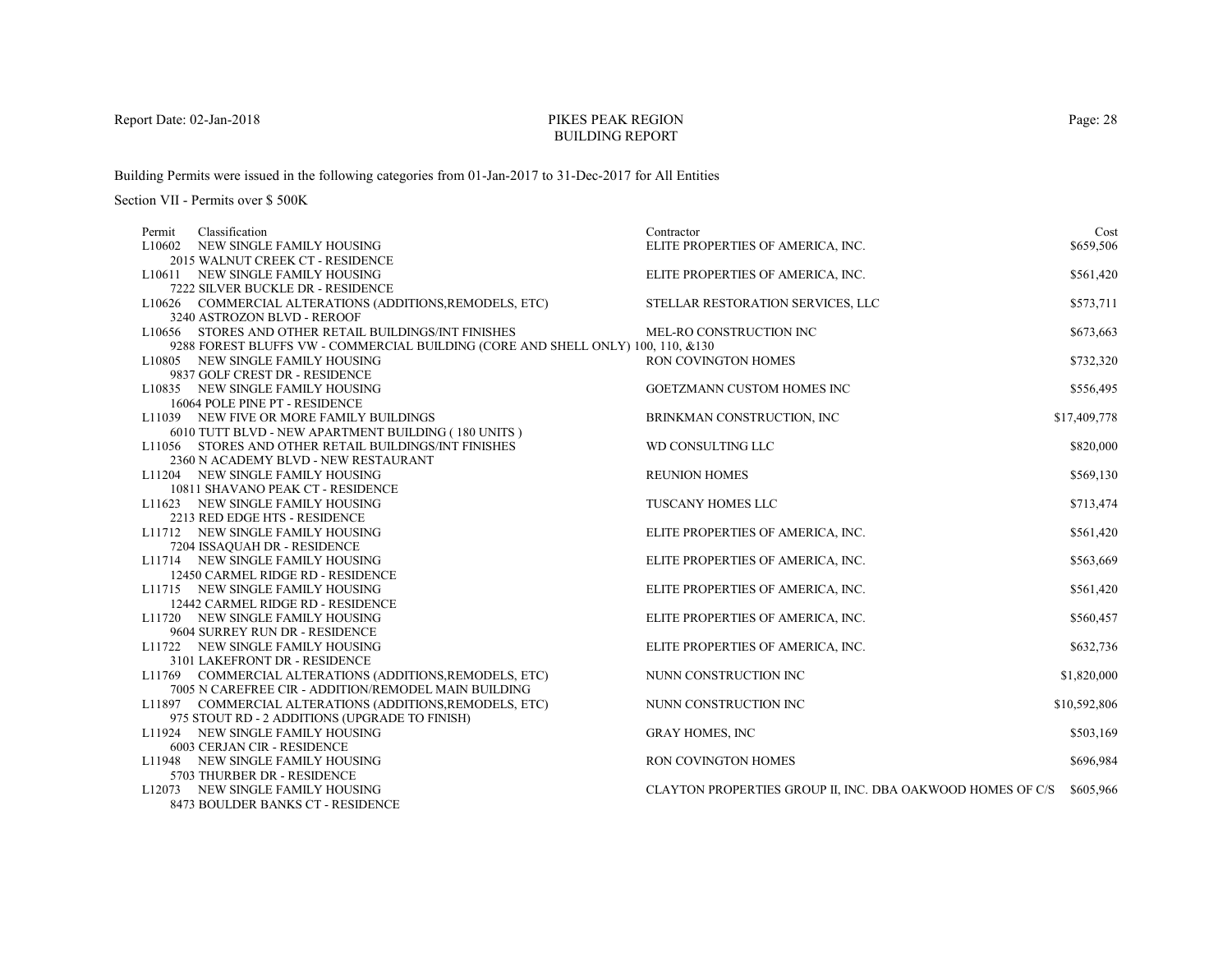# PIKES PEAK REGIONBUILDING REPORT

Building Permits were issued in the following categories from 01-Jan-2017 to 31-Dec-2017 for All Entities

| Classification<br>Permit                                                         | Contractor                                                           | Cost         |
|----------------------------------------------------------------------------------|----------------------------------------------------------------------|--------------|
| L10602 NEW SINGLE FAMILY HOUSING                                                 | ELITE PROPERTIES OF AMERICA, INC.                                    | \$659,506    |
| 2015 WALNUT CREEK CT - RESIDENCE                                                 |                                                                      |              |
| L10611 NEW SINGLE FAMILY HOUSING                                                 | ELITE PROPERTIES OF AMERICA, INC.                                    | \$561,420    |
| 7222 SILVER BUCKLE DR - RESIDENCE                                                |                                                                      |              |
| L10626 COMMERCIAL ALTERATIONS (ADDITIONS, REMODELS, ETC)                         | STELLAR RESTORATION SERVICES, LLC                                    | \$573,711    |
| 3240 ASTROZON BLVD - REROOF                                                      |                                                                      |              |
| L10656 STORES AND OTHER RETAIL BUILDINGS/INT FINISHES                            | MEL-RO CONSTRUCTION INC                                              | \$673,663    |
| 9288 FOREST BLUFFS VW - COMMERCIAL BUILDING (CORE AND SHELL ONLY) 100, 110, &130 |                                                                      |              |
| L10805 NEW SINGLE FAMILY HOUSING                                                 | RON COVINGTON HOMES                                                  | \$732,320    |
| 9837 GOLF CREST DR - RESIDENCE                                                   |                                                                      |              |
| L10835 NEW SINGLE FAMILY HOUSING                                                 | GOETZMANN CUSTOM HOMES INC                                           | \$556,495    |
| 16064 POLE PINE PT - RESIDENCE                                                   |                                                                      |              |
| L11039 NEW FIVE OR MORE FAMILY BUILDINGS                                         | BRINKMAN CONSTRUCTION, INC                                           | \$17,409,778 |
| 6010 TUTT BLVD - NEW APARTMENT BUILDING (180 UNITS)                              |                                                                      |              |
| L11056 STORES AND OTHER RETAIL BUILDINGS/INT FINISHES                            | WD CONSULTING LLC                                                    | \$820,000    |
| 2360 N ACADEMY BLVD - NEW RESTAURANT                                             |                                                                      |              |
| L11204 NEW SINGLE FAMILY HOUSING                                                 | <b>REUNION HOMES</b>                                                 | \$569,130    |
| 10811 SHAVANO PEAK CT - RESIDENCE                                                |                                                                      |              |
| L11623 NEW SINGLE FAMILY HOUSING                                                 | <b>TUSCANY HOMES LLC</b>                                             | \$713,474    |
| 2213 RED EDGE HTS - RESIDENCE                                                    |                                                                      |              |
| L11712 NEW SINGLE FAMILY HOUSING                                                 | ELITE PROPERTIES OF AMERICA, INC.                                    | \$561,420    |
| 7204 ISSAQUAH DR - RESIDENCE                                                     |                                                                      |              |
| L11714 NEW SINGLE FAMILY HOUSING                                                 | ELITE PROPERTIES OF AMERICA, INC.                                    | \$563,669    |
| 12450 CARMEL RIDGE RD - RESIDENCE                                                |                                                                      |              |
| L11715 NEW SINGLE FAMILY HOUSING                                                 | ELITE PROPERTIES OF AMERICA, INC.                                    | \$561,420    |
| 12442 CARMEL RIDGE RD - RESIDENCE                                                |                                                                      |              |
| L11720 NEW SINGLE FAMILY HOUSING                                                 | ELITE PROPERTIES OF AMERICA, INC.                                    | \$560,457    |
| 9604 SURREY RUN DR - RESIDENCE                                                   |                                                                      |              |
| L11722 NEW SINGLE FAMILY HOUSING                                                 | ELITE PROPERTIES OF AMERICA, INC.                                    | \$632,736    |
| 3101 LAKEFRONT DR - RESIDENCE                                                    |                                                                      |              |
| L11769 COMMERCIAL ALTERATIONS (ADDITIONS, REMODELS, ETC)                         | NUNN CONSTRUCTION INC                                                | \$1,820,000  |
| 7005 N CAREFREE CIR - ADDITION/REMODEL MAIN BUILDING                             |                                                                      |              |
| L11897 COMMERCIAL ALTERATIONS (ADDITIONS, REMODELS, ETC)                         | NUNN CONSTRUCTION INC                                                | \$10,592,806 |
| 975 STOUT RD - 2 ADDITIONS (UPGRADE TO FINISH)                                   |                                                                      |              |
| L11924 NEW SINGLE FAMILY HOUSING                                                 | <b>GRAY HOMES, INC</b>                                               | \$503,169    |
| 6003 CERJAN CIR - RESIDENCE                                                      |                                                                      |              |
| L11948 NEW SINGLE FAMILY HOUSING                                                 | RON COVINGTON HOMES                                                  | \$696,984    |
| 5703 THURBER DR - RESIDENCE                                                      |                                                                      |              |
| L12073 NEW SINGLE FAMILY HOUSING                                                 | CLAYTON PROPERTIES GROUP II, INC. DBA OAKWOOD HOMES OF C/S \$605.966 |              |
| 8473 BOULDER BANKS CT - RESIDENCE                                                |                                                                      |              |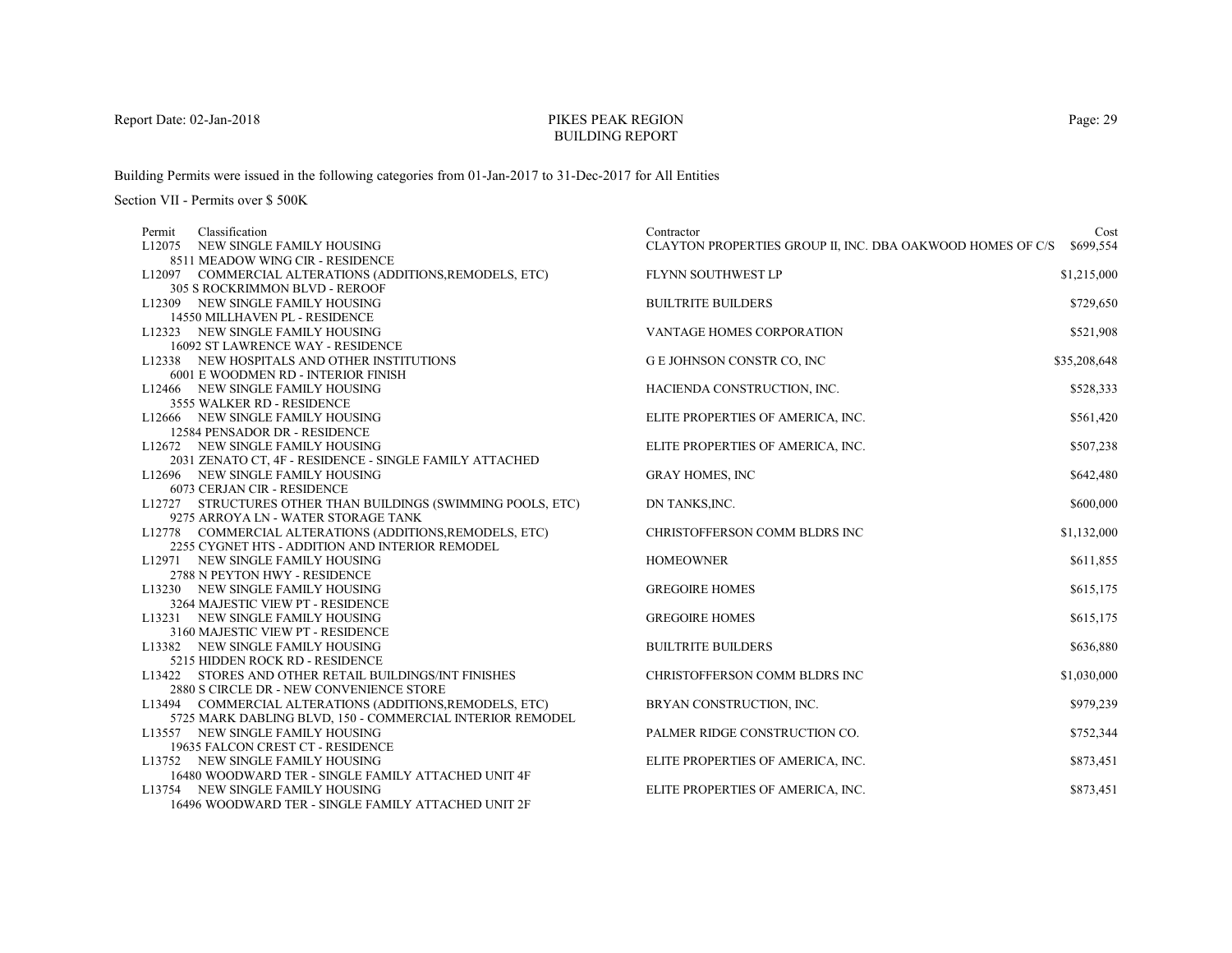# PIKES PEAK REGIONBUILDING REPORT

Building Permits were issued in the following categories from 01-Jan-2017 to 31-Dec-2017 for All Entities

| Classification<br>Permit |                                                                       | Contractor                                                 | Cost         |
|--------------------------|-----------------------------------------------------------------------|------------------------------------------------------------|--------------|
|                          | L12075 NEW SINGLE FAMILY HOUSING                                      | CLAYTON PROPERTIES GROUP II, INC. DBA OAKWOOD HOMES OF C/S | \$699,554    |
|                          | 8511 MEADOW WING CIR - RESIDENCE                                      |                                                            |              |
|                          | L12097 COMMERCIAL ALTERATIONS (ADDITIONS, REMODELS, ETC)              | FLYNN SOUTHWEST LP                                         | \$1,215,000  |
|                          | 305 S ROCKRIMMON BLVD - REROOF                                        |                                                            |              |
|                          | L12309 NEW SINGLE FAMILY HOUSING                                      | <b>BUILTRITE BUILDERS</b>                                  | \$729,650    |
|                          | 14550 MILLHAVEN PL - RESIDENCE                                        |                                                            |              |
|                          | L12323 NEW SINGLE FAMILY HOUSING                                      | <b>VANTAGE HOMES CORPORATION</b>                           | \$521,908    |
|                          | 16092 ST LAWRENCE WAY - RESIDENCE                                     |                                                            |              |
|                          | L12338 NEW HOSPITALS AND OTHER INSTITUTIONS                           | G E JOHNSON CONSTR CO, INC                                 | \$35,208,648 |
|                          | 6001 E WOODMEN RD - INTERIOR FINISH                                   |                                                            |              |
|                          | L12466 NEW SINGLE FAMILY HOUSING                                      | HACIENDA CONSTRUCTION, INC.                                | \$528,333    |
|                          | 3555 WALKER RD - RESIDENCE                                            |                                                            |              |
|                          | L12666 NEW SINGLE FAMILY HOUSING                                      | ELITE PROPERTIES OF AMERICA, INC.                          | \$561,420    |
|                          | 12584 PENSADOR DR - RESIDENCE                                         |                                                            |              |
|                          | L12672 NEW SINGLE FAMILY HOUSING                                      | ELITE PROPERTIES OF AMERICA, INC.                          | \$507,238    |
|                          | 2031 ZENATO CT, 4F - RESIDENCE - SINGLE FAMILY ATTACHED               |                                                            |              |
|                          | L12696 NEW SINGLE FAMILY HOUSING                                      | <b>GRAY HOMES, INC</b>                                     | \$642,480    |
|                          | 6073 CERJAN CIR - RESIDENCE                                           |                                                            |              |
|                          | L12727 STRUCTURES OTHER THAN BUILDINGS (SWIMMING POOLS, ETC)          | DN TANKS, INC.                                             | \$600,000    |
|                          | 9275 ARROYA LN - WATER STORAGE TANK                                   |                                                            |              |
|                          | L12778 COMMERCIAL ALTERATIONS (ADDITIONS, REMODELS, ETC)              | CHRISTOFFERSON COMM BLDRS INC                              | \$1,132,000  |
|                          | 2255 CYGNET HTS - ADDITION AND INTERIOR REMODEL                       |                                                            |              |
|                          | L12971 NEW SINGLE FAMILY HOUSING                                      | <b>HOMEOWNER</b>                                           | \$611,855    |
|                          | 2788 N PEYTON HWY - RESIDENCE                                         | <b>GREGOIRE HOMES</b>                                      |              |
|                          | L13230 NEW SINGLE FAMILY HOUSING<br>3264 MAJESTIC VIEW PT - RESIDENCE |                                                            | \$615,175    |
|                          | L13231 NEW SINGLE FAMILY HOUSING                                      | <b>GREGOIRE HOMES</b>                                      | \$615,175    |
|                          | 3160 MAJESTIC VIEW PT - RESIDENCE                                     |                                                            |              |
|                          | L13382 NEW SINGLE FAMILY HOUSING                                      | <b>BUILTRITE BUILDERS</b>                                  | \$636,880    |
|                          | 5215 HIDDEN ROCK RD - RESIDENCE                                       |                                                            |              |
|                          | L13422 STORES AND OTHER RETAIL BUILDINGS/INT FINISHES                 | CHRISTOFFERSON COMM BLDRS INC                              | \$1,030,000  |
|                          | 2880 S CIRCLE DR - NEW CONVENIENCE STORE                              |                                                            |              |
|                          | L13494 COMMERCIAL ALTERATIONS (ADDITIONS, REMODELS, ETC)              | BRYAN CONSTRUCTION, INC.                                   | \$979,239    |
|                          | 5725 MARK DABLING BLVD, 150 - COMMERCIAL INTERIOR REMODEL             |                                                            |              |
|                          | L13557 NEW SINGLE FAMILY HOUSING                                      | PALMER RIDGE CONSTRUCTION CO.                              | \$752,344    |
|                          | 19635 FALCON CREST CT - RESIDENCE                                     |                                                            |              |
|                          | L13752 NEW SINGLE FAMILY HOUSING                                      | ELITE PROPERTIES OF AMERICA, INC.                          | \$873,451    |
|                          | 16480 WOODWARD TER - SINGLE FAMILY ATTACHED UNIT 4F                   |                                                            |              |
|                          | L13754 NEW SINGLE FAMILY HOUSING                                      | ELITE PROPERTIES OF AMERICA, INC.                          | \$873,451    |
|                          | 16496 WOODWARD TER - SINGLE FAMILY ATTACHED UNIT 2F                   |                                                            |              |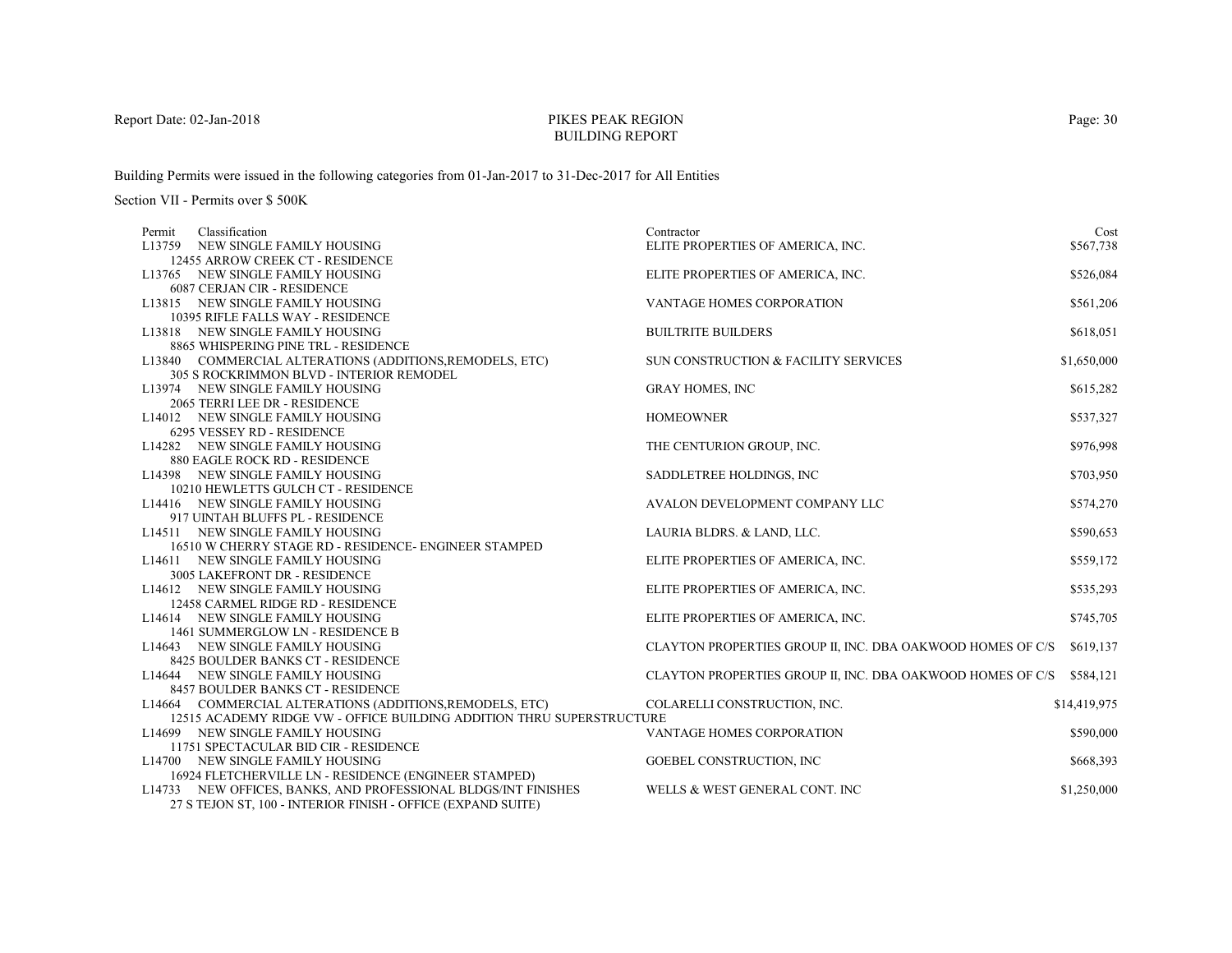# PIKES PEAK REGIONBUILDING REPORT

Building Permits were issued in the following categories from 01-Jan-2017 to 31-Dec-2017 for All Entities

| Permit | Classification                                                        | Contractor                                                 | Cost         |
|--------|-----------------------------------------------------------------------|------------------------------------------------------------|--------------|
|        | L13759 NEW SINGLE FAMILY HOUSING                                      | ELITE PROPERTIES OF AMERICA, INC.                          | \$567,738    |
|        | 12455 ARROW CREEK CT - RESIDENCE                                      |                                                            |              |
|        | L13765 NEW SINGLE FAMILY HOUSING                                      | ELITE PROPERTIES OF AMERICA, INC.                          | \$526,084    |
|        | 6087 CERJAN CIR - RESIDENCE                                           |                                                            |              |
|        | L13815 NEW SINGLE FAMILY HOUSING                                      | VANTAGE HOMES CORPORATION                                  | \$561,206    |
|        | 10395 RIFLE FALLS WAY - RESIDENCE                                     |                                                            |              |
|        | L13818 NEW SINGLE FAMILY HOUSING                                      | <b>BUILTRITE BUILDERS</b>                                  | \$618,051    |
|        | 8865 WHISPERING PINE TRL - RESIDENCE                                  |                                                            |              |
|        | L13840 COMMERCIAL ALTERATIONS (ADDITIONS, REMODELS, ETC)              | SUN CONSTRUCTION & FACILITY SERVICES                       | \$1,650,000  |
|        | 305 S ROCKRIMMON BLVD - INTERIOR REMODEL                              |                                                            |              |
|        | L13974 NEW SINGLE FAMILY HOUSING                                      | <b>GRAY HOMES, INC</b>                                     | \$615,282    |
|        | 2065 TERRI LEE DR - RESIDENCE                                         |                                                            |              |
|        | L14012 NEW SINGLE FAMILY HOUSING                                      | <b>HOMEOWNER</b>                                           | \$537,327    |
|        | 6295 VESSEY RD - RESIDENCE                                            |                                                            |              |
|        | L14282 NEW SINGLE FAMILY HOUSING                                      | THE CENTURION GROUP, INC.                                  | \$976,998    |
|        | 880 EAGLE ROCK RD - RESIDENCE                                         |                                                            |              |
|        | L14398 NEW SINGLE FAMILY HOUSING                                      | SADDLETREE HOLDINGS, INC                                   | \$703,950    |
|        | 10210 HEWLETTS GULCH CT - RESIDENCE                                   |                                                            |              |
|        | L14416 NEW SINGLE FAMILY HOUSING                                      | AVALON DEVELOPMENT COMPANY LLC                             | \$574,270    |
|        | 917 UINTAH BLUFFS PL - RESIDENCE                                      |                                                            |              |
|        | L14511 NEW SINGLE FAMILY HOUSING                                      | LAURIA BLDRS. & LAND, LLC.                                 | \$590,653    |
|        | 16510 W CHERRY STAGE RD - RESIDENCE- ENGINEER STAMPED                 |                                                            |              |
|        | L14611 NEW SINGLE FAMILY HOUSING                                      | ELITE PROPERTIES OF AMERICA, INC.                          | \$559,172    |
|        | 3005 LAKEFRONT DR - RESIDENCE                                         |                                                            |              |
|        | L14612 NEW SINGLE FAMILY HOUSING                                      | ELITE PROPERTIES OF AMERICA, INC.                          | \$535,293    |
|        | 12458 CARMEL RIDGE RD - RESIDENCE                                     |                                                            |              |
|        | L14614 NEW SINGLE FAMILY HOUSING                                      | ELITE PROPERTIES OF AMERICA, INC.                          | \$745,705    |
|        | 1461 SUMMERGLOW LN - RESIDENCE B                                      |                                                            |              |
|        | L14643 NEW SINGLE FAMILY HOUSING                                      | CLAYTON PROPERTIES GROUP II, INC. DBA OAKWOOD HOMES OF C/S | \$619,137    |
|        | 8425 BOULDER BANKS CT - RESIDENCE                                     |                                                            |              |
|        | L14644 NEW SINGLE FAMILY HOUSING                                      | CLAYTON PROPERTIES GROUP II, INC. DBA OAKWOOD HOMES OF C/S | \$584,121    |
|        | 8457 BOULDER BANKS CT - RESIDENCE                                     |                                                            |              |
|        | L14664 COMMERCIAL ALTERATIONS (ADDITIONS, REMODELS, ETC)              | COLARELLI CONSTRUCTION, INC.                               | \$14,419,975 |
|        | 12515 ACADEMY RIDGE VW - OFFICE BUILDING ADDITION THRU SUPERSTRUCTURE |                                                            |              |
|        | L14699 NEW SINGLE FAMILY HOUSING                                      | VANTAGE HOMES CORPORATION                                  | \$590,000    |
|        | 11751 SPECTACULAR BID CIR - RESIDENCE                                 |                                                            |              |
|        | L14700 NEW SINGLE FAMILY HOUSING                                      | GOEBEL CONSTRUCTION, INC                                   | \$668,393    |
|        | 16924 FLETCHERVILLE LN - RESIDENCE (ENGINEER STAMPED)                 |                                                            |              |
|        | L14733 NEW OFFICES, BANKS, AND PROFESSIONAL BLDGS/INT FINISHES        | WELLS & WEST GENERAL CONT. INC                             | \$1,250,000  |
|        | 27 S TEJON ST, 100 - INTERIOR FINISH - OFFICE (EXPAND SUITE)          |                                                            |              |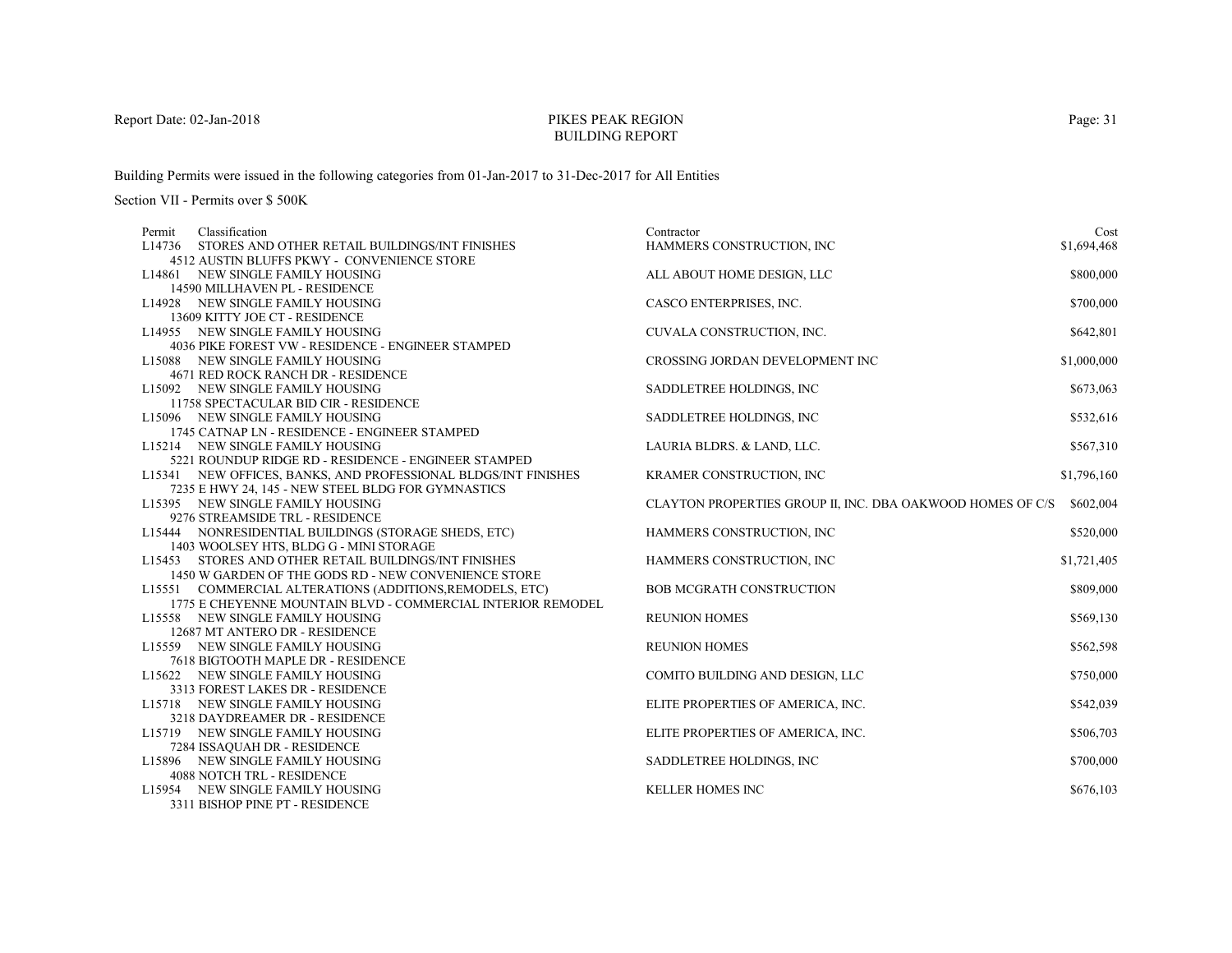# PIKES PEAK REGIONBUILDING REPORT

Building Permits were issued in the following categories from 01-Jan-2017 to 31-Dec-2017 for All Entities

| Permit | Classification                                                                                       | Contractor                                                 | Cost        |
|--------|------------------------------------------------------------------------------------------------------|------------------------------------------------------------|-------------|
|        | L14736 STORES AND OTHER RETAIL BUILDINGS/INT FINISHES<br>4512 AUSTIN BLUFFS PKWY - CONVENIENCE STORE | HAMMERS CONSTRUCTION, INC                                  | \$1,694,468 |
|        |                                                                                                      |                                                            |             |
|        | L14861 NEW SINGLE FAMILY HOUSING                                                                     | ALL ABOUT HOME DESIGN, LLC                                 | \$800,000   |
|        | 14590 MILLHAVEN PL - RESIDENCE                                                                       |                                                            |             |
|        | L14928 NEW SINGLE FAMILY HOUSING                                                                     | CASCO ENTERPRISES, INC.                                    | \$700,000   |
|        | 13609 KITTY JOE CT - RESIDENCE                                                                       |                                                            |             |
|        | L14955 NEW SINGLE FAMILY HOUSING                                                                     | CUVALA CONSTRUCTION, INC.                                  | \$642,801   |
|        | 4036 PIKE FOREST VW - RESIDENCE - ENGINEER STAMPED                                                   |                                                            |             |
|        | L15088 NEW SINGLE FAMILY HOUSING                                                                     | CROSSING JORDAN DEVELOPMENT INC                            | \$1,000,000 |
|        | 4671 RED ROCK RANCH DR - RESIDENCE                                                                   |                                                            |             |
|        | L15092 NEW SINGLE FAMILY HOUSING                                                                     | SADDLETREE HOLDINGS, INC                                   | \$673,063   |
|        | 11758 SPECTACULAR BID CIR - RESIDENCE                                                                |                                                            |             |
|        | L15096 NEW SINGLE FAMILY HOUSING                                                                     | SADDLETREE HOLDINGS, INC                                   | \$532,616   |
|        | 1745 CATNAP LN - RESIDENCE - ENGINEER STAMPED                                                        |                                                            |             |
|        | L15214 NEW SINGLE FAMILY HOUSING                                                                     | LAURIA BLDRS. & LAND, LLC.                                 | \$567,310   |
|        | 5221 ROUNDUP RIDGE RD - RESIDENCE - ENGINEER STAMPED                                                 |                                                            |             |
|        | L15341 NEW OFFICES, BANKS, AND PROFESSIONAL BLDGS/INT FINISHES                                       | KRAMER CONSTRUCTION, INC                                   | \$1,796,160 |
|        | 7235 E HWY 24, 145 - NEW STEEL BLDG FOR GYMNASTICS                                                   |                                                            |             |
|        | L15395 NEW SINGLE FAMILY HOUSING                                                                     | CLAYTON PROPERTIES GROUP II, INC. DBA OAKWOOD HOMES OF C/S | \$602,004   |
|        | 9276 STREAMSIDE TRL - RESIDENCE                                                                      |                                                            |             |
|        | L15444 NONRESIDENTIAL BUILDINGS (STORAGE SHEDS, ETC)                                                 | HAMMERS CONSTRUCTION, INC                                  | \$520,000   |
|        | 1403 WOOLSEY HTS, BLDG G - MINI STORAGE                                                              |                                                            |             |
|        | L15453 STORES AND OTHER RETAIL BUILDINGS/INT FINISHES                                                | HAMMERS CONSTRUCTION, INC                                  | \$1,721,405 |
|        | 1450 W GARDEN OF THE GODS RD - NEW CONVENIENCE STORE                                                 |                                                            |             |
|        | L15551 COMMERCIAL ALTERATIONS (ADDITIONS, REMODELS, ETC)                                             | <b>BOB MCGRATH CONSTRUCTION</b>                            | \$809,000   |
|        | 1775 E CHEYENNE MOUNTAIN BLVD - COMMERCIAL INTERIOR REMODEL                                          |                                                            |             |
|        | L15558 NEW SINGLE FAMILY HOUSING                                                                     | <b>REUNION HOMES</b>                                       | \$569,130   |
|        | 12687 MT ANTERO DR - RESIDENCE                                                                       |                                                            |             |
|        | L15559 NEW SINGLE FAMILY HOUSING                                                                     | <b>REUNION HOMES</b>                                       | \$562,598   |
|        | 7618 BIGTOOTH MAPLE DR - RESIDENCE                                                                   |                                                            |             |
|        | L15622 NEW SINGLE FAMILY HOUSING                                                                     | COMITO BUILDING AND DESIGN, LLC                            | \$750,000   |
|        | 3313 FOREST LAKES DR - RESIDENCE                                                                     |                                                            |             |
|        | L15718 NEW SINGLE FAMILY HOUSING                                                                     | ELITE PROPERTIES OF AMERICA, INC.                          | \$542,039   |
|        | 3218 DAYDREAMER DR - RESIDENCE                                                                       |                                                            |             |
|        | L15719 NEW SINGLE FAMILY HOUSING                                                                     | ELITE PROPERTIES OF AMERICA, INC.                          | \$506,703   |
|        | 7284 ISSAQUAH DR - RESIDENCE                                                                         |                                                            |             |
|        |                                                                                                      |                                                            |             |
|        | L15896 NEW SINGLE FAMILY HOUSING<br><b>4088 NOTCH TRL - RESIDENCE</b>                                | SADDLETREE HOLDINGS, INC.                                  | \$700,000   |
|        |                                                                                                      |                                                            |             |
|        | L15954 NEW SINGLE FAMILY HOUSING                                                                     | <b>KELLER HOMES INC</b>                                    | \$676,103   |
|        | 3311 BISHOP PINE PT - RESIDENCE                                                                      |                                                            |             |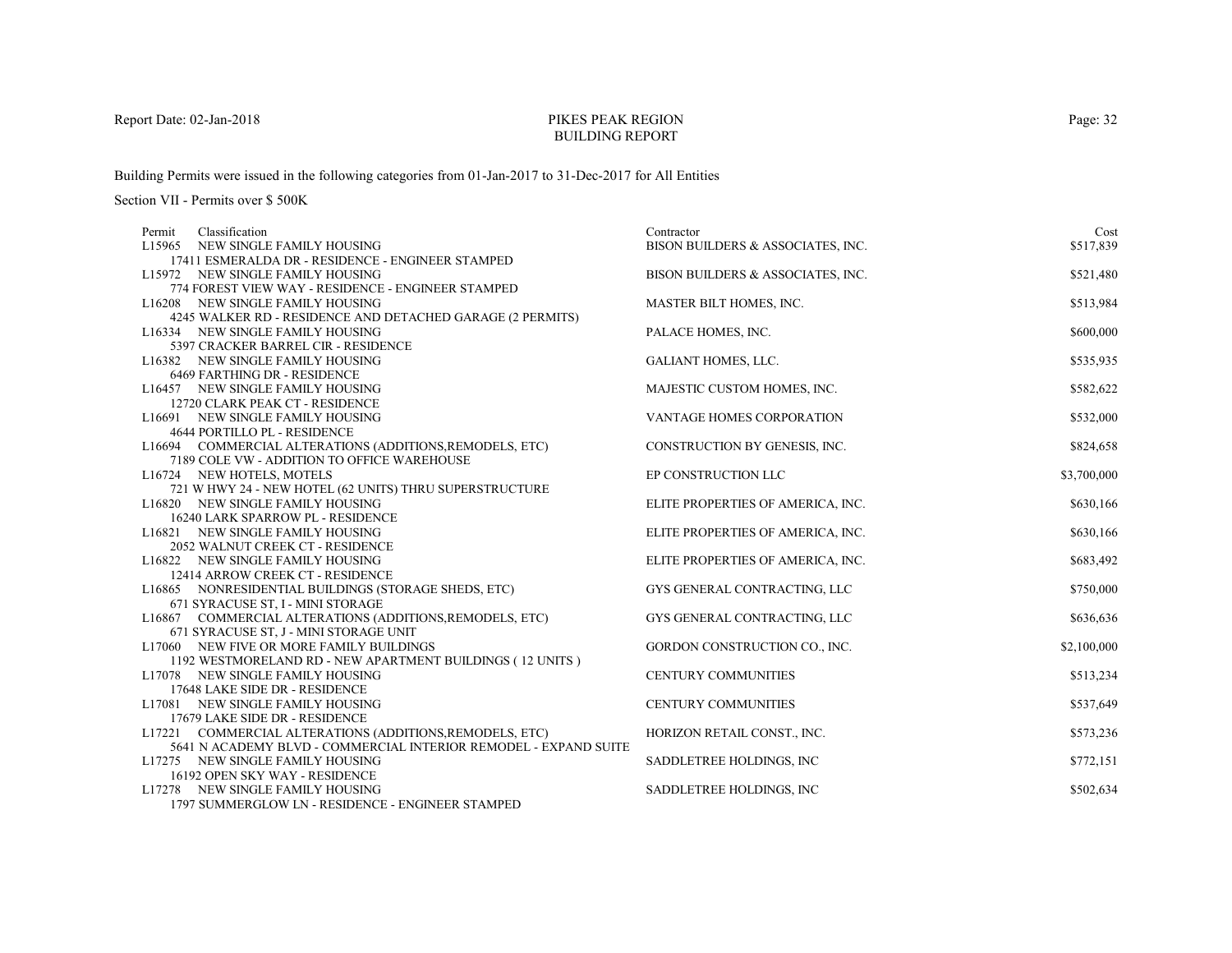# PIKES PEAK REGIONBUILDING REPORT

Building Permits were issued in the following categories from 01-Jan-2017 to 31-Dec-2017 for All Entities

| Classification<br>Permit                                                                           | Contractor                        | Cost        |
|----------------------------------------------------------------------------------------------------|-----------------------------------|-------------|
| L15965 NEW SINGLE FAMILY HOUSING                                                                   | BISON BUILDERS & ASSOCIATES, INC. | \$517,839   |
| 17411 ESMERALDA DR - RESIDENCE - ENGINEER STAMPED                                                  |                                   |             |
| L15972 NEW SINGLE FAMILY HOUSING                                                                   | BISON BUILDERS & ASSOCIATES, INC. | \$521,480   |
| 774 FOREST VIEW WAY - RESIDENCE - ENGINEER STAMPED                                                 |                                   |             |
| L16208 NEW SINGLE FAMILY HOUSING                                                                   | MASTER BILT HOMES, INC.           | \$513,984   |
| 4245 WALKER RD - RESIDENCE AND DETACHED GARAGE (2 PERMITS)                                         |                                   |             |
| L16334 NEW SINGLE FAMILY HOUSING                                                                   | PALACE HOMES, INC.                | \$600,000   |
| 5397 CRACKER BARREL CIR - RESIDENCE                                                                |                                   |             |
| L16382 NEW SINGLE FAMILY HOUSING                                                                   | <b>GALIANT HOMES, LLC.</b>        | \$535,935   |
| 6469 FARTHING DR - RESIDENCE                                                                       |                                   |             |
| L16457 NEW SINGLE FAMILY HOUSING                                                                   | MAJESTIC CUSTOM HOMES, INC.       | \$582,622   |
| 12720 CLARK PEAK CT - RESIDENCE                                                                    |                                   |             |
| L16691 NEW SINGLE FAMILY HOUSING                                                                   | <b>VANTAGE HOMES CORPORATION</b>  | \$532,000   |
| 4644 PORTILLO PL - RESIDENCE                                                                       |                                   |             |
| L16694 COMMERCIAL ALTERATIONS (ADDITIONS, REMODELS, ETC)                                           | CONSTRUCTION BY GENESIS, INC.     | \$824,658   |
| 7189 COLE VW - ADDITION TO OFFICE WAREHOUSE                                                        |                                   |             |
| L16724 NEW HOTELS, MOTELS                                                                          | EP CONSTRUCTION LLC               | \$3,700,000 |
| 721 W HWY 24 - NEW HOTEL (62 UNITS) THRU SUPERSTRUCTURE                                            |                                   |             |
| L16820 NEW SINGLE FAMILY HOUSING                                                                   | ELITE PROPERTIES OF AMERICA, INC. | \$630,166   |
| 16240 LARK SPARROW PL - RESIDENCE                                                                  |                                   |             |
| L16821 NEW SINGLE FAMILY HOUSING                                                                   | ELITE PROPERTIES OF AMERICA, INC. | \$630,166   |
| 2052 WALNUT CREEK CT - RESIDENCE                                                                   |                                   |             |
| L16822 NEW SINGLE FAMILY HOUSING                                                                   | ELITE PROPERTIES OF AMERICA, INC. | \$683,492   |
| 12414 ARROW CREEK CT - RESIDENCE                                                                   |                                   |             |
| L16865 NONRESIDENTIAL BUILDINGS (STORAGE SHEDS, ETC)                                               | GYS GENERAL CONTRACTING, LLC      | \$750,000   |
| 671 SYRACUSE ST, I - MINI STORAGE                                                                  |                                   |             |
| L16867 COMMERCIAL ALTERATIONS (ADDITIONS, REMODELS, ETC)<br>671 SYRACUSE ST, J - MINI STORAGE UNIT | GYS GENERAL CONTRACTING, LLC      | \$636,636   |
| L17060 NEW FIVE OR MORE FAMILY BUILDINGS                                                           | GORDON CONSTRUCTION CO., INC.     | \$2,100,000 |
| 1192 WESTMORELAND RD - NEW APARTMENT BUILDINGS (12 UNITS)                                          |                                   |             |
| L17078 NEW SINGLE FAMILY HOUSING                                                                   | CENTURY COMMUNITIES               | \$513,234   |
| 17648 LAKE SIDE DR - RESIDENCE                                                                     |                                   |             |
| L17081 NEW SINGLE FAMILY HOUSING                                                                   | <b>CENTURY COMMUNITIES</b>        | \$537,649   |
| 17679 LAKE SIDE DR - RESIDENCE                                                                     |                                   |             |
| L17221 COMMERCIAL ALTERATIONS (ADDITIONS, REMODELS, ETC)                                           | HORIZON RETAIL CONST., INC.       | \$573,236   |
| 5641 N ACADEMY BLVD - COMMERCIAL INTERIOR REMODEL - EXPAND SUITE                                   |                                   |             |
| L17275 NEW SINGLE FAMILY HOUSING                                                                   | SADDLETREE HOLDINGS, INC          | \$772,151   |
| 16192 OPEN SKY WAY - RESIDENCE                                                                     |                                   |             |
| L17278 NEW SINGLE FAMILY HOUSING                                                                   | SADDLETREE HOLDINGS, INC.         | \$502,634   |
| 1797 SUMMERGLOW LN - RESIDENCE - ENGINEER STAMPED                                                  |                                   |             |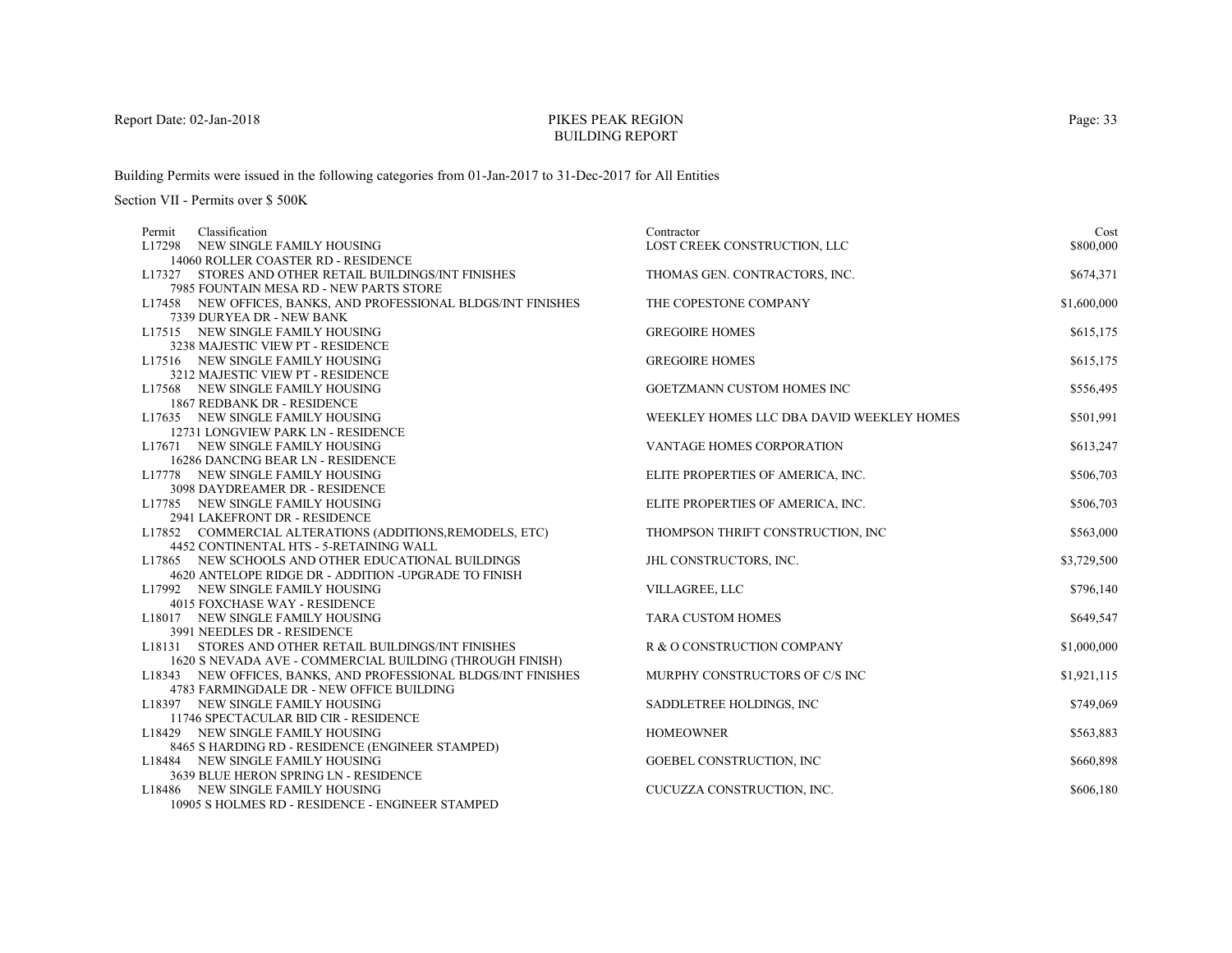# PIKES PEAK REGIONBUILDING REPORT

Building Permits were issued in the following categories from 01-Jan-2017 to 31-Dec-2017 for All Entities

| Classification<br>Permit                                                  | Contractor                                | Cost        |
|---------------------------------------------------------------------------|-------------------------------------------|-------------|
| L17298 NEW SINGLE FAMILY HOUSING                                          | LOST CREEK CONSTRUCTION, LLC              | \$800,000   |
| 14060 ROLLER COASTER RD - RESIDENCE                                       |                                           |             |
| L17327 STORES AND OTHER RETAIL BUILDINGS/INT FINISHES                     | THOMAS GEN. CONTRACTORS, INC.             | \$674,371   |
| 7985 FOUNTAIN MESA RD - NEW PARTS STORE                                   |                                           |             |
| L17458 NEW OFFICES, BANKS, AND PROFESSIONAL BLDGS/INT FINISHES            | THE COPESTONE COMPANY                     | \$1,600,000 |
| 7339 DURYEA DR - NEW BANK                                                 |                                           |             |
| L17515 NEW SINGLE FAMILY HOUSING<br>3238 MAJESTIC VIEW PT - RESIDENCE     | <b>GREGOIRE HOMES</b>                     | \$615,175   |
| L17516 NEW SINGLE FAMILY HOUSING                                          | <b>GREGOIRE HOMES</b>                     | \$615,175   |
| 3212 MAJESTIC VIEW PT - RESIDENCE                                         |                                           |             |
| L17568 NEW SINGLE FAMILY HOUSING                                          | GOETZMANN CUSTOM HOMES INC                | \$556,495   |
| 1867 REDBANK DR - RESIDENCE                                               |                                           |             |
| L17635 NEW SINGLE FAMILY HOUSING                                          | WEEKLEY HOMES LLC DBA DAVID WEEKLEY HOMES | \$501,991   |
| 12731 LONGVIEW PARK LN - RESIDENCE                                        |                                           |             |
| L17671 NEW SINGLE FAMILY HOUSING                                          | VANTAGE HOMES CORPORATION                 | \$613,247   |
| 16286 DANCING BEAR LN - RESIDENCE                                         |                                           |             |
| L17778 NEW SINGLE FAMILY HOUSING                                          | ELITE PROPERTIES OF AMERICA, INC.         | \$506,703   |
| 3098 DAYDREAMER DR - RESIDENCE                                            |                                           |             |
| L17785 NEW SINGLE FAMILY HOUSING                                          | ELITE PROPERTIES OF AMERICA, INC.         | \$506,703   |
| 2941 LAKEFRONT DR - RESIDENCE                                             |                                           |             |
| L17852 COMMERCIAL ALTERATIONS (ADDITIONS, REMODELS, ETC)                  | THOMPSON THRIFT CONSTRUCTION, INC         | \$563,000   |
| 4452 CONTINENTAL HTS - 5-RETAINING WALL                                   |                                           |             |
| L17865 NEW SCHOOLS AND OTHER EDUCATIONAL BUILDINGS                        | JHL CONSTRUCTORS, INC.                    | \$3,729,500 |
| 4620 ANTELOPE RIDGE DR - ADDITION -UPGRADE TO FINISH                      |                                           |             |
| L17992 NEW SINGLE FAMILY HOUSING                                          | VILLAGREE, LLC                            | \$796,140   |
| 4015 FOXCHASE WAY - RESIDENCE                                             |                                           |             |
| L18017 NEW SINGLE FAMILY HOUSING                                          | <b>TARA CUSTOM HOMES</b>                  | \$649,547   |
| 3991 NEEDLES DR - RESIDENCE                                               |                                           |             |
| L18131 STORES AND OTHER RETAIL BUILDINGS/INT FINISHES                     | R & O CONSTRUCTION COMPANY                | \$1,000,000 |
| 1620 S NEVADA AVE - COMMERCIAL BUILDING (THROUGH FINISH)                  |                                           |             |
| L18343 NEW OFFICES, BANKS, AND PROFESSIONAL BLDGS/INT FINISHES            | MURPHY CONSTRUCTORS OF C/S INC            | \$1,921,115 |
| 4783 FARMINGDALE DR - NEW OFFICE BUILDING                                 |                                           |             |
| L18397 NEW SINGLE FAMILY HOUSING                                          | SADDLETREE HOLDINGS, INC.                 | \$749,069   |
| 11746 SPECTACULAR BID CIR - RESIDENCE                                     |                                           |             |
| L18429 NEW SINGLE FAMILY HOUSING                                          | <b>HOMEOWNER</b>                          | \$563,883   |
| 8465 S HARDING RD - RESIDENCE (ENGINEER STAMPED)                          |                                           |             |
| L18484 NEW SINGLE FAMILY HOUSING<br>3639 BLUE HERON SPRING LN - RESIDENCE | GOEBEL CONSTRUCTION, INC                  | \$660,898   |
| L18486 NEW SINGLE FAMILY HOUSING                                          | CUCUZZA CONSTRUCTION, INC.                | \$606,180   |
| 10905 SHOLMES RD - RESIDENCE - ENGINEER STAMPED                           |                                           |             |
|                                                                           |                                           |             |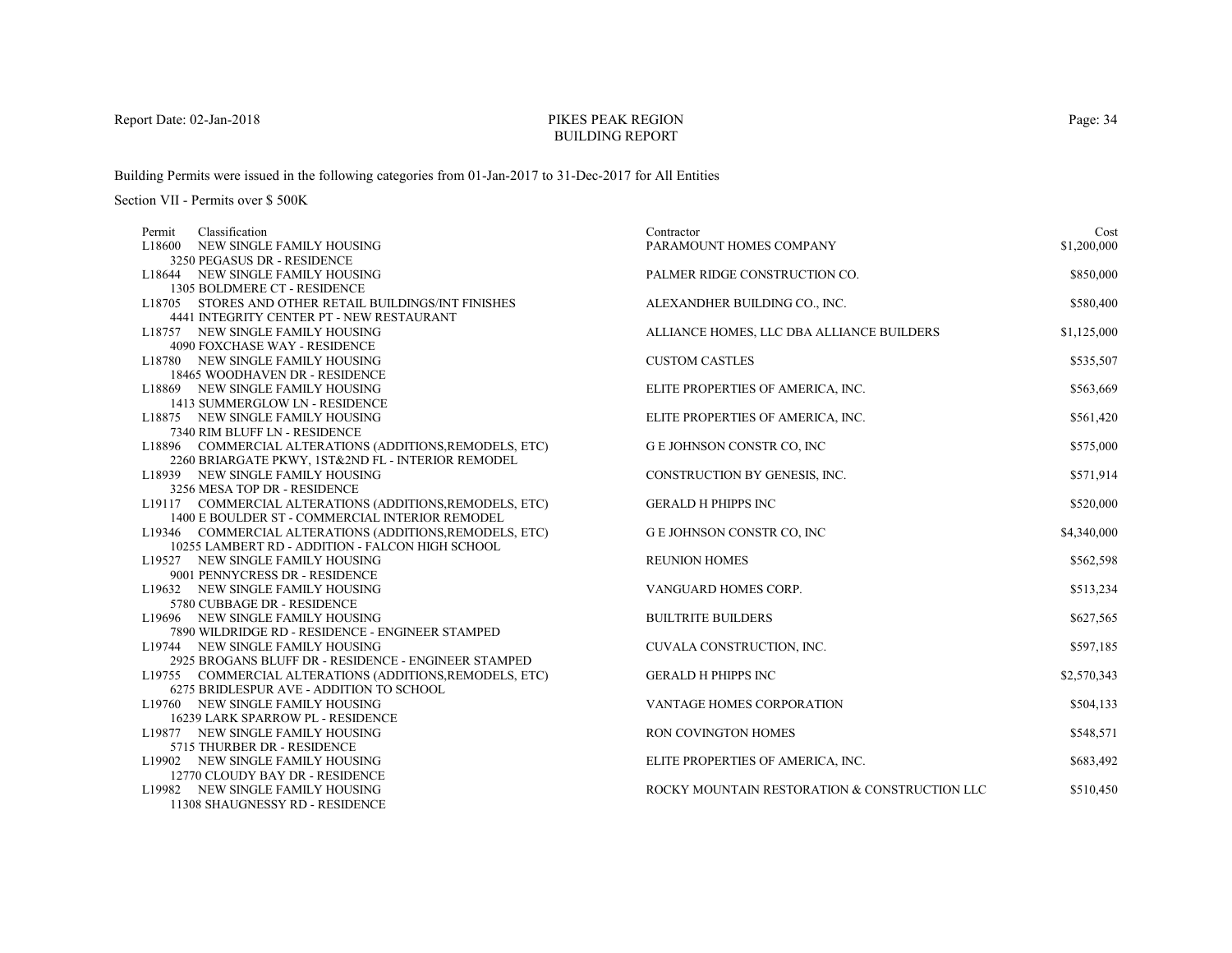# PIKES PEAK REGIONBUILDING REPORT

Building Permits were issued in the following categories from 01-Jan-2017 to 31-Dec-2017 for All Entities

| Classification<br>Permit                                 | Contractor                                    | Cost        |
|----------------------------------------------------------|-----------------------------------------------|-------------|
| L18600 NEW SINGLE FAMILY HOUSING                         | PARAMOUNT HOMES COMPANY                       | \$1,200,000 |
| 3250 PEGASUS DR - RESIDENCE                              |                                               |             |
| L18644 NEW SINGLE FAMILY HOUSING                         | PALMER RIDGE CONSTRUCTION CO.                 | \$850,000   |
| 1305 BOLDMERE CT - RESIDENCE                             |                                               |             |
| L18705 STORES AND OTHER RETAIL BUILDINGS/INT FINISHES    | ALEXANDHER BUILDING CO., INC.                 | \$580,400   |
| 4441 INTEGRITY CENTER PT - NEW RESTAURANT                |                                               |             |
| L18757 NEW SINGLE FAMILY HOUSING                         | ALLIANCE HOMES, LLC DBA ALLIANCE BUILDERS     | \$1,125,000 |
| 4090 FOXCHASE WAY - RESIDENCE                            |                                               |             |
| L18780 NEW SINGLE FAMILY HOUSING                         | <b>CUSTOM CASTLES</b>                         | \$535,507   |
| 18465 WOODHAVEN DR - RESIDENCE                           |                                               |             |
| L18869 NEW SINGLE FAMILY HOUSING                         | ELITE PROPERTIES OF AMERICA, INC.             | \$563,669   |
| 1413 SUMMERGLOW LN - RESIDENCE                           |                                               |             |
| L18875 NEW SINGLE FAMILY HOUSING                         | ELITE PROPERTIES OF AMERICA, INC.             | \$561,420   |
| 7340 RIM BLUFF LN - RESIDENCE                            |                                               |             |
| L18896 COMMERCIAL ALTERATIONS (ADDITIONS, REMODELS, ETC) | G E JOHNSON CONSTR CO, INC                    | \$575,000   |
| 2260 BRIARGATE PKWY, 1ST&2ND FL - INTERIOR REMODEL       |                                               |             |
| L18939 NEW SINGLE FAMILY HOUSING                         | CONSTRUCTION BY GENESIS, INC.                 | \$571,914   |
| 3256 MESA TOP DR - RESIDENCE                             |                                               |             |
| L19117 COMMERCIAL ALTERATIONS (ADDITIONS, REMODELS, ETC) | <b>GERALD H PHIPPS INC</b>                    | \$520,000   |
| 1400 E BOULDER ST - COMMERCIAL INTERIOR REMODEL          |                                               |             |
| L19346 COMMERCIAL ALTERATIONS (ADDITIONS, REMODELS, ETC) | G E JOHNSON CONSTR CO, INC                    | \$4,340,000 |
| 10255 LAMBERT RD - ADDITION - FALCON HIGH SCHOOL         |                                               |             |
| L19527 NEW SINGLE FAMILY HOUSING                         | <b>REUNION HOMES</b>                          | \$562,598   |
| 9001 PENNYCRESS DR - RESIDENCE                           |                                               |             |
| L19632 NEW SINGLE FAMILY HOUSING                         | VANGUARD HOMES CORP.                          | \$513,234   |
| 5780 CUBBAGE DR - RESIDENCE                              |                                               |             |
| L19696 NEW SINGLE FAMILY HOUSING                         | <b>BUILTRITE BUILDERS</b>                     | \$627,565   |
| 7890 WILDRIDGE RD - RESIDENCE - ENGINEER STAMPED         |                                               |             |
| L19744 NEW SINGLE FAMILY HOUSING                         | CUVALA CONSTRUCTION, INC.                     | \$597,185   |
| 2925 BROGANS BLUFF DR - RESIDENCE - ENGINEER STAMPED     |                                               |             |
| L19755 COMMERCIAL ALTERATIONS (ADDITIONS, REMODELS, ETC) | <b>GERALD H PHIPPS INC</b>                    | \$2,570,343 |
| 6275 BRIDLESPUR AVE - ADDITION TO SCHOOL                 |                                               |             |
| L19760 NEW SINGLE FAMILY HOUSING                         | <b>VANTAGE HOMES CORPORATION</b>              | \$504,133   |
| 16239 LARK SPARROW PL - RESIDENCE                        |                                               |             |
| L19877 NEW SINGLE FAMILY HOUSING                         | RON COVINGTON HOMES                           | \$548,571   |
| 5715 THURBER DR - RESIDENCE                              |                                               |             |
| L19902 NEW SINGLE FAMILY HOUSING                         | ELITE PROPERTIES OF AMERICA, INC.             | \$683,492   |
| 12770 CLOUDY BAY DR - RESIDENCE                          |                                               |             |
| L19982 NEW SINGLE FAMILY HOUSING                         | ROCKY MOUNTAIN RESTORATION & CONSTRUCTION LLC | \$510,450   |
| 11308 SHAUGNESSY RD - RESIDENCE                          |                                               |             |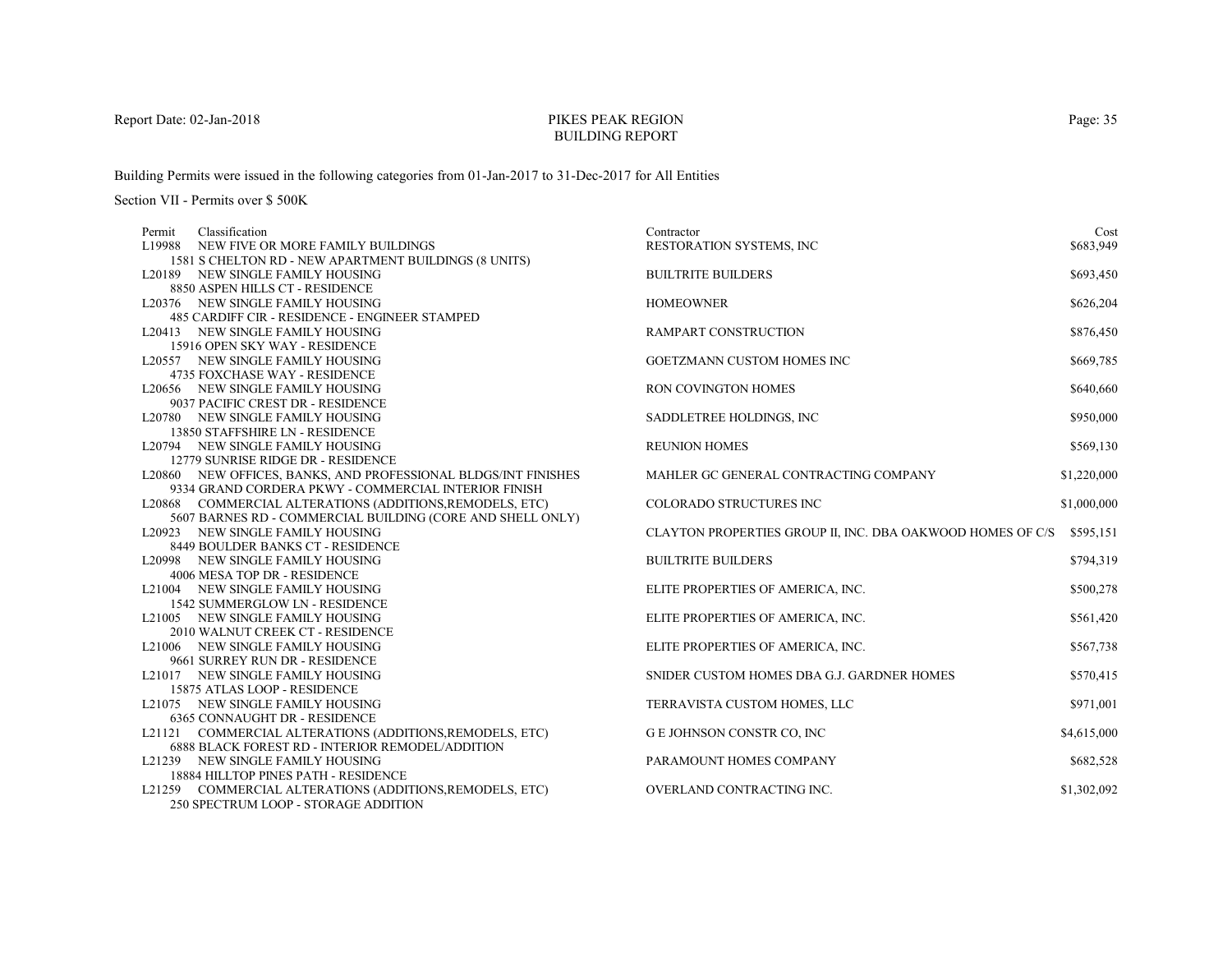# PIKES PEAK REGIONBUILDING REPORT

Building Permits were issued in the following categories from 01-Jan-2017 to 31-Dec-2017 for All Entities

Section VII - Permits over \$ 500K

| Classification<br>Permit                                       | Contractor                                                 | Cost        |
|----------------------------------------------------------------|------------------------------------------------------------|-------------|
| L19988 NEW FIVE OR MORE FAMILY BUILDINGS                       | RESTORATION SYSTEMS, INC                                   | \$683,949   |
| 1581 S CHELTON RD - NEW APARTMENT BUILDINGS (8 UNITS)          |                                                            |             |
| L20189 NEW SINGLE FAMILY HOUSING                               | <b>BUILTRITE BUILDERS</b>                                  | \$693,450   |
| 8850 ASPEN HILLS CT - RESIDENCE                                |                                                            |             |
| L20376 NEW SINGLE FAMILY HOUSING                               | <b>HOMEOWNER</b>                                           | \$626,204   |
| 485 CARDIFF CIR - RESIDENCE - ENGINEER STAMPED                 |                                                            |             |
| L20413 NEW SINGLE FAMILY HOUSING                               | RAMPART CONSTRUCTION                                       | \$876,450   |
| 15916 OPEN SKY WAY - RESIDENCE                                 |                                                            |             |
| L20557 NEW SINGLE FAMILY HOUSING                               | GOETZMANN CUSTOM HOMES INC                                 | \$669,785   |
| 4735 FOXCHASE WAY - RESIDENCE                                  |                                                            |             |
| L20656 NEW SINGLE FAMILY HOUSING                               | RON COVINGTON HOMES                                        | \$640,660   |
| 9037 PACIFIC CREST DR - RESIDENCE                              |                                                            |             |
| L20780 NEW SINGLE FAMILY HOUSING                               | SADDLETREE HOLDINGS, INC                                   | \$950,000   |
| 13850 STAFFSHIRE LN - RESIDENCE                                |                                                            |             |
| L20794 NEW SINGLE FAMILY HOUSING                               | <b>REUNION HOMES</b>                                       | \$569,130   |
| 12779 SUNRISE RIDGE DR - RESIDENCE                             |                                                            |             |
| L20860 NEW OFFICES, BANKS, AND PROFESSIONAL BLDGS/INT FINISHES | MAHLER GC GENERAL CONTRACTING COMPANY                      | \$1,220,000 |
| 9334 GRAND CORDERA PKWY - COMMERCIAL INTERIOR FINISH           |                                                            |             |
| L20868 COMMERCIAL ALTERATIONS (ADDITIONS, REMODELS, ETC)       | COLORADO STRUCTURES INC                                    | \$1,000,000 |
| 5607 BARNES RD - COMMERCIAL BUILDING (CORE AND SHELL ONLY)     |                                                            |             |
| L20923 NEW SINGLE FAMILY HOUSING                               | CLAYTON PROPERTIES GROUP II, INC. DBA OAKWOOD HOMES OF C/S | \$595,151   |
| 8449 BOULDER BANKS CT - RESIDENCE                              |                                                            |             |
| L20998 NEW SINGLE FAMILY HOUSING                               | <b>BUILTRITE BUILDERS</b>                                  | \$794,319   |
| 4006 MESA TOP DR - RESIDENCE                                   |                                                            |             |
| L21004 NEW SINGLE FAMILY HOUSING                               | ELITE PROPERTIES OF AMERICA, INC.                          | \$500,278   |
| <b>1542 SUMMERGLOW LN - RESIDENCE</b>                          |                                                            |             |
| L21005 NEW SINGLE FAMILY HOUSING                               | ELITE PROPERTIES OF AMERICA, INC.                          | \$561,420   |
| 2010 WALNUT CREEK CT - RESIDENCE                               |                                                            |             |
| L21006 NEW SINGLE FAMILY HOUSING                               | ELITE PROPERTIES OF AMERICA, INC.                          | \$567,738   |
| 9661 SURREY RUN DR - RESIDENCE                                 |                                                            |             |
| L21017 NEW SINGLE FAMILY HOUSING                               | SNIDER CUSTOM HOMES DBA G.J. GARDNER HOMES                 | \$570,415   |
| 15875 ATLAS LOOP - RESIDENCE                                   |                                                            |             |
| L21075 NEW SINGLE FAMILY HOUSING                               | TERRAVISTA CUSTOM HOMES, LLC                               | \$971,001   |
| 6365 CONNAUGHT DR - RESIDENCE                                  |                                                            |             |
| L21121 COMMERCIAL ALTERATIONS (ADDITIONS, REMODELS, ETC)       | G E JOHNSON CONSTR CO, INC                                 | \$4,615,000 |
| 6888 BLACK FOREST RD - INTERIOR REMODEL/ADDITION               |                                                            |             |
| L21239 NEW SINGLE FAMILY HOUSING                               | PARAMOUNT HOMES COMPANY                                    | \$682,528   |
| <b>18884 HILLTOP PINES PATH - RESIDENCE</b>                    |                                                            |             |
| L21259 COMMERCIAL ALTERATIONS (ADDITIONS, REMODELS, ETC)       | OVERLAND CONTRACTING INC.                                  | \$1,302,092 |
| 250 SPECTRUM LOOP - STORAGE ADDITION                           |                                                            |             |

Page: 35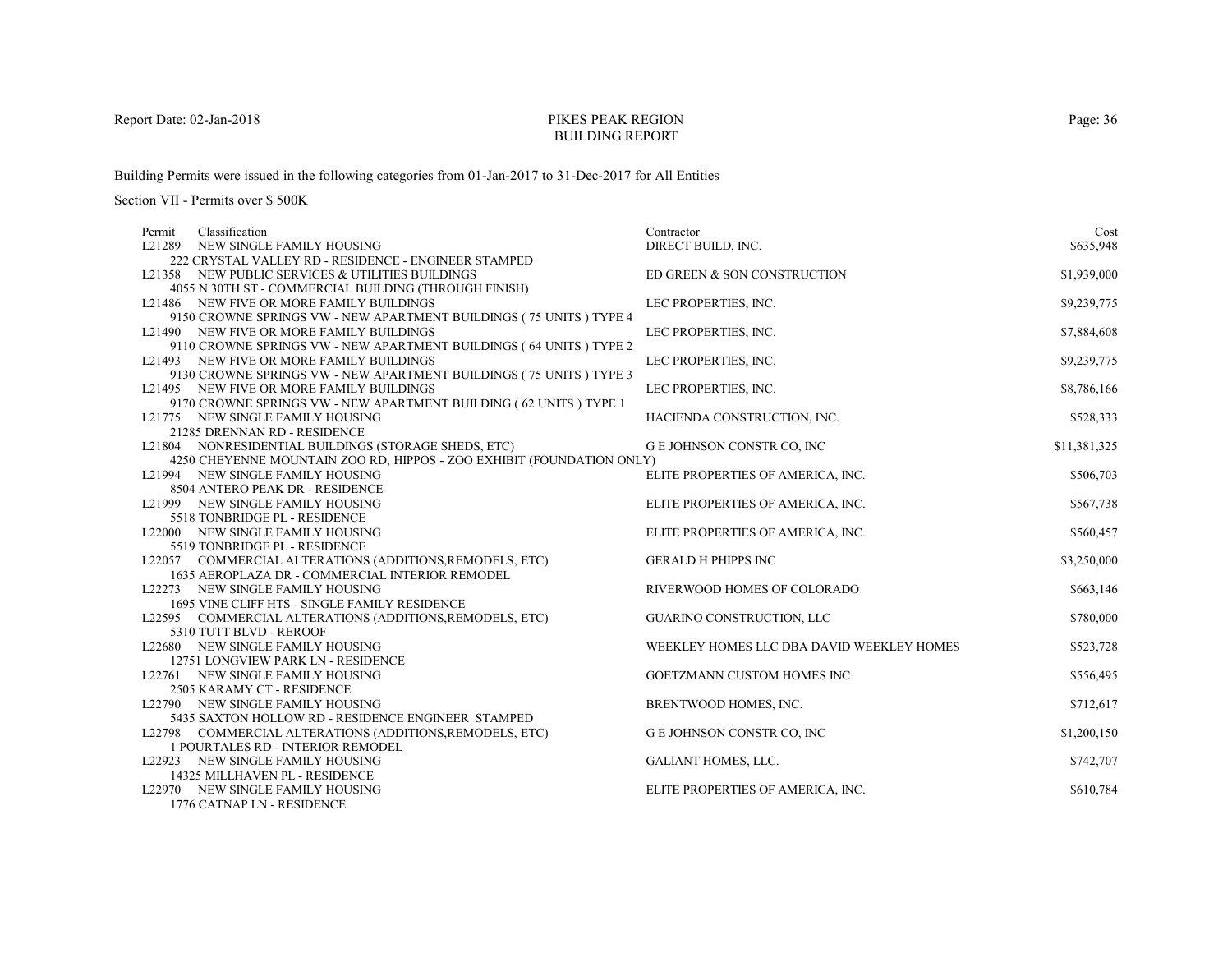# PIKES PEAK REGIONBUILDING REPORT

Building Permits were issued in the following categories from 01-Jan-2017 to 31-Dec-2017 for All Entities

| Classification<br>Permit                                              | Contractor                                | Cost         |
|-----------------------------------------------------------------------|-------------------------------------------|--------------|
| L21289 NEW SINGLE FAMILY HOUSING                                      | DIRECT BUILD, INC.                        | \$635,948    |
| 222 CRYSTAL VALLEY RD - RESIDENCE - ENGINEER STAMPED                  |                                           |              |
| L21358 NEW PUBLIC SERVICES & UTILITIES BUILDINGS                      | ED GREEN & SON CONSTRUCTION               | \$1,939,000  |
| 4055 N 30TH ST - COMMERCIAL BUILDING (THROUGH FINISH)                 |                                           |              |
| L21486 NEW FIVE OR MORE FAMILY BUILDINGS                              | LEC PROPERTIES, INC.                      | \$9,239,775  |
| 9150 CROWNE SPRINGS VW - NEW APARTMENT BUILDINGS (75 UNITS ) TYPE 4   |                                           |              |
| L21490 NEW FIVE OR MORE FAMILY BUILDINGS                              | LEC PROPERTIES, INC.                      | \$7,884,608  |
| 9110 CROWNE SPRINGS VW - NEW APARTMENT BUILDINGS (64 UNITS) TYPE 2    |                                           |              |
| L21493 NEW FIVE OR MORE FAMILY BUILDINGS                              | LEC PROPERTIES, INC.                      | \$9,239,775  |
| 9130 CROWNE SPRINGS VW - NEW APARTMENT BUILDINGS (75 UNITS) TYPE 3    |                                           |              |
| L21495 NEW FIVE OR MORE FAMILY BUILDINGS                              | LEC PROPERTIES, INC.                      | \$8,786,166  |
| 9170 CROWNE SPRINGS VW - NEW APARTMENT BUILDING (62 UNITS) TYPE 1     |                                           |              |
| L21775 NEW SINGLE FAMILY HOUSING                                      | HACIENDA CONSTRUCTION, INC.               | \$528,333    |
| 21285 DRENNAN RD - RESIDENCE                                          |                                           |              |
| L21804 NONRESIDENTIAL BUILDINGS (STORAGE SHEDS, ETC)                  | G E JOHNSON CONSTR CO, INC                | \$11,381,325 |
| 4250 CHEYENNE MOUNTAIN ZOO RD, HIPPOS - ZOO EXHIBIT (FOUNDATION ONLY) |                                           |              |
| L21994 NEW SINGLE FAMILY HOUSING                                      | ELITE PROPERTIES OF AMERICA, INC.         | \$506,703    |
| 8504 ANTERO PEAK DR - RESIDENCE                                       |                                           |              |
| L21999 NEW SINGLE FAMILY HOUSING                                      | ELITE PROPERTIES OF AMERICA, INC.         | \$567,738    |
| 5518 TONBRIDGE PL - RESIDENCE                                         |                                           |              |
| L22000 NEW SINGLE FAMILY HOUSING<br>5519 TONBRIDGE PL - RESIDENCE     | ELITE PROPERTIES OF AMERICA, INC.         | \$560,457    |
| L22057 COMMERCIAL ALTERATIONS (ADDITIONS, REMODELS, ETC)              | <b>GERALD H PHIPPS INC</b>                | \$3,250,000  |
| 1635 AEROPLAZA DR - COMMERCIAL INTERIOR REMODEL                       |                                           |              |
| L22273 NEW SINGLE FAMILY HOUSING                                      | RIVERWOOD HOMES OF COLORADO               | \$663,146    |
| 1695 VINE CLIFF HTS - SINGLE FAMILY RESIDENCE                         |                                           |              |
| L22595 COMMERCIAL ALTERATIONS (ADDITIONS, REMODELS, ETC)              | GUARINO CONSTRUCTION, LLC                 | \$780,000    |
| 5310 TUTT BLVD - REROOF                                               |                                           |              |
| L22680 NEW SINGLE FAMILY HOUSING                                      | WEEKLEY HOMES LLC DBA DAVID WEEKLEY HOMES | \$523,728    |
| 12751 LONGVIEW PARK LN - RESIDENCE                                    |                                           |              |
| L22761 NEW SINGLE FAMILY HOUSING                                      | GOETZMANN CUSTOM HOMES INC                | \$556,495    |
| 2505 KARAMY CT - RESIDENCE                                            |                                           |              |
| L22790 NEW SINGLE FAMILY HOUSING                                      | BRENTWOOD HOMES, INC.                     | \$712,617    |
| 5435 SAXTON HOLLOW RD - RESIDENCE ENGINEER STAMPED                    |                                           |              |
| L22798 COMMERCIAL ALTERATIONS (ADDITIONS, REMODELS, ETC)              | G E JOHNSON CONSTR CO, INC                | \$1,200,150  |
| 1 POURTALES RD - INTERIOR REMODEL                                     |                                           |              |
| L22923 NEW SINGLE FAMILY HOUSING                                      | <b>GALIANT HOMES, LLC.</b>                | \$742,707    |
| 14325 MILLHAVEN PL - RESIDENCE                                        |                                           |              |
| L22970 NEW SINGLE FAMILY HOUSING                                      | ELITE PROPERTIES OF AMERICA, INC.         | \$610,784    |
| 1776 CATNAP LN - RESIDENCE                                            |                                           |              |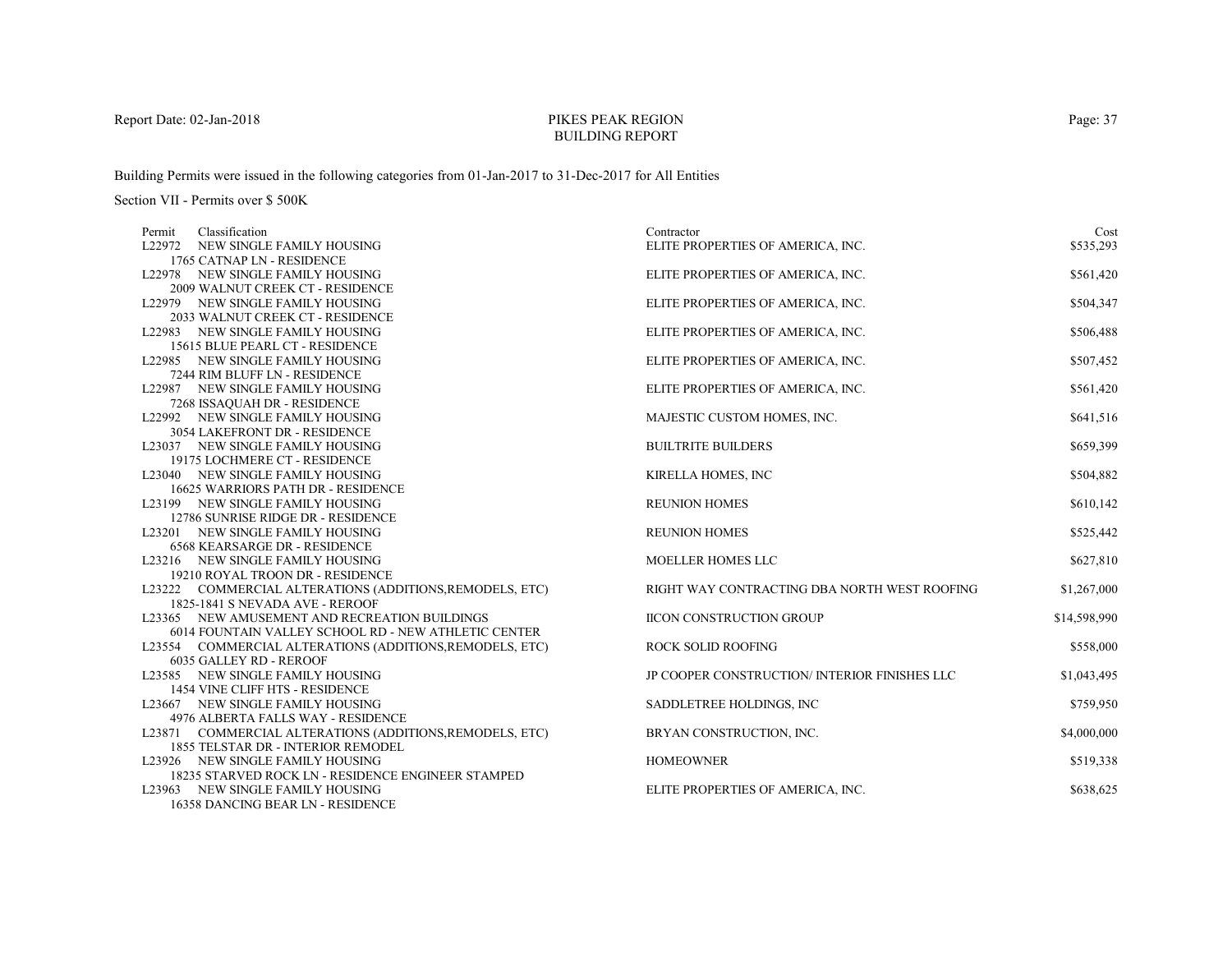# PIKES PEAK REGIONBUILDING REPORT

Building Permits were issued in the following categories from 01-Jan-2017 to 31-Dec-2017 for All Entities

| Classification<br>Permit                                                 | Contractor                                   | Cost         |
|--------------------------------------------------------------------------|----------------------------------------------|--------------|
| L22972 NEW SINGLE FAMILY HOUSING                                         | ELITE PROPERTIES OF AMERICA, INC.            | \$535,293    |
| 1765 CATNAP LN - RESIDENCE                                               |                                              |              |
| L22978 NEW SINGLE FAMILY HOUSING                                         | ELITE PROPERTIES OF AMERICA, INC.            | \$561,420    |
| 2009 WALNUT CREEK CT - RESIDENCE                                         |                                              |              |
| L22979 NEW SINGLE FAMILY HOUSING                                         | ELITE PROPERTIES OF AMERICA, INC.            | \$504,347    |
| 2033 WALNUT CREEK CT - RESIDENCE                                         |                                              |              |
| L22983 NEW SINGLE FAMILY HOUSING                                         | ELITE PROPERTIES OF AMERICA, INC.            | \$506,488    |
| 15615 BLUE PEARL CT - RESIDENCE                                          |                                              |              |
| L22985 NEW SINGLE FAMILY HOUSING                                         | ELITE PROPERTIES OF AMERICA, INC.            | \$507,452    |
| 7244 RIM BLUFF LN - RESIDENCE                                            |                                              |              |
| L22987 NEW SINGLE FAMILY HOUSING                                         | ELITE PROPERTIES OF AMERICA, INC.            | \$561,420    |
| 7268 ISSAQUAH DR - RESIDENCE                                             |                                              |              |
| L22992 NEW SINGLE FAMILY HOUSING                                         | MAJESTIC CUSTOM HOMES, INC.                  | \$641,516    |
| 3054 LAKEFRONT DR - RESIDENCE                                            |                                              |              |
| L23037 NEW SINGLE FAMILY HOUSING                                         | <b>BUILTRITE BUILDERS</b>                    | \$659,399    |
| 19175 LOCHMERE CT - RESIDENCE                                            |                                              |              |
| L23040 NEW SINGLE FAMILY HOUSING                                         | <b>KIRELLA HOMES, INC</b>                    | \$504,882    |
| 16625 WARRIORS PATH DR - RESIDENCE                                       |                                              |              |
| L23199 NEW SINGLE FAMILY HOUSING                                         | <b>REUNION HOMES</b>                         | \$610,142    |
| 12786 SUNRISE RIDGE DR - RESIDENCE                                       |                                              |              |
| L23201 NEW SINGLE FAMILY HOUSING                                         | <b>REUNION HOMES</b>                         | \$525,442    |
| <b>6568 KEARSARGE DR - RESIDENCE</b><br>L23216 NEW SINGLE FAMILY HOUSING | MOELLER HOMES LLC                            |              |
| 19210 ROYAL TROON DR - RESIDENCE                                         |                                              | \$627,810    |
| L23222 COMMERCIAL ALTERATIONS (ADDITIONS, REMODELS, ETC)                 | RIGHT WAY CONTRACTING DBA NORTH WEST ROOFING | \$1,267,000  |
| 1825-1841 S NEVADA AVE - REROOF                                          |                                              |              |
| L23365 NEW AMUSEMENT AND RECREATION BUILDINGS                            | <b>IICON CONSTRUCTION GROUP</b>              | \$14,598,990 |
| 6014 FOUNTAIN VALLEY SCHOOL RD - NEW ATHLETIC CENTER                     |                                              |              |
| L23554 COMMERCIAL ALTERATIONS (ADDITIONS, REMODELS, ETC)                 | <b>ROCK SOLID ROOFING</b>                    | \$558,000    |
| 6035 GALLEY RD - REROOF                                                  |                                              |              |
| L23585 NEW SINGLE FAMILY HOUSING                                         | JP COOPER CONSTRUCTION/INTERIOR FINISHES LLC | \$1,043,495  |
| 1454 VINE CLIFF HTS - RESIDENCE                                          |                                              |              |
| L23667 NEW SINGLE FAMILY HOUSING                                         | SADDLETREE HOLDINGS, INC                     | \$759,950    |
| 4976 ALBERTA FALLS WAY - RESIDENCE                                       |                                              |              |
| L23871 COMMERCIAL ALTERATIONS (ADDITIONS, REMODELS, ETC)                 | BRYAN CONSTRUCTION, INC.                     | \$4,000,000  |
| 1855 TELSTAR DR - INTERIOR REMODEL                                       |                                              |              |
| L23926 NEW SINGLE FAMILY HOUSING                                         | <b>HOMEOWNER</b>                             | \$519,338    |
| 18235 STARVED ROCK LN - RESIDENCE ENGINEER STAMPED                       |                                              |              |
| L23963 NEW SINGLE FAMILY HOUSING                                         | ELITE PROPERTIES OF AMERICA, INC.            | \$638,625    |
| 16358 DANCING BEAR LN - RESIDENCE                                        |                                              |              |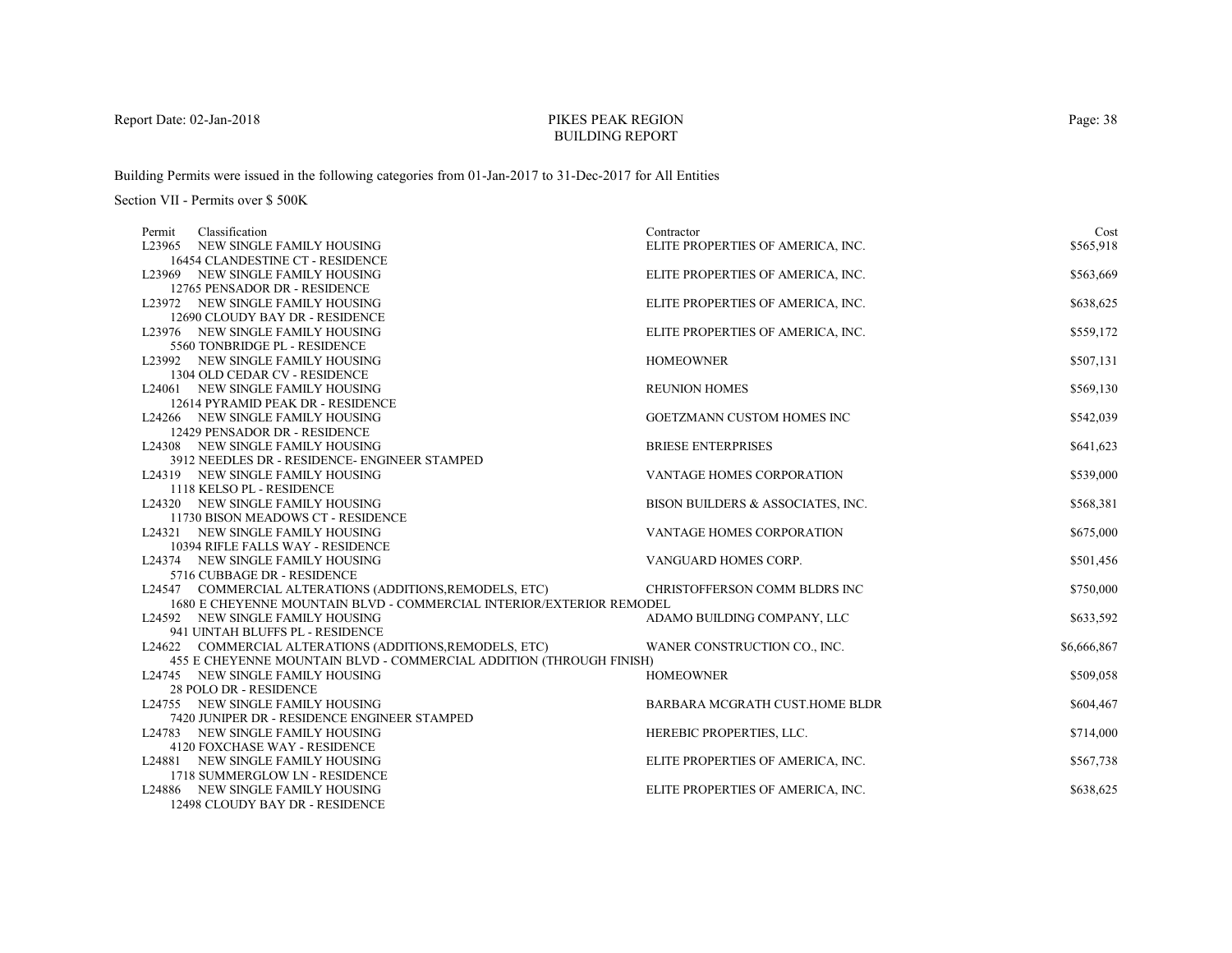# PIKES PEAK REGIONBUILDING REPORT

Building Permits were issued in the following categories from 01-Jan-2017 to 31-Dec-2017 for All Entities

| Classification<br>Permit                                             | Contractor                        | Cost        |
|----------------------------------------------------------------------|-----------------------------------|-------------|
| L23965 NEW SINGLE FAMILY HOUSING                                     | ELITE PROPERTIES OF AMERICA, INC. | \$565,918   |
| 16454 CLANDESTINE CT - RESIDENCE                                     |                                   |             |
| L23969 NEW SINGLE FAMILY HOUSING                                     | ELITE PROPERTIES OF AMERICA, INC. | \$563,669   |
| 12765 PENSADOR DR - RESIDENCE                                        |                                   |             |
| L23972 NEW SINGLE FAMILY HOUSING                                     | ELITE PROPERTIES OF AMERICA, INC. | \$638,625   |
| 12690 CLOUDY BAY DR - RESIDENCE                                      |                                   |             |
| L23976 NEW SINGLE FAMILY HOUSING                                     | ELITE PROPERTIES OF AMERICA, INC. | \$559,172   |
| 5560 TONBRIDGE PL - RESIDENCE                                        |                                   |             |
| L23992 NEW SINGLE FAMILY HOUSING                                     | <b>HOMEOWNER</b>                  | \$507,131   |
| 1304 OLD CEDAR CV - RESIDENCE                                        |                                   |             |
| L24061 NEW SINGLE FAMILY HOUSING                                     | <b>REUNION HOMES</b>              | \$569,130   |
| 12614 PYRAMID PEAK DR - RESIDENCE                                    |                                   |             |
| L24266 NEW SINGLE FAMILY HOUSING                                     | GOETZMANN CUSTOM HOMES INC        | \$542,039   |
| 12429 PENSADOR DR - RESIDENCE                                        |                                   |             |
| L24308 NEW SINGLE FAMILY HOUSING                                     | <b>BRIESE ENTERPRISES</b>         | \$641,623   |
| 3912 NEEDLES DR - RESIDENCE- ENGINEER STAMPED                        |                                   |             |
| L24319 NEW SINGLE FAMILY HOUSING                                     | <b>VANTAGE HOMES CORPORATION</b>  | \$539,000   |
| 1118 KELSO PL - RESIDENCE<br>L24320 NEW SINGLE FAMILY HOUSING        | BISON BUILDERS & ASSOCIATES, INC. | \$568,381   |
| 11730 BISON MEADOWS CT - RESIDENCE                                   |                                   |             |
| L24321 NEW SINGLE FAMILY HOUSING                                     | VANTAGE HOMES CORPORATION         | \$675,000   |
| 10394 RIFLE FALLS WAY - RESIDENCE                                    |                                   |             |
| L24374 NEW SINGLE FAMILY HOUSING                                     | VANGUARD HOMES CORP.              | \$501,456   |
| 5716 CUBBAGE DR - RESIDENCE                                          |                                   |             |
| L24547 COMMERCIAL ALTERATIONS (ADDITIONS, REMODELS, ETC)             | CHRISTOFFERSON COMM BLDRS INC     | \$750,000   |
| 1680 E CHEYENNE MOUNTAIN BLVD - COMMERCIAL INTERIOR/EXTERIOR REMODEL |                                   |             |
| L24592 NEW SINGLE FAMILY HOUSING                                     | ADAMO BUILDING COMPANY, LLC       | \$633,592   |
| 941 UINTAH BLUFFS PL - RESIDENCE                                     |                                   |             |
| L24622 COMMERCIAL ALTERATIONS (ADDITIONS, REMODELS, ETC)             | WANER CONSTRUCTION CO., INC.      | \$6,666,867 |
| 455 E CHEYENNE MOUNTAIN BLVD - COMMERCIAL ADDITION (THROUGH FINISH)  |                                   |             |
| L24745 NEW SINGLE FAMILY HOUSING                                     | <b>HOMEOWNER</b>                  | \$509,058   |
| 28 POLO DR - RESIDENCE                                               |                                   |             |
| L24755 NEW SINGLE FAMILY HOUSING                                     | BARBARA MCGRATH CUST.HOME BLDR    | \$604,467   |
| 7420 JUNIPER DR - RESIDENCE ENGINEER STAMPED                         |                                   |             |
| L24783 NEW SINGLE FAMILY HOUSING                                     | HEREBIC PROPERTIES, LLC.          | \$714,000   |
| 4120 FOXCHASE WAY - RESIDENCE                                        |                                   |             |
| L24881 NEW SINGLE FAMILY HOUSING                                     | ELITE PROPERTIES OF AMERICA, INC. | \$567,738   |
| 1718 SUMMERGLOW LN - RESIDENCE                                       |                                   |             |
| L24886 NEW SINGLE FAMILY HOUSING                                     | ELITE PROPERTIES OF AMERICA, INC. | \$638,625   |
| 12498 CLOUDY BAY DR - RESIDENCE                                      |                                   |             |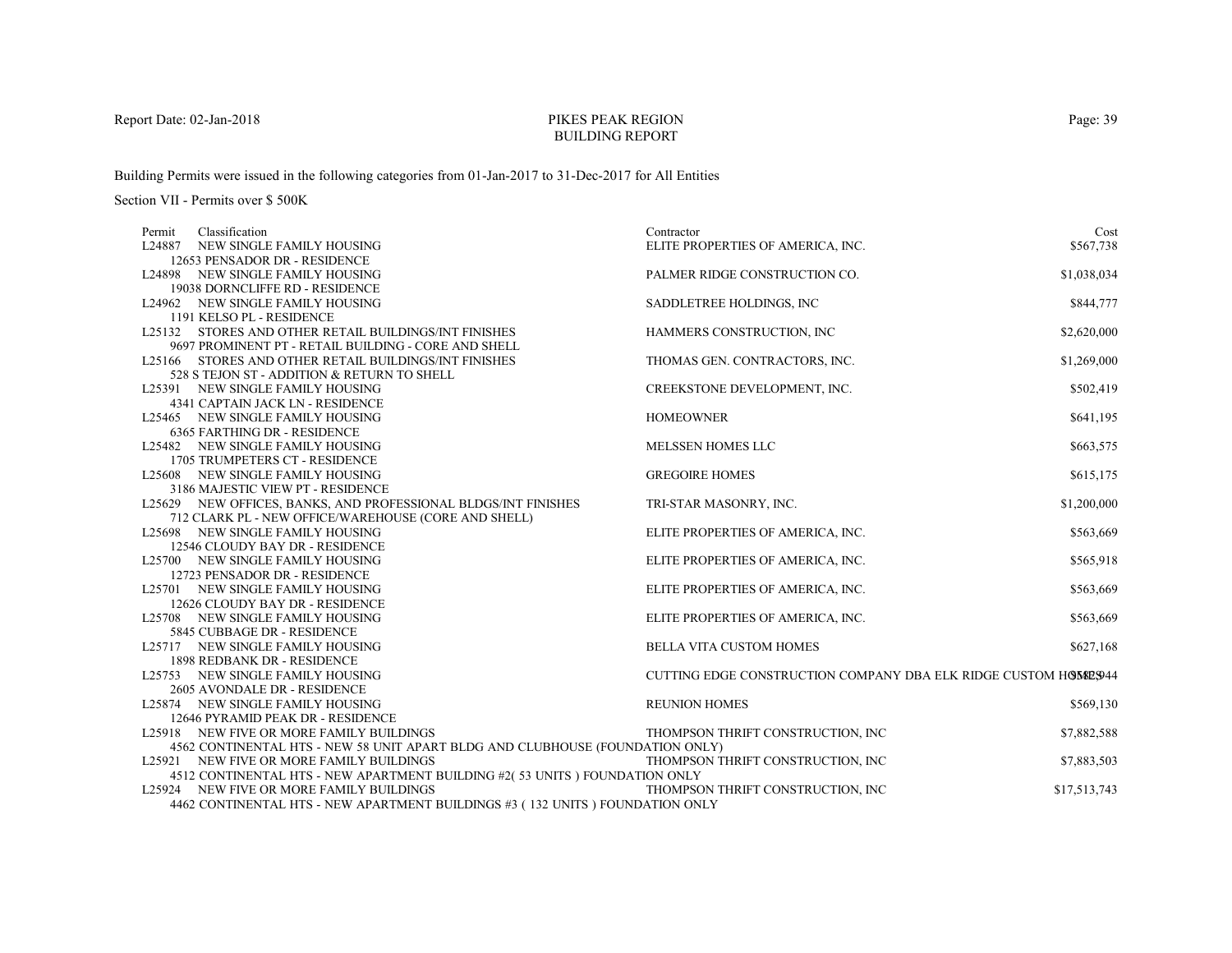#### PIKES PEAK REGIONBUILDING REPORT

Building Permits were issued in the following categories from 01-Jan-2017 to 31-Dec-2017 for All Entities

Section VII - Permits over \$ 500K

| Classification<br>Permit                                                                                               | Contractor                                                      | Cost         |
|------------------------------------------------------------------------------------------------------------------------|-----------------------------------------------------------------|--------------|
| L24887 NEW SINGLE FAMILY HOUSING                                                                                       | ELITE PROPERTIES OF AMERICA, INC.                               | \$567,738    |
| 12653 PENSADOR DR - RESIDENCE                                                                                          |                                                                 |              |
| L24898 NEW SINGLE FAMILY HOUSING                                                                                       | PALMER RIDGE CONSTRUCTION CO.                                   | \$1,038,034  |
| 19038 DORNCLIFFE RD - RESIDENCE                                                                                        |                                                                 |              |
| L24962 NEW SINGLE FAMILY HOUSING                                                                                       | SADDLETREE HOLDINGS, INC                                        | \$844,777    |
| 1191 KELSO PL - RESIDENCE                                                                                              |                                                                 |              |
| L25132 STORES AND OTHER RETAIL BUILDINGS/INT FINISHES                                                                  | HAMMERS CONSTRUCTION, INC                                       | \$2,620,000  |
| 9697 PROMINENT PT - RETAIL BUILDING - CORE AND SHELL                                                                   |                                                                 |              |
| L25166 STORES AND OTHER RETAIL BUILDINGS/INT FINISHES                                                                  | THOMAS GEN. CONTRACTORS, INC.                                   | \$1,269,000  |
| 528 S TEJON ST - ADDITION & RETURN TO SHELL                                                                            |                                                                 |              |
| L25391 NEW SINGLE FAMILY HOUSING                                                                                       | CREEKSTONE DEVELOPMENT, INC.                                    | \$502,419    |
| 4341 CAPTAIN JACK LN - RESIDENCE                                                                                       |                                                                 |              |
| L25465 NEW SINGLE FAMILY HOUSING                                                                                       | <b>HOMEOWNER</b>                                                | \$641,195    |
| <b>6365 FARTHING DR - RESIDENCE</b>                                                                                    |                                                                 |              |
| L25482 NEW SINGLE FAMILY HOUSING                                                                                       | <b>MELSSEN HOMES LLC</b>                                        | \$663,575    |
| 1705 TRUMPETERS CT - RESIDENCE                                                                                         |                                                                 |              |
| L25608 NEW SINGLE FAMILY HOUSING                                                                                       | <b>GREGOIRE HOMES</b>                                           | \$615,175    |
| 3186 MAJESTIC VIEW PT - RESIDENCE                                                                                      |                                                                 |              |
| L25629 NEW OFFICES, BANKS, AND PROFESSIONAL BLDGS/INT FINISHES                                                         | TRI-STAR MASONRY, INC.                                          | \$1,200,000  |
| 712 CLARK PL - NEW OFFICE/WAREHOUSE (CORE AND SHELL)                                                                   |                                                                 |              |
| L25698 NEW SINGLE FAMILY HOUSING                                                                                       | ELITE PROPERTIES OF AMERICA, INC.                               | \$563,669    |
| 12546 CLOUDY BAY DR - RESIDENCE                                                                                        |                                                                 |              |
| L25700 NEW SINGLE FAMILY HOUSING                                                                                       | ELITE PROPERTIES OF AMERICA, INC.                               | \$565,918    |
| 12723 PENSADOR DR - RESIDENCE                                                                                          |                                                                 |              |
| L25701 NEW SINGLE FAMILY HOUSING                                                                                       | ELITE PROPERTIES OF AMERICA, INC.                               | \$563,669    |
| 12626 CLOUDY BAY DR - RESIDENCE                                                                                        |                                                                 |              |
| L25708 NEW SINGLE FAMILY HOUSING                                                                                       | ELITE PROPERTIES OF AMERICA, INC.                               | \$563,669    |
| 5845 CUBBAGE DR - RESIDENCE                                                                                            |                                                                 |              |
| L25717 NEW SINGLE FAMILY HOUSING                                                                                       | <b>BELLA VITA CUSTOM HOMES</b>                                  | \$627,168    |
| 1898 REDBANK DR - RESIDENCE                                                                                            |                                                                 |              |
| L25753 NEW SINGLE FAMILY HOUSING                                                                                       | CUTTING EDGE CONSTRUCTION COMPANY DBA ELK RIDGE CUSTOM HOMES944 |              |
| 2605 AVONDALE DR - RESIDENCE                                                                                           |                                                                 |              |
| L25874 NEW SINGLE FAMILY HOUSING                                                                                       | <b>REUNION HOMES</b>                                            | \$569,130    |
| 12646 PYRAMID PEAK DR - RESIDENCE                                                                                      |                                                                 |              |
| L25918 NEW FIVE OR MORE FAMILY BUILDINGS                                                                               | THOMPSON THRIFT CONSTRUCTION, INC                               | \$7,882,588  |
| 4562 CONTINENTAL HTS - NEW 58 UNIT APART BLDG AND CLUBHOUSE (FOUNDATION ONLY)                                          |                                                                 |              |
| L25921 NEW FIVE OR MORE FAMILY BUILDINGS                                                                               | THOMPSON THRIFT CONSTRUCTION. INC                               | \$7,883,503  |
| 4512 CONTINENTAL HTS - NEW APARTMENT BUILDING #2(53 UNITS) FOUNDATION ONLY<br>L25924 NEW FIVE OR MORE FAMILY BUILDINGS | THOMPSON THRIFT CONSTRUCTION, INC                               | \$17,513,743 |
|                                                                                                                        |                                                                 |              |
| 4462 CONTINENTAL HTS - NEW APARTMENT BUILDINGS #3 (132 UNITS) FOUNDATION ONLY                                          |                                                                 |              |

Page: 39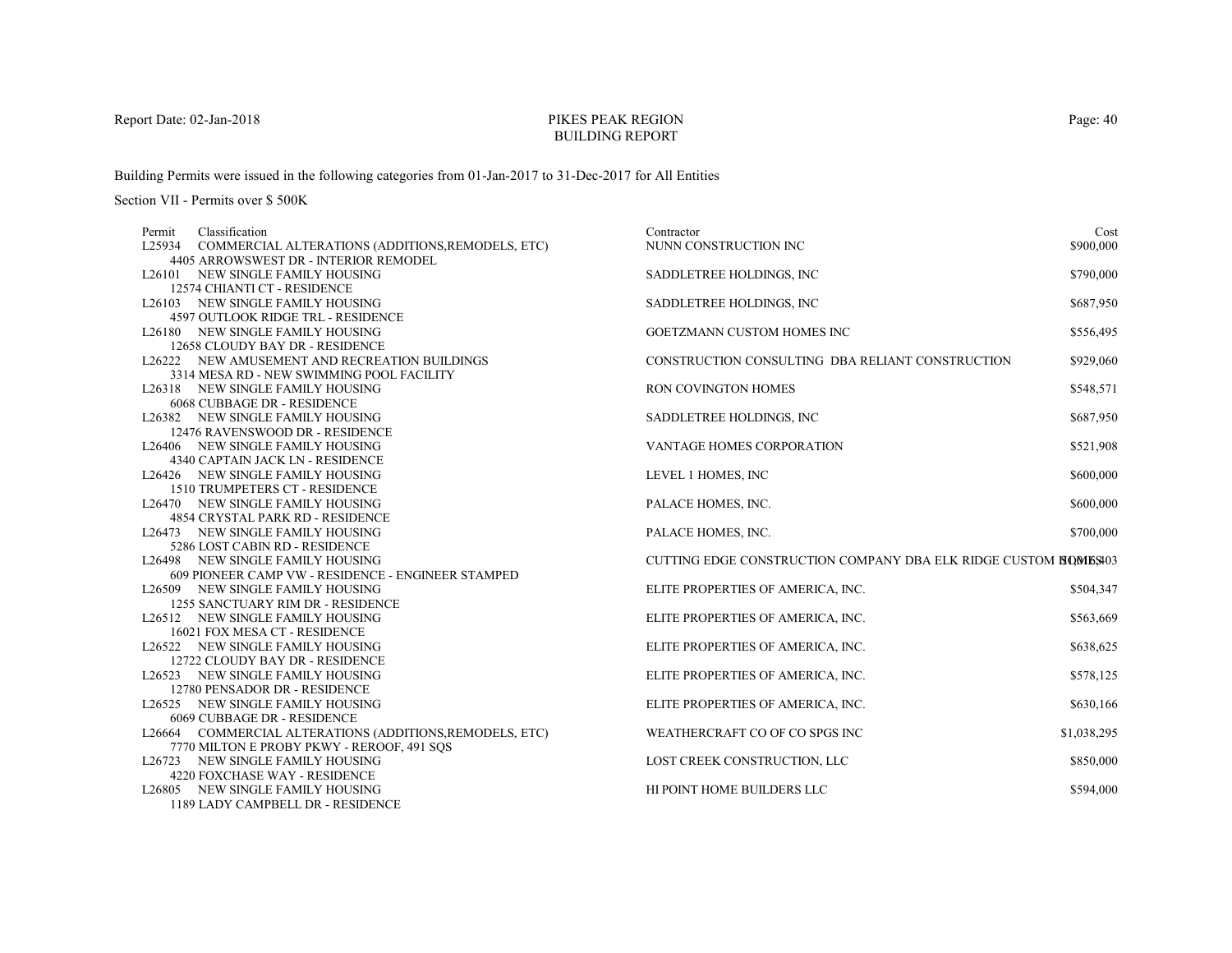# PIKES PEAK REGIONBUILDING REPORT

Building Permits were issued in the following categories from 01-Jan-2017 to 31-Dec-2017 for All Entities

| Classification<br>Permit                                 | Contractor                                                       | Cost        |
|----------------------------------------------------------|------------------------------------------------------------------|-------------|
| L25934 COMMERCIAL ALTERATIONS (ADDITIONS, REMODELS, ETC) | NUNN CONSTRUCTION INC                                            | \$900,000   |
| 4405 ARROWSWEST DR - INTERIOR REMODEL                    |                                                                  |             |
| L26101 NEW SINGLE FAMILY HOUSING                         | SADDLETREE HOLDINGS, INC.                                        | \$790,000   |
| 12574 CHIANTI CT - RESIDENCE                             |                                                                  |             |
| L26103 NEW SINGLE FAMILY HOUSING                         | SADDLETREE HOLDINGS, INC.                                        | \$687,950   |
| 4597 OUTLOOK RIDGE TRL - RESIDENCE                       |                                                                  |             |
| L26180 NEW SINGLE FAMILY HOUSING                         | GOETZMANN CUSTOM HOMES INC                                       | \$556,495   |
| 12658 CLOUDY BAY DR - RESIDENCE                          |                                                                  |             |
| L26222 NEW AMUSEMENT AND RECREATION BUILDINGS            | CONSTRUCTION CONSULTING DBA RELIANT CONSTRUCTION                 | \$929,060   |
| 3314 MESA RD - NEW SWIMMING POOL FACILITY                |                                                                  |             |
| L26318 NEW SINGLE FAMILY HOUSING                         | RON COVINGTON HOMES                                              | \$548,571   |
| 6068 CUBBAGE DR - RESIDENCE                              |                                                                  |             |
| L26382 NEW SINGLE FAMILY HOUSING                         | SADDLETREE HOLDINGS, INC                                         | \$687,950   |
| 12476 RAVENSWOOD DR - RESIDENCE                          |                                                                  |             |
| L26406 NEW SINGLE FAMILY HOUSING                         | <b>VANTAGE HOMES CORPORATION</b>                                 | \$521,908   |
| 4340 CAPTAIN JACK LN - RESIDENCE                         |                                                                  |             |
| L26426 NEW SINGLE FAMILY HOUSING                         | LEVEL 1 HOMES, INC                                               | \$600,000   |
| 1510 TRUMPETERS CT - RESIDENCE                           |                                                                  |             |
| L26470 NEW SINGLE FAMILY HOUSING                         | PALACE HOMES, INC.                                               | \$600,000   |
| <b>4854 CRYSTAL PARK RD - RESIDENCE</b>                  |                                                                  |             |
| L26473 NEW SINGLE FAMILY HOUSING                         | PALACE HOMES, INC.                                               | \$700,000   |
| 5286 LOST CABIN RD - RESIDENCE                           |                                                                  |             |
| L26498 NEW SINGLE FAMILY HOUSING                         | CUTTING EDGE CONSTRUCTION COMPANY DBA ELK RIDGE CUSTOM HOMES 403 |             |
| 609 PIONEER CAMP VW - RESIDENCE - ENGINEER STAMPED       |                                                                  |             |
| L26509 NEW SINGLE FAMILY HOUSING                         | ELITE PROPERTIES OF AMERICA, INC.                                | \$504,347   |
| 1255 SANCTUARY RIM DR - RESIDENCE                        |                                                                  |             |
| L26512 NEW SINGLE FAMILY HOUSING                         | ELITE PROPERTIES OF AMERICA, INC.                                | \$563,669   |
| 16021 FOX MESA CT - RESIDENCE                            |                                                                  |             |
| L26522 NEW SINGLE FAMILY HOUSING                         | ELITE PROPERTIES OF AMERICA, INC.                                | \$638,625   |
| 12722 CLOUDY BAY DR - RESIDENCE                          |                                                                  |             |
| L26523 NEW SINGLE FAMILY HOUSING                         | ELITE PROPERTIES OF AMERICA, INC.                                | \$578,125   |
| 12780 PENSADOR DR - RESIDENCE                            |                                                                  |             |
| L26525 NEW SINGLE FAMILY HOUSING                         | ELITE PROPERTIES OF AMERICA, INC.                                | \$630,166   |
| 6069 CUBBAGE DR - RESIDENCE                              |                                                                  |             |
| L26664 COMMERCIAL ALTERATIONS (ADDITIONS, REMODELS, ETC) | WEATHERCRAFT CO OF CO SPGS INC                                   | \$1,038,295 |
| 7770 MILTON E PROBY PKWY - REROOF, 491 SOS               |                                                                  |             |
| L26723 NEW SINGLE FAMILY HOUSING                         | LOST CREEK CONSTRUCTION, LLC                                     | \$850,000   |
| 4220 FOXCHASE WAY - RESIDENCE                            |                                                                  |             |
| L26805 NEW SINGLE FAMILY HOUSING                         | HI POINT HOME BUILDERS LLC                                       | \$594,000   |
| 1189 LADY CAMPBELL DR - RESIDENCE                        |                                                                  |             |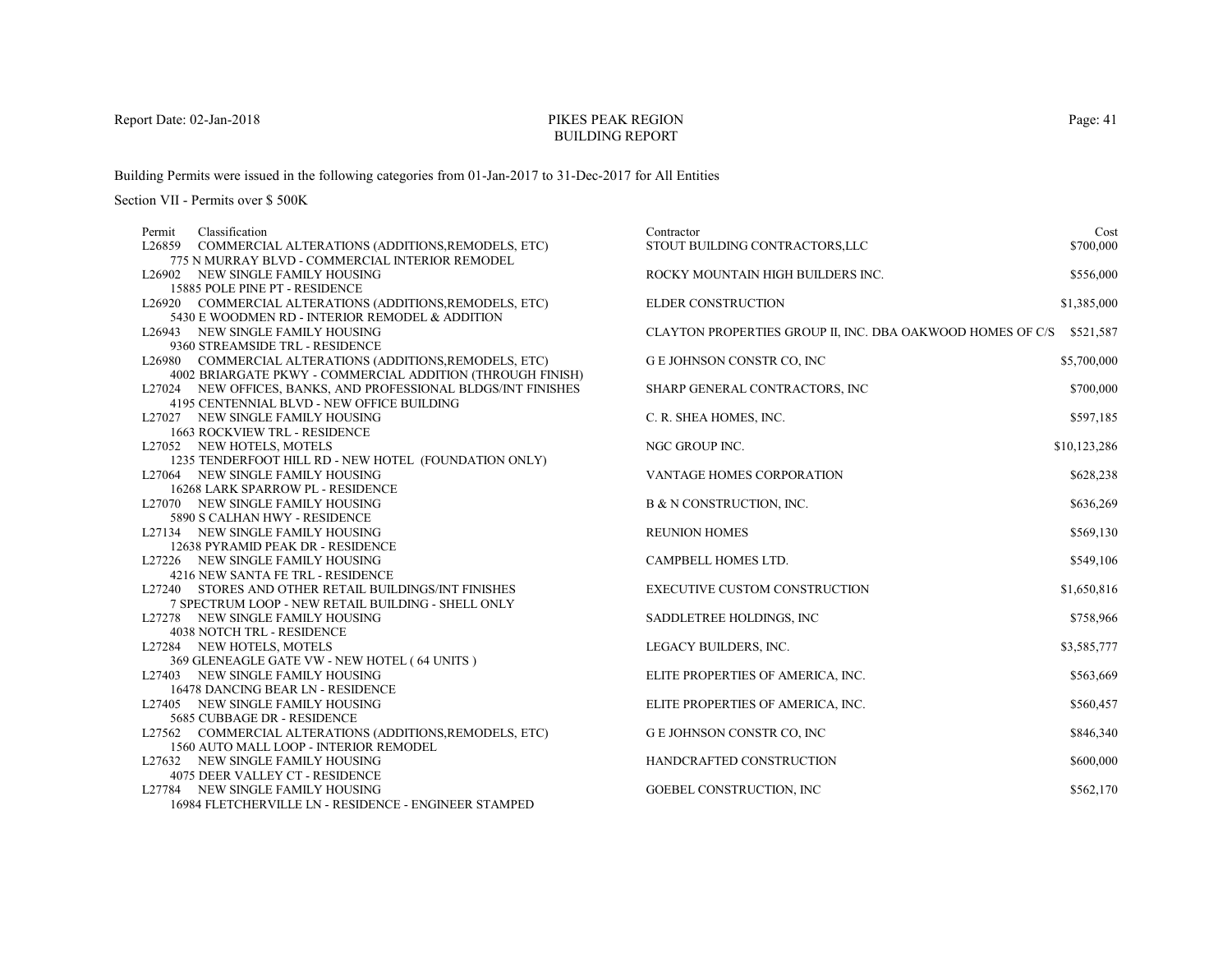# PIKES PEAK REGIONBUILDING REPORT

Building Permits were issued in the following categories from 01-Jan-2017 to 31-Dec-2017 for All Entities

| Permit | Classification                                                        | Contractor                                                           | Cost         |
|--------|-----------------------------------------------------------------------|----------------------------------------------------------------------|--------------|
|        | L26859 COMMERCIAL ALTERATIONS (ADDITIONS, REMODELS, ETC)              | STOUT BUILDING CONTRACTORS, LLC                                      | \$700,000    |
|        | 775 N MURRAY BLVD - COMMERCIAL INTERIOR REMODEL                       |                                                                      |              |
|        | L26902 NEW SINGLE FAMILY HOUSING                                      | ROCKY MOUNTAIN HIGH BUILDERS INC.                                    | \$556,000    |
|        | 15885 POLE PINE PT - RESIDENCE                                        |                                                                      |              |
|        | L26920 COMMERCIAL ALTERATIONS (ADDITIONS, REMODELS, ETC)              | <b>ELDER CONSTRUCTION</b>                                            | \$1,385,000  |
|        | 5430 E WOODMEN RD - INTERIOR REMODEL & ADDITION                       |                                                                      |              |
|        | L26943 NEW SINGLE FAMILY HOUSING                                      | CLAYTON PROPERTIES GROUP II, INC. DBA OAKWOOD HOMES OF C/S \$521,587 |              |
|        | 9360 STREAMSIDE TRL - RESIDENCE                                       |                                                                      |              |
|        | L26980 COMMERCIAL ALTERATIONS (ADDITIONS, REMODELS, ETC)              | G E JOHNSON CONSTR CO, INC                                           | \$5,700,000  |
|        | 4002 BRIARGATE PKWY - COMMERCIAL ADDITION (THROUGH FINISH)            |                                                                      |              |
|        | L27024 NEW OFFICES, BANKS, AND PROFESSIONAL BLDGS/INT FINISHES        | SHARP GENERAL CONTRACTORS, INC                                       | \$700,000    |
|        | 4195 CENTENNIAL BLVD - NEW OFFICE BUILDING                            |                                                                      |              |
|        | L27027 NEW SINGLE FAMILY HOUSING                                      | C. R. SHEA HOMES, INC.                                               | \$597,185    |
|        | 1663 ROCKVIEW TRL - RESIDENCE                                         |                                                                      |              |
|        | L27052 NEW HOTELS, MOTELS                                             | NGC GROUP INC.                                                       | \$10,123,286 |
|        | 1235 TENDERFOOT HILL RD - NEW HOTEL (FOUNDATION ONLY)                 | VANTAGE HOMES CORPORATION                                            |              |
|        | L27064 NEW SINGLE FAMILY HOUSING                                      |                                                                      | \$628,238    |
|        | 16268 LARK SPARROW PL - RESIDENCE<br>L27070 NEW SINGLE FAMILY HOUSING | B & N CONSTRUCTION, INC.                                             | \$636,269    |
|        | 5890 S CALHAN HWY - RESIDENCE                                         |                                                                      |              |
|        | L27134 NEW SINGLE FAMILY HOUSING                                      | <b>REUNION HOMES</b>                                                 | \$569,130    |
|        | 12638 PYRAMID PEAK DR - RESIDENCE                                     |                                                                      |              |
|        | L27226 NEW SINGLE FAMILY HOUSING                                      | CAMPBELL HOMES LTD.                                                  | \$549,106    |
|        | 4216 NEW SANTA FE TRL - RESIDENCE                                     |                                                                      |              |
|        | L27240 STORES AND OTHER RETAIL BUILDINGS/INT FINISHES                 | <b>EXECUTIVE CUSTOM CONSTRUCTION</b>                                 | \$1,650,816  |
|        | 7 SPECTRUM LOOP - NEW RETAIL BUILDING - SHELL ONLY                    |                                                                      |              |
|        | L27278 NEW SINGLE FAMILY HOUSING                                      | SADDLETREE HOLDINGS, INC.                                            | \$758,966    |
|        | <b>4038 NOTCH TRL - RESIDENCE</b>                                     |                                                                      |              |
|        | L27284 NEW HOTELS, MOTELS                                             | LEGACY BUILDERS, INC.                                                | \$3,585,777  |
|        | 369 GLENEAGLE GATE VW - NEW HOTEL (64 UNITS)                          |                                                                      |              |
|        | L27403 NEW SINGLE FAMILY HOUSING                                      | ELITE PROPERTIES OF AMERICA, INC.                                    | \$563,669    |
|        | 16478 DANCING BEAR LN - RESIDENCE                                     |                                                                      |              |
|        | L27405 NEW SINGLE FAMILY HOUSING                                      | ELITE PROPERTIES OF AMERICA, INC.                                    | \$560,457    |
|        | 5685 CUBBAGE DR - RESIDENCE                                           |                                                                      |              |
|        | L27562 COMMERCIAL ALTERATIONS (ADDITIONS, REMODELS, ETC)              | G E JOHNSON CONSTR CO, INC                                           | \$846,340    |
|        | 1560 AUTO MALL LOOP - INTERIOR REMODEL                                |                                                                      |              |
|        | L27632 NEW SINGLE FAMILY HOUSING                                      | HANDCRAFTED CONSTRUCTION                                             | \$600,000    |
|        | 4075 DEER VALLEY CT - RESIDENCE                                       |                                                                      |              |
|        | L27784 NEW SINGLE FAMILY HOUSING                                      | <b>GOEBEL CONSTRUCTION, INC</b>                                      | \$562,170    |
|        | 16984 FLETCHERVILLE LN - RESIDENCE - ENGINEER STAMPED                 |                                                                      |              |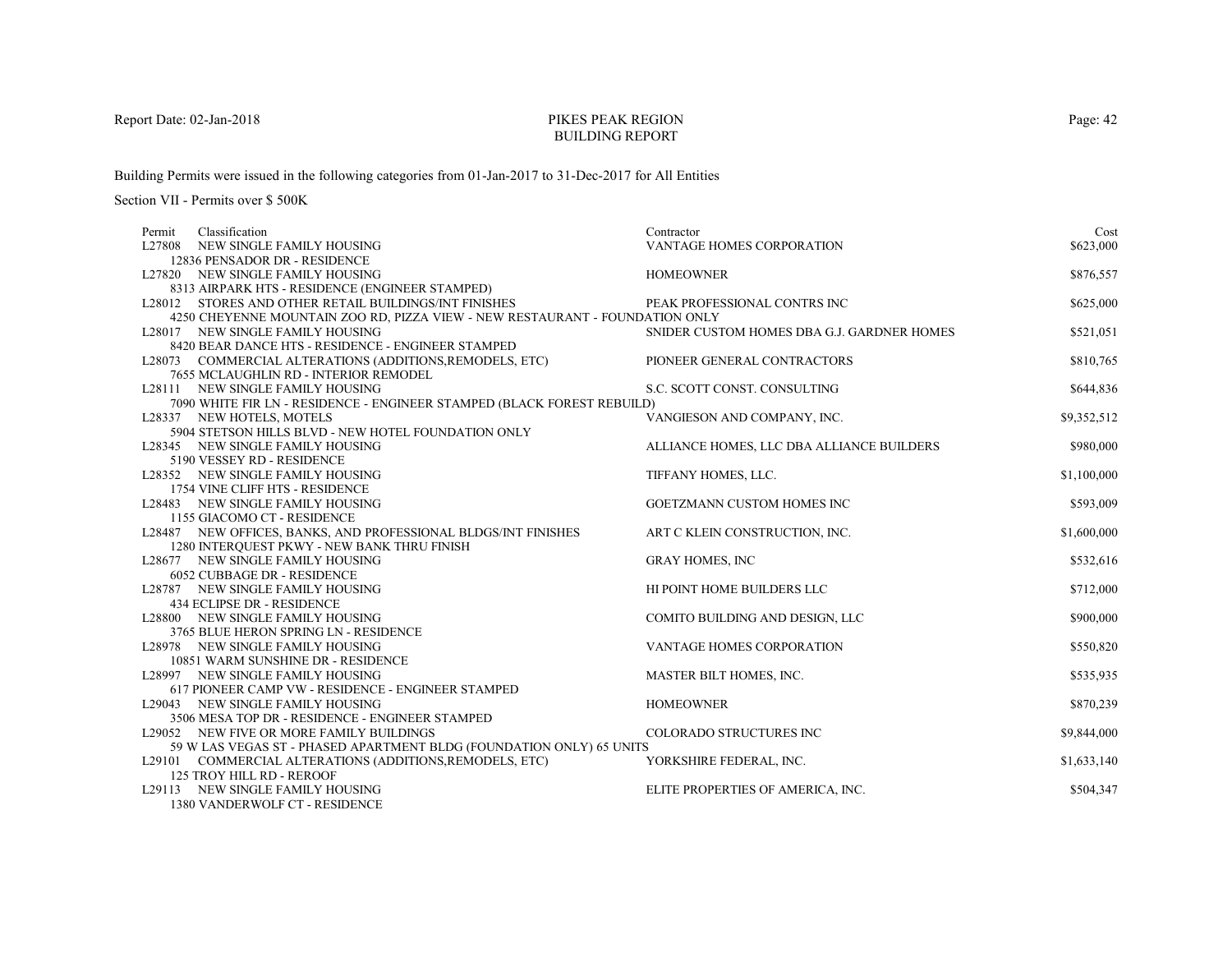# PIKES PEAK REGIONBUILDING REPORT

Building Permits were issued in the following categories from 01-Jan-2017 to 31-Dec-2017 for All Entities

| Classification<br>Permit                                                                                      | Contractor                                 | Cost        |
|---------------------------------------------------------------------------------------------------------------|--------------------------------------------|-------------|
| L27808 NEW SINGLE FAMILY HOUSING                                                                              | VANTAGE HOMES CORPORATION                  | \$623,000   |
| 12836 PENSADOR DR - RESIDENCE                                                                                 |                                            |             |
| L27820 NEW SINGLE FAMILY HOUSING                                                                              | <b>HOMEOWNER</b>                           | \$876,557   |
| 8313 AIRPARK HTS - RESIDENCE (ENGINEER STAMPED)                                                               |                                            |             |
| L28012 STORES AND OTHER RETAIL BUILDINGS/INT FINISHES                                                         | PEAK PROFESSIONAL CONTRS INC               | \$625,000   |
| 4250 CHEYENNE MOUNTAIN ZOO RD, PIZZA VIEW - NEW RESTAURANT - FOUNDATION ONLY                                  |                                            |             |
| L28017 NEW SINGLE FAMILY HOUSING                                                                              | SNIDER CUSTOM HOMES DBA G.J. GARDNER HOMES | \$521,051   |
| 8420 BEAR DANCE HTS - RESIDENCE - ENGINEER STAMPED                                                            |                                            |             |
| L28073 COMMERCIAL ALTERATIONS (ADDITIONS, REMODELS, ETC)                                                      | PIONEER GENERAL CONTRACTORS                | \$810,765   |
| 7655 MCLAUGHLIN RD - INTERIOR REMODEL                                                                         |                                            |             |
| L28111 NEW SINGLE FAMILY HOUSING                                                                              | S.C. SCOTT CONST. CONSULTING               | \$644,836   |
| 7090 WHITE FIR LN - RESIDENCE - ENGINEER STAMPED (BLACK FOREST REBUILD)                                       |                                            |             |
| L28337 NEW HOTELS, MOTELS                                                                                     | VANGIESON AND COMPANY, INC.                | \$9,352,512 |
| 5904 STETSON HILLS BLVD - NEW HOTEL FOUNDATION ONLY                                                           |                                            |             |
| L28345 NEW SINGLE FAMILY HOUSING                                                                              | ALLIANCE HOMES, LLC DBA ALLIANCE BUILDERS  | \$980,000   |
| 5190 VESSEY RD - RESIDENCE                                                                                    |                                            |             |
| L28352 NEW SINGLE FAMILY HOUSING                                                                              | TIFFANY HOMES, LLC.                        | \$1,100,000 |
| 1754 VINE CLIFF HTS - RESIDENCE                                                                               |                                            |             |
| L28483 NEW SINGLE FAMILY HOUSING                                                                              | GOETZMANN CUSTOM HOMES INC                 | \$593,009   |
| 1155 GIACOMO CT - RESIDENCE                                                                                   |                                            | \$1,600,000 |
| L28487 NEW OFFICES, BANKS, AND PROFESSIONAL BLDGS/INT FINISHES<br>1280 INTERQUEST PKWY - NEW BANK THRU FINISH | ART C KLEIN CONSTRUCTION, INC.             |             |
| L28677 NEW SINGLE FAMILY HOUSING                                                                              | <b>GRAY HOMES, INC</b>                     | \$532,616   |
| 6052 CUBBAGE DR - RESIDENCE                                                                                   |                                            |             |
| L28787 NEW SINGLE FAMILY HOUSING                                                                              | HI POINT HOME BUILDERS LLC                 | \$712,000   |
| 434 ECLIPSE DR - RESIDENCE                                                                                    |                                            |             |
| L28800 NEW SINGLE FAMILY HOUSING                                                                              | COMITO BUILDING AND DESIGN, LLC            | \$900,000   |
| 3765 BLUE HERON SPRING LN - RESIDENCE                                                                         |                                            |             |
| L28978 NEW SINGLE FAMILY HOUSING                                                                              | VANTAGE HOMES CORPORATION                  | \$550,820   |
| 10851 WARM SUNSHINE DR - RESIDENCE                                                                            |                                            |             |
| L28997 NEW SINGLE FAMILY HOUSING                                                                              | MASTER BILT HOMES, INC.                    | \$535,935   |
| 617 PIONEER CAMP VW - RESIDENCE - ENGINEER STAMPED                                                            |                                            |             |
| L29043 NEW SINGLE FAMILY HOUSING                                                                              | <b>HOMEOWNER</b>                           | \$870,239   |
| 3506 MESA TOP DR - RESIDENCE - ENGINEER STAMPED                                                               |                                            |             |
| L29052 NEW FIVE OR MORE FAMILY BUILDINGS                                                                      | COLORADO STRUCTURES INC                    | \$9,844,000 |
| 59 W LAS VEGAS ST - PHASED APARTMENT BLDG (FOUNDATION ONLY) 65 UNITS                                          |                                            |             |
| L29101 COMMERCIAL ALTERATIONS (ADDITIONS, REMODELS, ETC)                                                      | YORKSHIRE FEDERAL, INC.                    | \$1,633,140 |
| <b>125 TROY HILL RD - REROOF</b>                                                                              |                                            |             |
| L29113 NEW SINGLE FAMILY HOUSING                                                                              | ELITE PROPERTIES OF AMERICA, INC.          | \$504,347   |
| 1380 VANDERWOLF CT - RESIDENCE                                                                                |                                            |             |